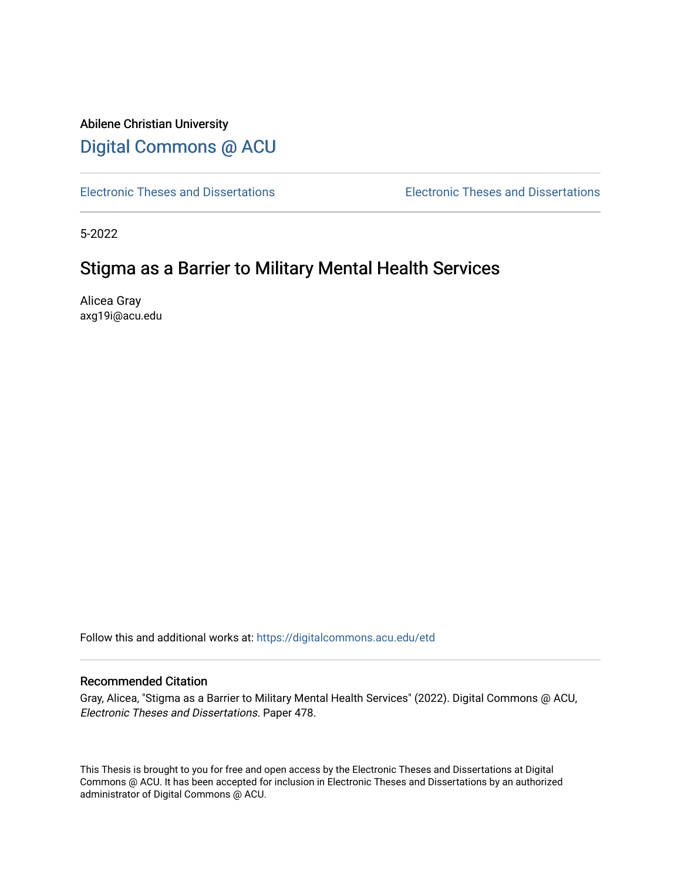# Abilene Christian University [Digital Commons @ ACU](https://digitalcommons.acu.edu/)

[Electronic Theses and Dissertations](https://digitalcommons.acu.edu/etd) [Electronic Theses and Dissertations](https://digitalcommons.acu.edu/graduate_works) 

5-2022

# Stigma as a Barrier to Military Mental Health Services

Alicea Gray axg19i@acu.edu

Follow this and additional works at: [https://digitalcommons.acu.edu/etd](https://digitalcommons.acu.edu/etd?utm_source=digitalcommons.acu.edu%2Fetd%2F478&utm_medium=PDF&utm_campaign=PDFCoverPages) 

### Recommended Citation

Gray, Alicea, "Stigma as a Barrier to Military Mental Health Services" (2022). Digital Commons @ ACU, Electronic Theses and Dissertations. Paper 478.

This Thesis is brought to you for free and open access by the Electronic Theses and Dissertations at Digital Commons @ ACU. It has been accepted for inclusion in Electronic Theses and Dissertations by an authorized administrator of Digital Commons @ ACU.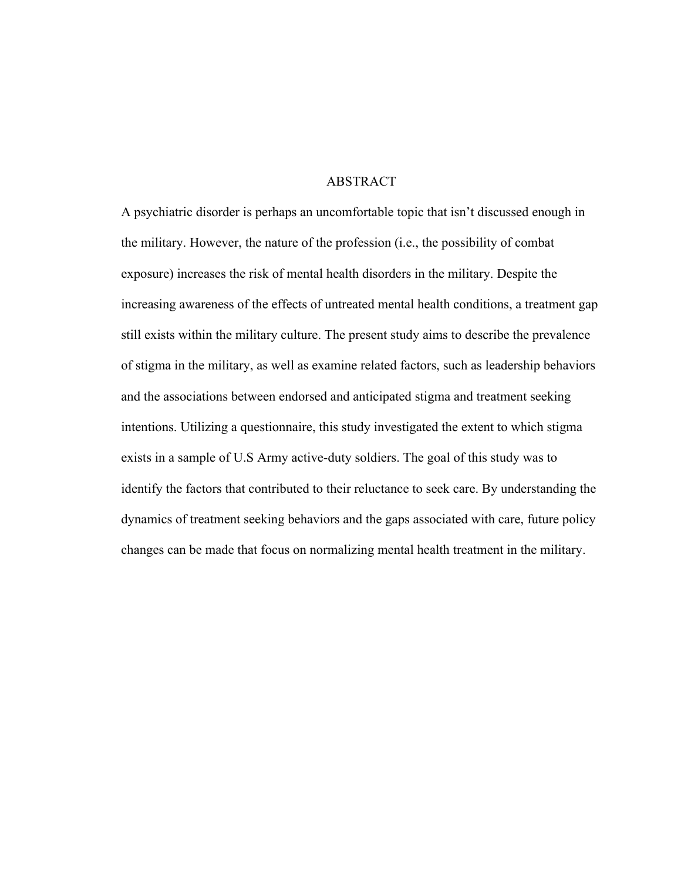#### ABSTRACT

A psychiatric disorder is perhaps an uncomfortable topic that isn't discussed enough in the military. However, the nature of the profession (i.e., the possibility of combat exposure) increases the risk of mental health disorders in the military. Despite the increasing awareness of the effects of untreated mental health conditions, a treatment gap still exists within the military culture. The present study aims to describe the prevalence of stigma in the military, as well as examine related factors, such as leadership behaviors and the associations between endorsed and anticipated stigma and treatment seeking intentions. Utilizing a questionnaire, this study investigated the extent to which stigma exists in a sample of U.S Army active-duty soldiers. The goal of this study was to identify the factors that contributed to their reluctance to seek care. By understanding the dynamics of treatment seeking behaviors and the gaps associated with care, future policy changes can be made that focus on normalizing mental health treatment in the military.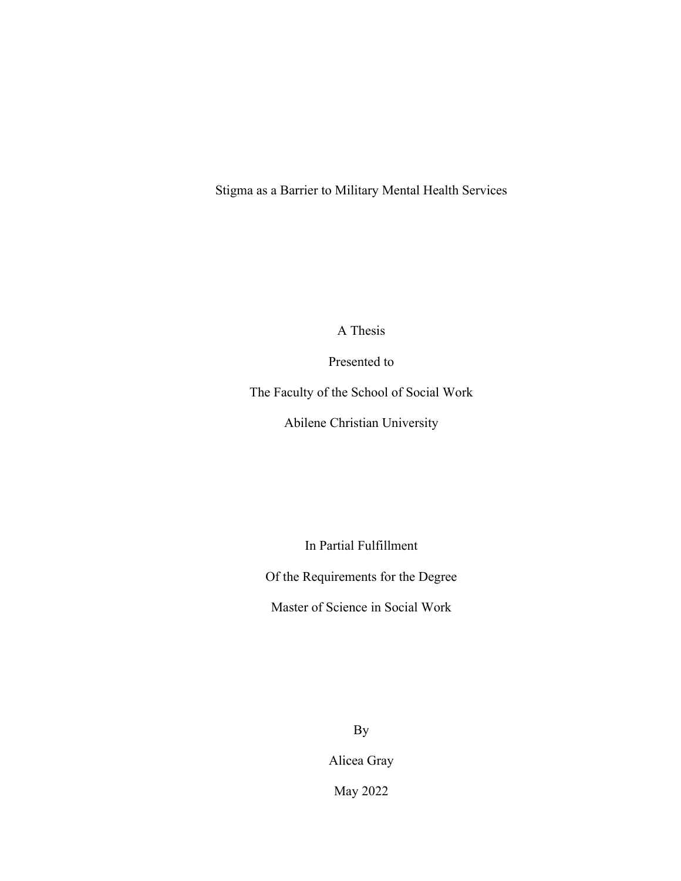Stigma as a Barrier to Military Mental Health Services

A Thesis

Presented to

The Faculty of the School of Social Work

Abilene Christian University

In Partial Fulfillment

Of the Requirements for the Degree

Master of Science in Social Work

By

Alicea Gray

May 2022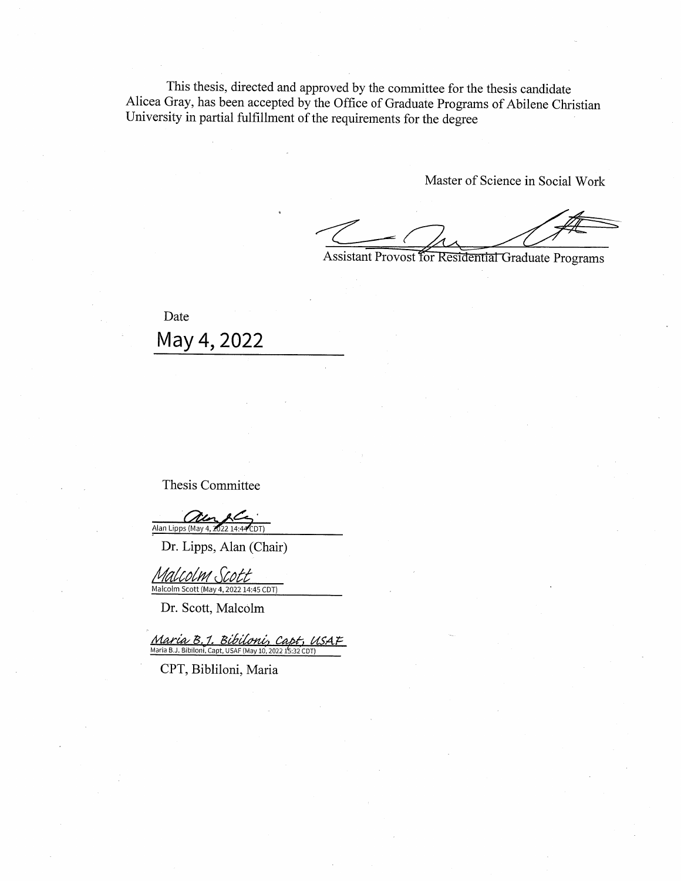This thesis, directed and approved by the committee for the thesis candidate Alicea Gray, has been accepted by the Office of Graduate Programs of Abilene Christian University in partial fulfillment of the requirements for the degree

Master of Science in Social Work

Assistant Provost for Residential Graduate Programs

Date May 4, 2022

Thesis Committee

Alan Lipps (May 4, 2

Dr. Lipps, Alan (Chair)

Malcolm Scott Malcolm Scott (May 4, 2022 14:45 CDT)

Dr. Scott, Malcolm

Maria B. 1. Bibiloni, Capt Maria B.J. Bibiloni, Capt, USAF (May 10, 2022 15:32 CDT)

CPT, Bibliloni, Maria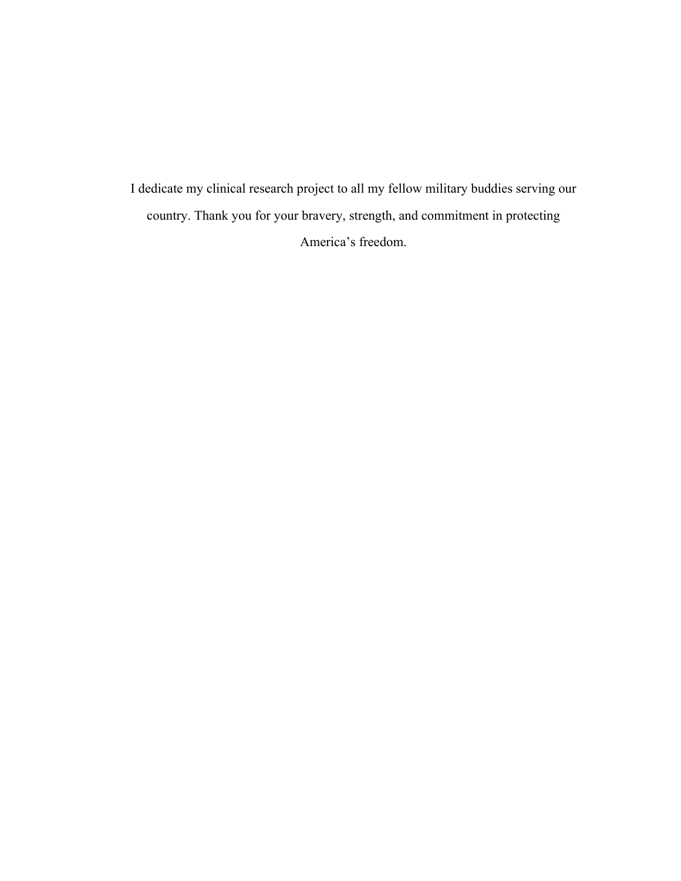I dedicate my clinical research project to all my fellow military buddies serving our country. Thank you for your bravery, strength, and commitment in protecting America's freedom.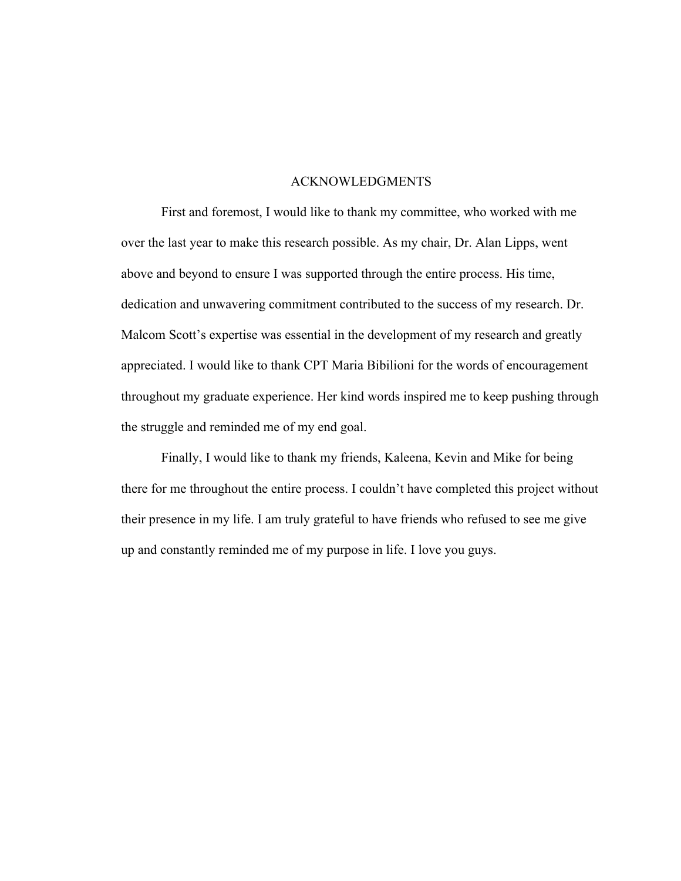#### ACKNOWLEDGMENTS

First and foremost, I would like to thank my committee, who worked with me over the last year to make this research possible. As my chair, Dr. Alan Lipps, went above and beyond to ensure I was supported through the entire process. His time, dedication and unwavering commitment contributed to the success of my research. Dr. Malcom Scott's expertise was essential in the development of my research and greatly appreciated. I would like to thank CPT Maria Bibilioni for the words of encouragement throughout my graduate experience. Her kind words inspired me to keep pushing through the struggle and reminded me of my end goal.

Finally, I would like to thank my friends, Kaleena, Kevin and Mike for being there for me throughout the entire process. I couldn't have completed this project without their presence in my life. I am truly grateful to have friends who refused to see me give up and constantly reminded me of my purpose in life. I love you guys.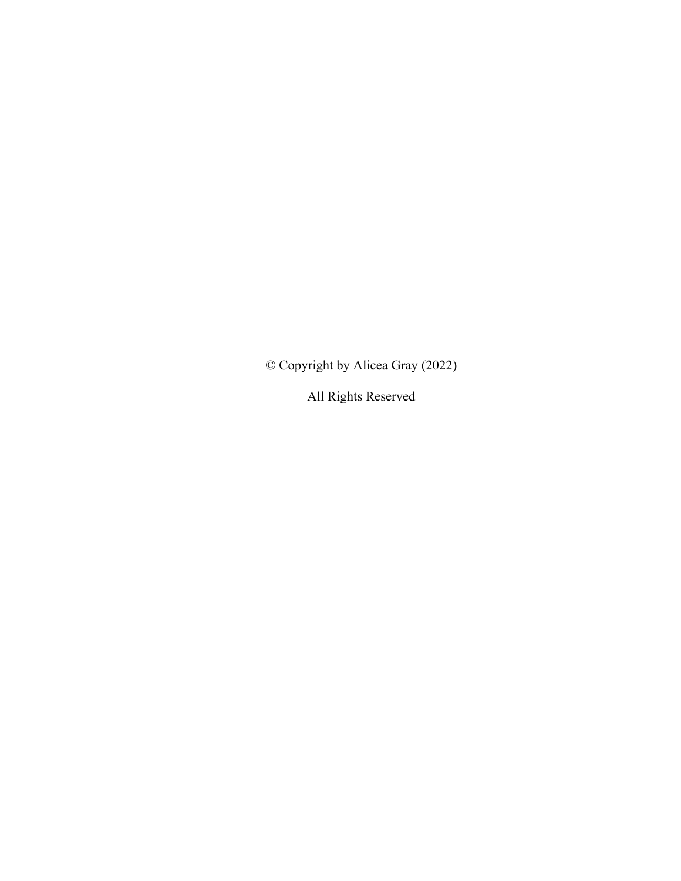© Copyright by Alicea Gray (2022)

All Rights Reserved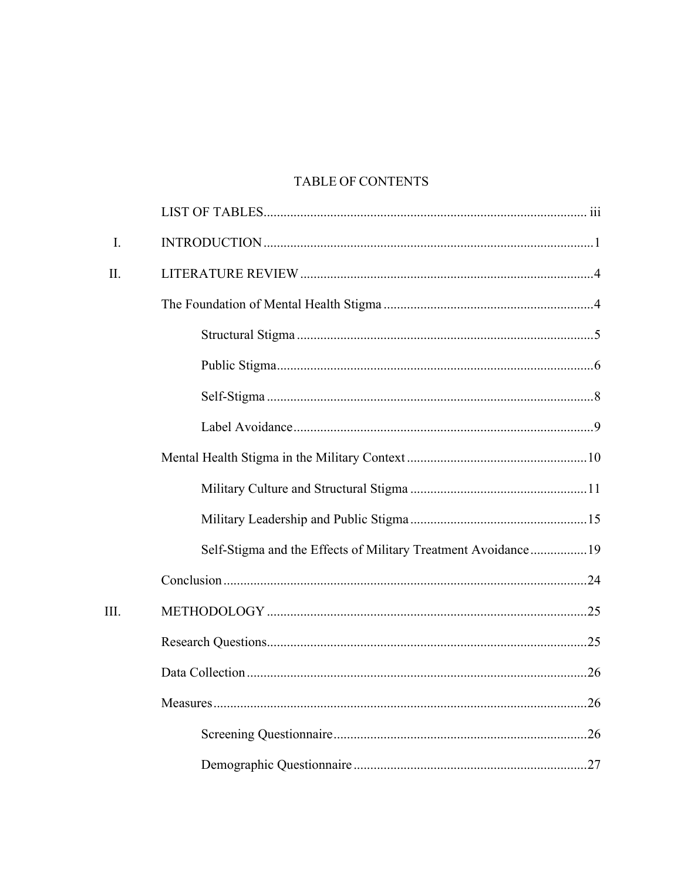# TABLE OF CONTENTS

| I.   |                                                               |
|------|---------------------------------------------------------------|
| Π.   |                                                               |
|      |                                                               |
|      |                                                               |
|      |                                                               |
|      |                                                               |
|      |                                                               |
|      |                                                               |
|      |                                                               |
|      |                                                               |
|      | Self-Stigma and the Effects of Military Treatment Avoidance19 |
|      |                                                               |
| III. |                                                               |
|      |                                                               |
|      |                                                               |
|      |                                                               |
|      |                                                               |
|      |                                                               |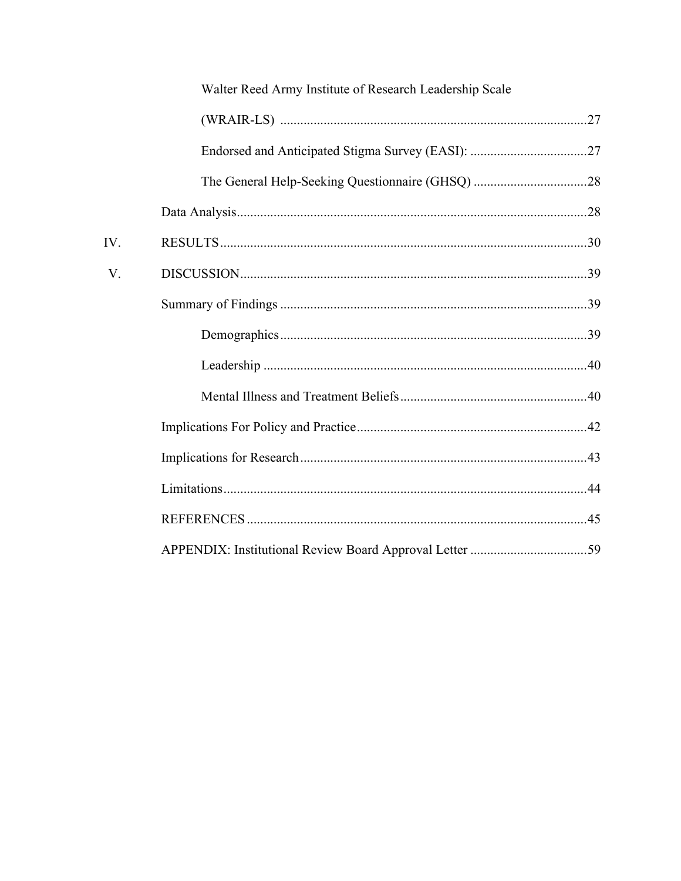|     | Walter Reed Army Institute of Research Leadership Scale |  |
|-----|---------------------------------------------------------|--|
|     |                                                         |  |
|     |                                                         |  |
|     |                                                         |  |
|     |                                                         |  |
| IV. |                                                         |  |
| V.  |                                                         |  |
|     |                                                         |  |
|     |                                                         |  |
|     |                                                         |  |
|     |                                                         |  |
|     |                                                         |  |
|     |                                                         |  |
|     |                                                         |  |
|     |                                                         |  |
|     |                                                         |  |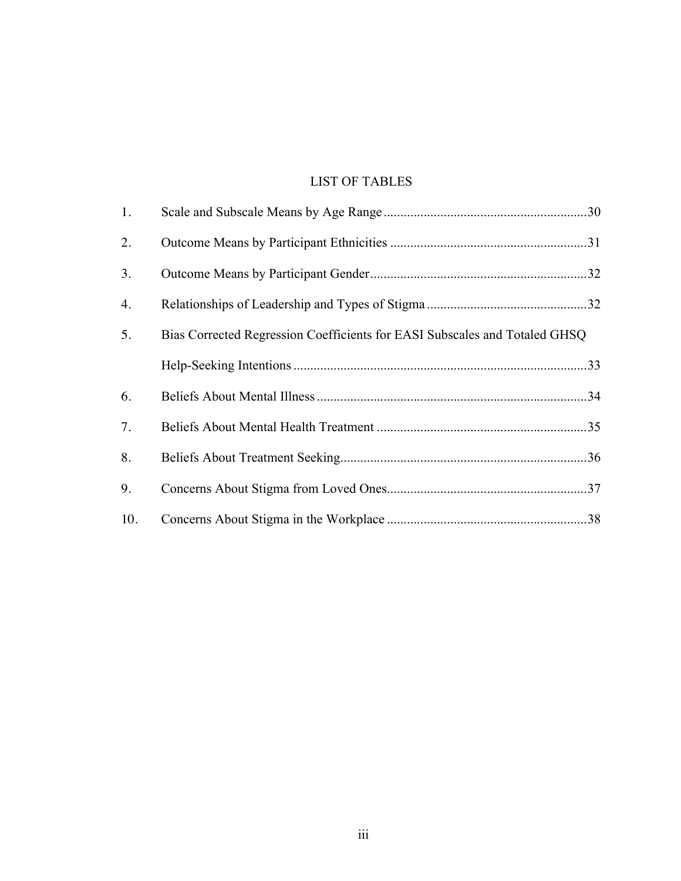# LIST OF TABLES

| 1.  |                                                                            |  |
|-----|----------------------------------------------------------------------------|--|
| 2.  |                                                                            |  |
| 3.  |                                                                            |  |
| 4.  |                                                                            |  |
| 5.  | Bias Corrected Regression Coefficients for EASI Subscales and Totaled GHSQ |  |
|     |                                                                            |  |
| 6.  |                                                                            |  |
| 7.  |                                                                            |  |
| 8.  |                                                                            |  |
| 9.  |                                                                            |  |
| 10. |                                                                            |  |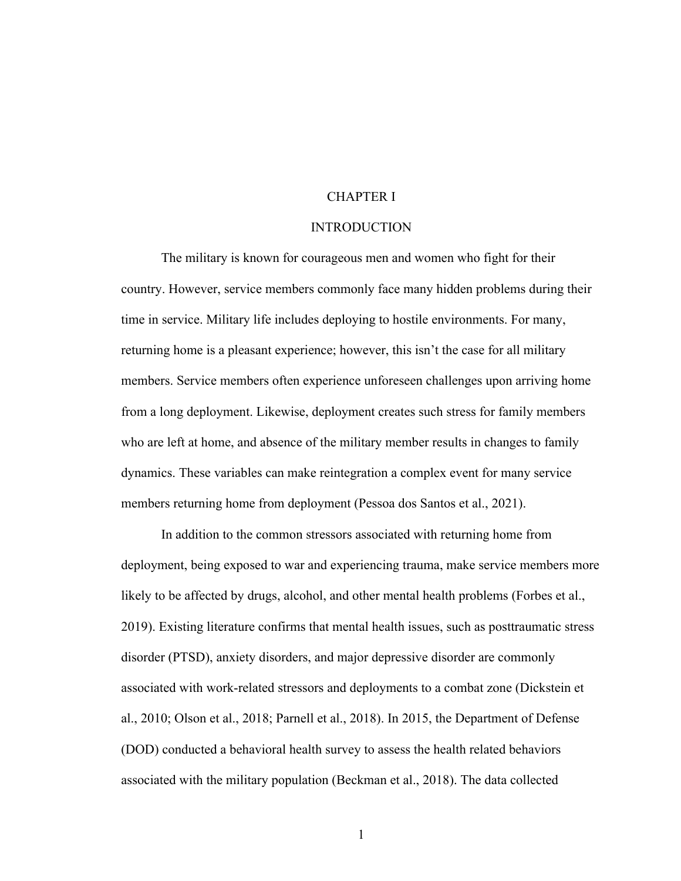### CHAPTER I

### INTRODUCTION

The military is known for courageous men and women who fight for their country. However, service members commonly face many hidden problems during their time in service. Military life includes deploying to hostile environments. For many, returning home is a pleasant experience; however, this isn't the case for all military members. Service members often experience unforeseen challenges upon arriving home from a long deployment. Likewise, deployment creates such stress for family members who are left at home, and absence of the military member results in changes to family dynamics. These variables can make reintegration a complex event for many service members returning home from deployment (Pessoa dos Santos et al., 2021).

In addition to the common stressors associated with returning home from deployment, being exposed to war and experiencing trauma, make service members more likely to be affected by drugs, alcohol, and other mental health problems (Forbes et al., 2019). Existing literature confirms that mental health issues, such as posttraumatic stress disorder (PTSD), anxiety disorders, and major depressive disorder are commonly associated with work-related stressors and deployments to a combat zone (Dickstein et al., 2010; Olson et al., 2018; Parnell et al., 2018). In 2015, the Department of Defense (DOD) conducted a behavioral health survey to assess the health related behaviors associated with the military population (Beckman et al., 2018). The data collected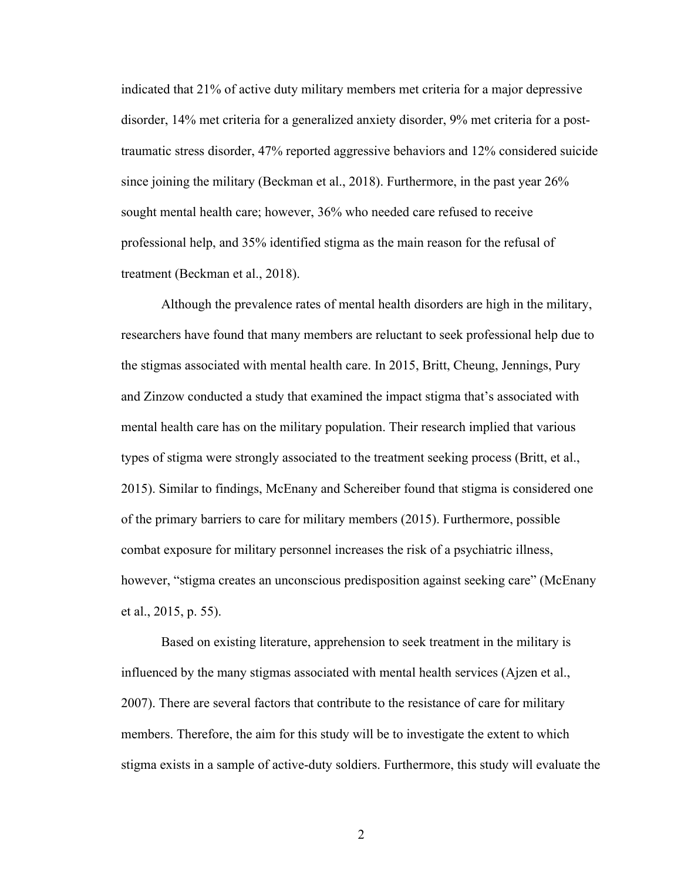indicated that 21% of active duty military members met criteria for a major depressive disorder, 14% met criteria for a generalized anxiety disorder, 9% met criteria for a posttraumatic stress disorder, 47% reported aggressive behaviors and 12% considered suicide since joining the military (Beckman et al., 2018). Furthermore, in the past year 26% sought mental health care; however, 36% who needed care refused to receive professional help, and 35% identified stigma as the main reason for the refusal of treatment (Beckman et al., 2018).

Although the prevalence rates of mental health disorders are high in the military, researchers have found that many members are reluctant to seek professional help due to the stigmas associated with mental health care. In 2015, Britt, Cheung, Jennings, Pury and Zinzow conducted a study that examined the impact stigma that's associated with mental health care has on the military population. Their research implied that various types of stigma were strongly associated to the treatment seeking process (Britt, et al., 2015). Similar to findings, McEnany and Schereiber found that stigma is considered one of the primary barriers to care for military members (2015). Furthermore, possible combat exposure for military personnel increases the risk of a psychiatric illness, however, "stigma creates an unconscious predisposition against seeking care" (McEnany et al., 2015, p. 55).

Based on existing literature, apprehension to seek treatment in the military is influenced by the many stigmas associated with mental health services (Ajzen et al., 2007). There are several factors that contribute to the resistance of care for military members. Therefore, the aim for this study will be to investigate the extent to which stigma exists in a sample of active-duty soldiers. Furthermore, this study will evaluate the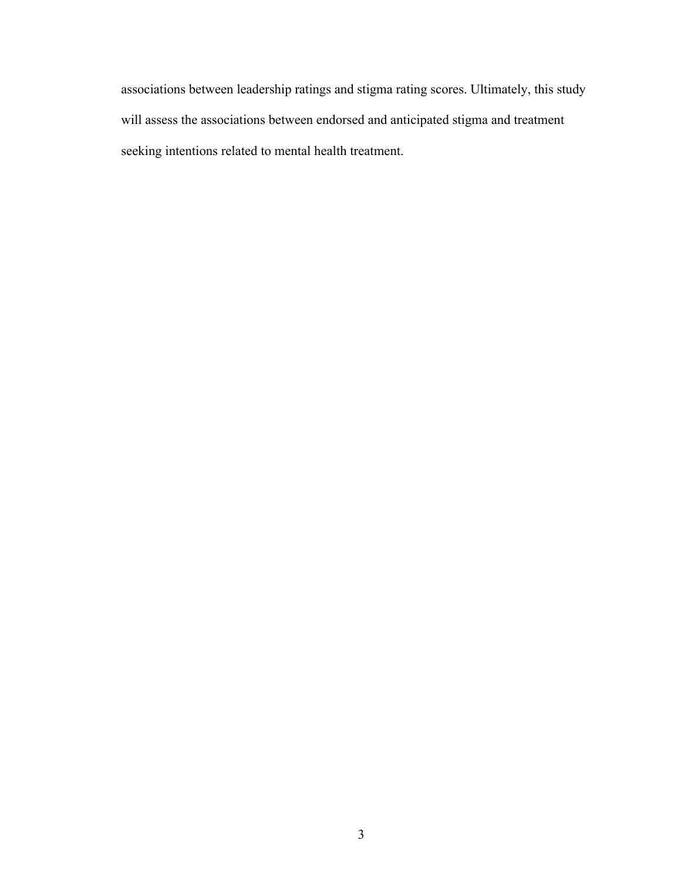associations between leadership ratings and stigma rating scores. Ultimately, this study will assess the associations between endorsed and anticipated stigma and treatment seeking intentions related to mental health treatment.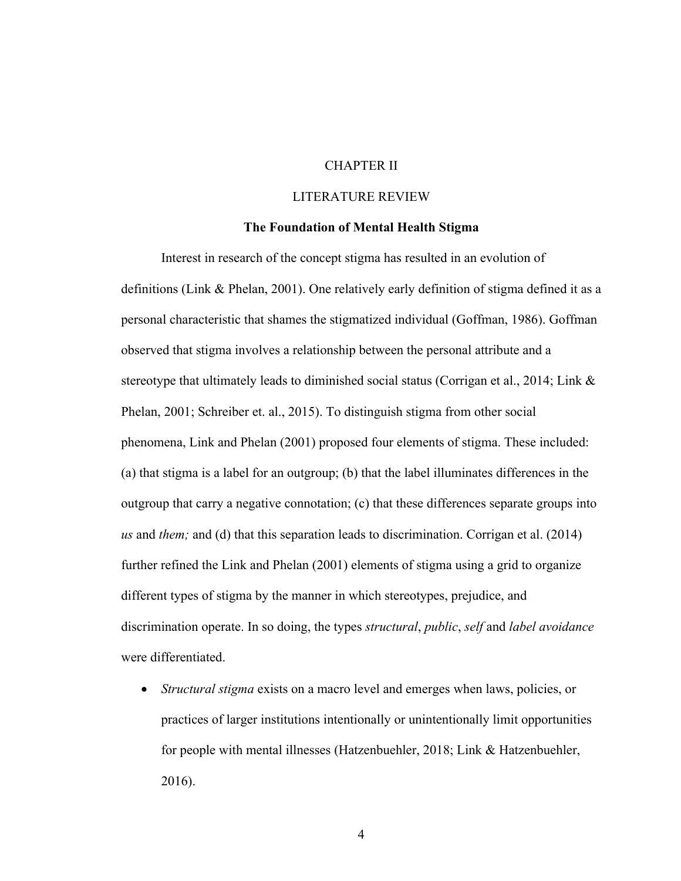## CHAPTER II

### LITERATURE REVIEW

#### **The Foundation of Mental Health Stigma**

Interest in research of the concept stigma has resulted in an evolution of definitions (Link & Phelan, 2001). One relatively early definition of stigma defined it as a personal characteristic that shames the stigmatized individual (Goffman, 1986). Goffman observed that stigma involves a relationship between the personal attribute and a stereotype that ultimately leads to diminished social status (Corrigan et al., 2014; Link & Phelan, 2001; Schreiber et. al., 2015). To distinguish stigma from other social phenomena, Link and Phelan (2001) proposed four elements of stigma. These included: (a) that stigma is a label for an outgroup; (b) that the label illuminates differences in the outgroup that carry a negative connotation; (c) that these differences separate groups into *us* and *them;* and (d) that this separation leads to discrimination. Corrigan et al. (2014) further refined the Link and Phelan (2001) elements of stigma using a grid to organize different types of stigma by the manner in which stereotypes, prejudice, and discrimination operate. In so doing, the types *structural*, *public*, *self* and *label avoidance* were differentiated.

• *Structural stigma* exists on a macro level and emerges when laws, policies, or practices of larger institutions intentionally or unintentionally limit opportunities for people with mental illnesses (Hatzenbuehler, 2018; Link & Hatzenbuehler, 2016).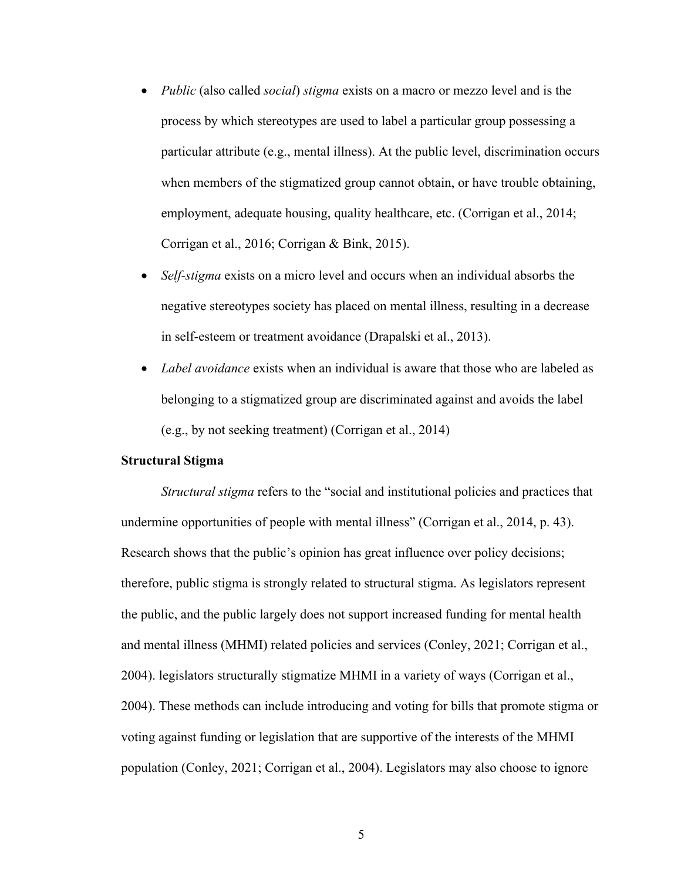- *Public* (also called *social*) *stigma* exists on a macro or mezzo level and is the process by which stereotypes are used to label a particular group possessing a particular attribute (e.g., mental illness). At the public level, discrimination occurs when members of the stigmatized group cannot obtain, or have trouble obtaining, employment, adequate housing, quality healthcare, etc. (Corrigan et al., 2014; Corrigan et al., 2016; Corrigan & Bink, 2015).
- *Self-stigma* exists on a micro level and occurs when an individual absorbs the negative stereotypes society has placed on mental illness, resulting in a decrease in self-esteem or treatment avoidance (Drapalski et al., 2013).
- *Label avoidance* exists when an individual is aware that those who are labeled as belonging to a stigmatized group are discriminated against and avoids the label (e.g., by not seeking treatment) (Corrigan et al., 2014)

#### **Structural Stigma**

*Structural stigma* refers to the "social and institutional policies and practices that undermine opportunities of people with mental illness" (Corrigan et al., 2014, p. 43). Research shows that the public's opinion has great influence over policy decisions; therefore, public stigma is strongly related to structural stigma. As legislators represent the public, and the public largely does not support increased funding for mental health and mental illness (MHMI) related policies and services (Conley, 2021; Corrigan et al., 2004). legislators structurally stigmatize MHMI in a variety of ways (Corrigan et al., 2004). These methods can include introducing and voting for bills that promote stigma or voting against funding or legislation that are supportive of the interests of the MHMI population (Conley, 2021; Corrigan et al., 2004). Legislators may also choose to ignore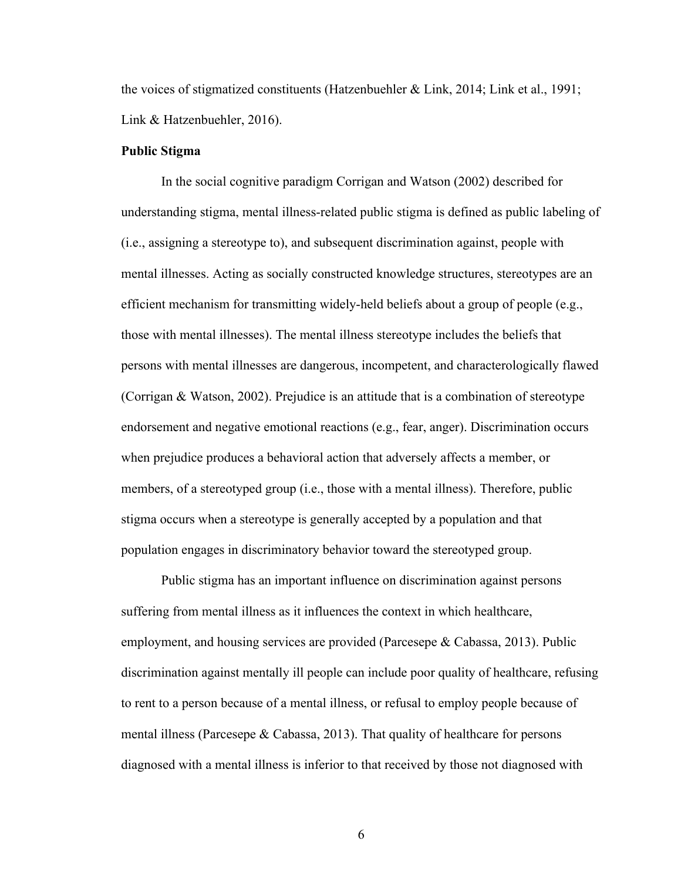the voices of stigmatized constituents (Hatzenbuehler & Link, 2014; Link et al., 1991; Link & Hatzenbuehler, 2016).

### **Public Stigma**

In the social cognitive paradigm Corrigan and Watson (2002) described for understanding stigma, mental illness-related public stigma is defined as public labeling of (i.e., assigning a stereotype to), and subsequent discrimination against, people with mental illnesses. Acting as socially constructed knowledge structures, stereotypes are an efficient mechanism for transmitting widely-held beliefs about a group of people (e.g., those with mental illnesses). The mental illness stereotype includes the beliefs that persons with mental illnesses are dangerous, incompetent, and characterologically flawed (Corrigan & Watson, 2002). Prejudice is an attitude that is a combination of stereotype endorsement and negative emotional reactions (e.g., fear, anger). Discrimination occurs when prejudice produces a behavioral action that adversely affects a member, or members, of a stereotyped group (i.e., those with a mental illness). Therefore, public stigma occurs when a stereotype is generally accepted by a population and that population engages in discriminatory behavior toward the stereotyped group.

Public stigma has an important influence on discrimination against persons suffering from mental illness as it influences the context in which healthcare, employment, and housing services are provided (Parcesepe & Cabassa, 2013). Public discrimination against mentally ill people can include poor quality of healthcare, refusing to rent to a person because of a mental illness, or refusal to employ people because of mental illness (Parcesepe  $\&$  Cabassa, 2013). That quality of healthcare for persons diagnosed with a mental illness is inferior to that received by those not diagnosed with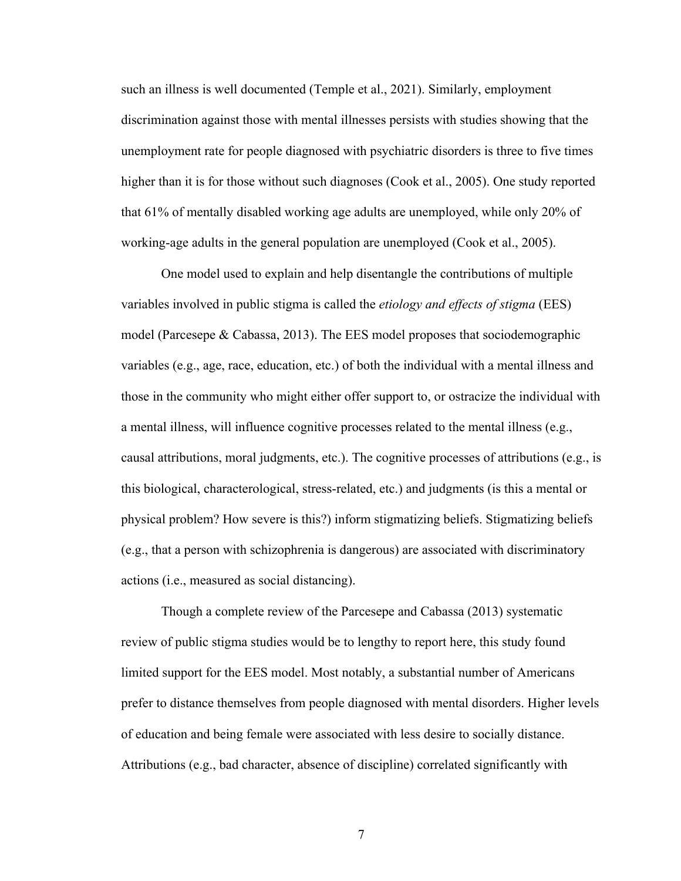such an illness is well documented (Temple et al., 2021). Similarly, employment discrimination against those with mental illnesses persists with studies showing that the unemployment rate for people diagnosed with psychiatric disorders is three to five times higher than it is for those without such diagnoses (Cook et al., 2005). One study reported that 61% of mentally disabled working age adults are unemployed, while only 20% of working-age adults in the general population are unemployed (Cook et al., 2005).

One model used to explain and help disentangle the contributions of multiple variables involved in public stigma is called the *etiology and effects of stigma* (EES) model (Parcesepe & Cabassa, 2013). The EES model proposes that sociodemographic variables (e.g., age, race, education, etc.) of both the individual with a mental illness and those in the community who might either offer support to, or ostracize the individual with a mental illness, will influence cognitive processes related to the mental illness (e.g., causal attributions, moral judgments, etc.). The cognitive processes of attributions (e.g., is this biological, characterological, stress-related, etc.) and judgments (is this a mental or physical problem? How severe is this?) inform stigmatizing beliefs. Stigmatizing beliefs (e.g., that a person with schizophrenia is dangerous) are associated with discriminatory actions (i.e., measured as social distancing).

Though a complete review of the Parcesepe and Cabassa (2013) systematic review of public stigma studies would be to lengthy to report here, this study found limited support for the EES model. Most notably, a substantial number of Americans prefer to distance themselves from people diagnosed with mental disorders. Higher levels of education and being female were associated with less desire to socially distance. Attributions (e.g., bad character, absence of discipline) correlated significantly with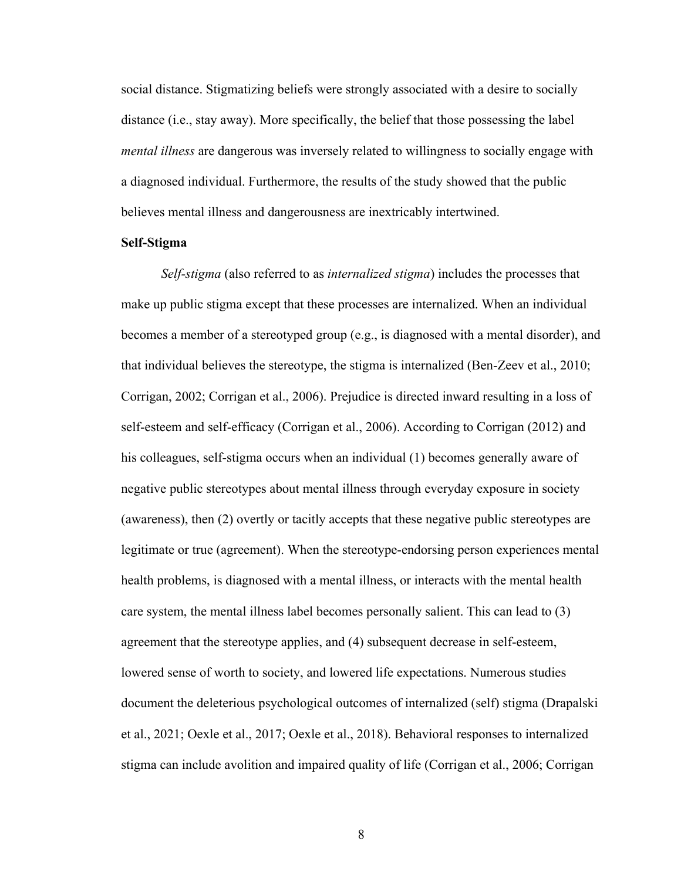social distance. Stigmatizing beliefs were strongly associated with a desire to socially distance (i.e., stay away). More specifically, the belief that those possessing the label *mental illness* are dangerous was inversely related to willingness to socially engage with a diagnosed individual. Furthermore, the results of the study showed that the public believes mental illness and dangerousness are inextricably intertwined.

#### **Self-Stigma**

*Self-stigma* (also referred to as *internalized stigma*) includes the processes that make up public stigma except that these processes are internalized. When an individual becomes a member of a stereotyped group (e.g., is diagnosed with a mental disorder), and that individual believes the stereotype, the stigma is internalized (Ben-Zeev et al., 2010; Corrigan, 2002; Corrigan et al., 2006). Prejudice is directed inward resulting in a loss of self-esteem and self-efficacy (Corrigan et al., 2006). According to Corrigan (2012) and his colleagues, self-stigma occurs when an individual (1) becomes generally aware of negative public stereotypes about mental illness through everyday exposure in society (awareness), then (2) overtly or tacitly accepts that these negative public stereotypes are legitimate or true (agreement). When the stereotype-endorsing person experiences mental health problems, is diagnosed with a mental illness, or interacts with the mental health care system, the mental illness label becomes personally salient. This can lead to (3) agreement that the stereotype applies, and (4) subsequent decrease in self-esteem, lowered sense of worth to society, and lowered life expectations. Numerous studies document the deleterious psychological outcomes of internalized (self) stigma (Drapalski et al., 2021; Oexle et al., 2017; Oexle et al., 2018). Behavioral responses to internalized stigma can include avolition and impaired quality of life (Corrigan et al., 2006; Corrigan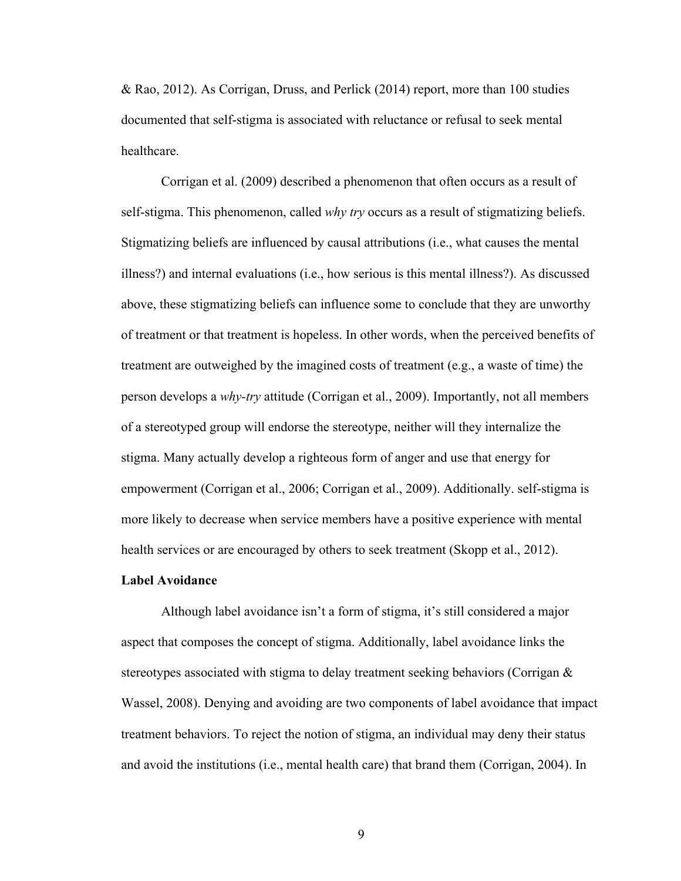& Rao, 2012). As Corrigan, Druss, and Perlick (2014) report, more than 100 studies documented that self-stigma is associated with reluctance or refusal to seek mental healthcare.

Corrigan et al. (2009) described a phenomenon that often occurs as a result of self-stigma. This phenomenon, called *why try* occurs as a result of stigmatizing beliefs. Stigmatizing beliefs are influenced by causal attributions (i.e., what causes the mental illness?) and internal evaluations (i.e., how serious is this mental illness?). As discussed above, these stigmatizing beliefs can influence some to conclude that they are unworthy of treatment or that treatment is hopeless. In other words, when the perceived benefits of treatment are outweighed by the imagined costs of treatment (e.g., a waste of time) the person develops a *why-try* attitude (Corrigan et al., 2009). Importantly, not all members of a stereotyped group will endorse the stereotype, neither will they internalize the stigma. Many actually develop a righteous form of anger and use that energy for empowerment (Corrigan et al., 2006; Corrigan et al., 2009). Additionally. self-stigma is more likely to decrease when service members have a positive experience with mental health services or are encouraged by others to seek treatment (Skopp et al., 2012).

### **Label Avoidance**

Although label avoidance isn't a form of stigma, it's still considered a major aspect that composes the concept of stigma. Additionally, label avoidance links the stereotypes associated with stigma to delay treatment seeking behaviors (Corrigan & Wassel, 2008). Denying and avoiding are two components of label avoidance that impact treatment behaviors. To reject the notion of stigma, an individual may deny their status and avoid the institutions (i.e., mental health care) that brand them (Corrigan, 2004). In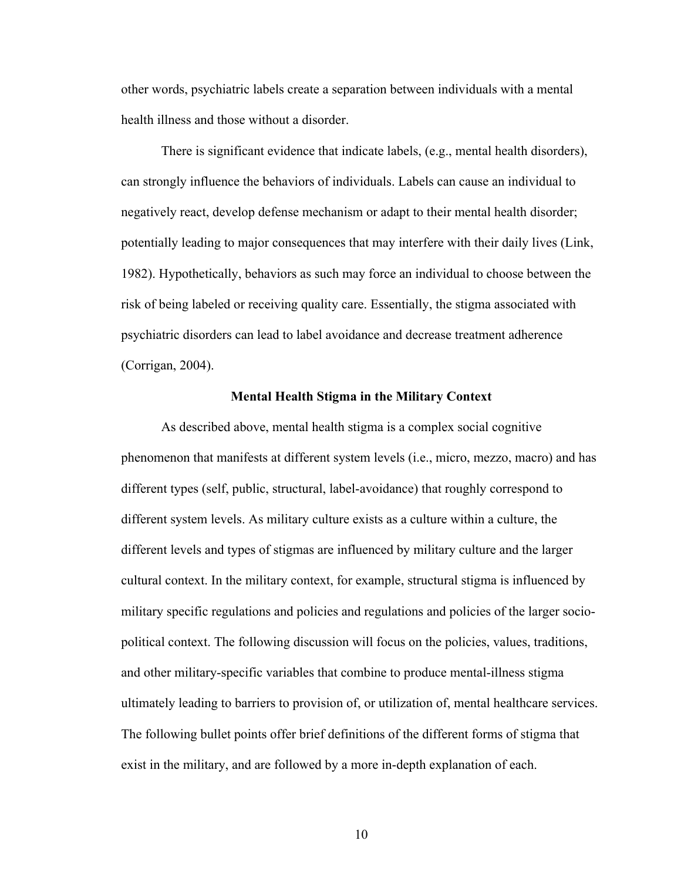other words, psychiatric labels create a separation between individuals with a mental health illness and those without a disorder.

There is significant evidence that indicate labels, (e.g., mental health disorders), can strongly influence the behaviors of individuals. Labels can cause an individual to negatively react, develop defense mechanism or adapt to their mental health disorder; potentially leading to major consequences that may interfere with their daily lives (Link, 1982). Hypothetically, behaviors as such may force an individual to choose between the risk of being labeled or receiving quality care. Essentially, the stigma associated with psychiatric disorders can lead to label avoidance and decrease treatment adherence (Corrigan, 2004).

#### **Mental Health Stigma in the Military Context**

As described above, mental health stigma is a complex social cognitive phenomenon that manifests at different system levels (i.e., micro, mezzo, macro) and has different types (self, public, structural, label-avoidance) that roughly correspond to different system levels. As military culture exists as a culture within a culture, the different levels and types of stigmas are influenced by military culture and the larger cultural context. In the military context, for example, structural stigma is influenced by military specific regulations and policies and regulations and policies of the larger sociopolitical context. The following discussion will focus on the policies, values, traditions, and other military-specific variables that combine to produce mental-illness stigma ultimately leading to barriers to provision of, or utilization of, mental healthcare services. The following bullet points offer brief definitions of the different forms of stigma that exist in the military, and are followed by a more in-depth explanation of each.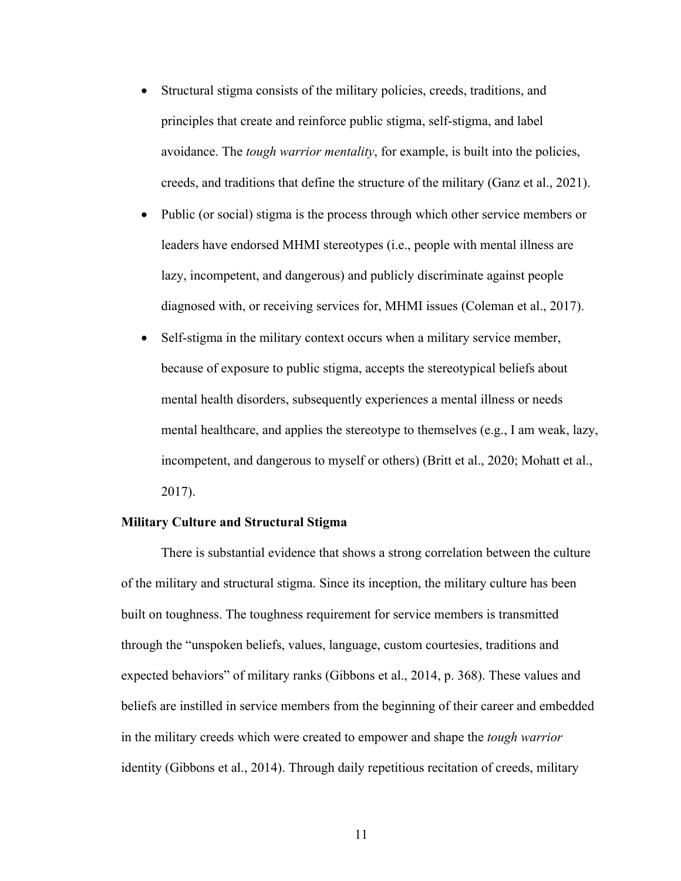- Structural stigma consists of the military policies, creeds, traditions, and principles that create and reinforce public stigma, self-stigma, and label avoidance. The *tough warrior mentality*, for example, is built into the policies, creeds, and traditions that define the structure of the military (Ganz et al., 2021).
- Public (or social) stigma is the process through which other service members or leaders have endorsed MHMI stereotypes (i.e., people with mental illness are lazy, incompetent, and dangerous) and publicly discriminate against people diagnosed with, or receiving services for, MHMI issues (Coleman et al., 2017).
- Self-stigma in the military context occurs when a military service member, because of exposure to public stigma, accepts the stereotypical beliefs about mental health disorders, subsequently experiences a mental illness or needs mental healthcare, and applies the stereotype to themselves (e.g., I am weak, lazy, incompetent, and dangerous to myself or others) (Britt et al., 2020; Mohatt et al., 2017).

### **Military Culture and Structural Stigma**

There is substantial evidence that shows a strong correlation between the culture of the military and structural stigma. Since its inception, the military culture has been built on toughness. The toughness requirement for service members is transmitted through the "unspoken beliefs, values, language, custom courtesies, traditions and expected behaviors" of military ranks (Gibbons et al., 2014, p. 368). These values and beliefs are instilled in service members from the beginning of their career and embedded in the military creeds which were created to empower and shape the *tough warrior* identity (Gibbons et al., 2014). Through daily repetitious recitation of creeds, military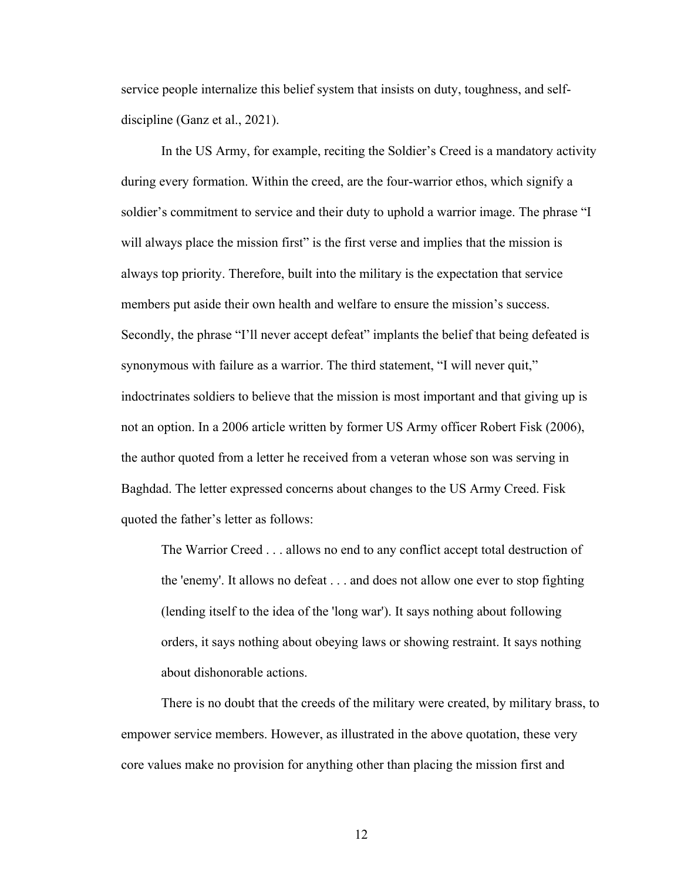service people internalize this belief system that insists on duty, toughness, and selfdiscipline (Ganz et al., 2021).

In the US Army, for example, reciting the Soldier's Creed is a mandatory activity during every formation. Within the creed, are the four-warrior ethos, which signify a soldier's commitment to service and their duty to uphold a warrior image. The phrase "I will always place the mission first" is the first verse and implies that the mission is always top priority. Therefore, built into the military is the expectation that service members put aside their own health and welfare to ensure the mission's success. Secondly, the phrase "I'll never accept defeat" implants the belief that being defeated is synonymous with failure as a warrior. The third statement, "I will never quit," indoctrinates soldiers to believe that the mission is most important and that giving up is not an option. In a 2006 article written by former US Army officer Robert Fisk (2006), the author quoted from a letter he received from a veteran whose son was serving in Baghdad. The letter expressed concerns about changes to the US Army Creed. Fisk quoted the father's letter as follows:

The Warrior Creed . . . allows no end to any conflict accept total destruction of the 'enemy'. It allows no defeat . . . and does not allow one ever to stop fighting (lending itself to the idea of the 'long war'). It says nothing about following orders, it says nothing about obeying laws or showing restraint. It says nothing about dishonorable actions.

There is no doubt that the creeds of the military were created, by military brass, to empower service members. However, as illustrated in the above quotation, these very core values make no provision for anything other than placing the mission first and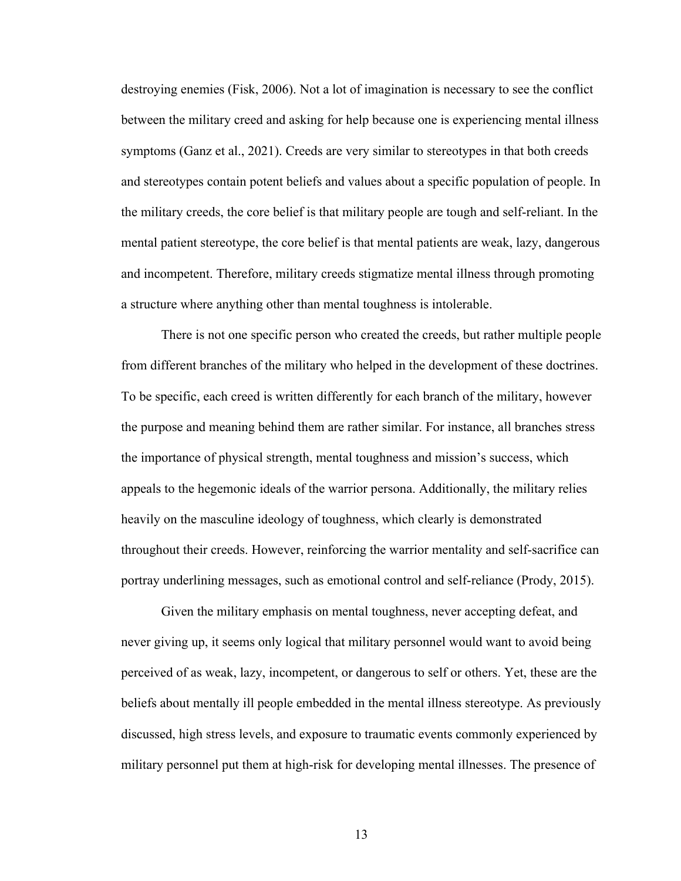destroying enemies (Fisk, 2006). Not a lot of imagination is necessary to see the conflict between the military creed and asking for help because one is experiencing mental illness symptoms (Ganz et al., 2021). Creeds are very similar to stereotypes in that both creeds and stereotypes contain potent beliefs and values about a specific population of people. In the military creeds, the core belief is that military people are tough and self-reliant. In the mental patient stereotype, the core belief is that mental patients are weak, lazy, dangerous and incompetent. Therefore, military creeds stigmatize mental illness through promoting a structure where anything other than mental toughness is intolerable.

There is not one specific person who created the creeds, but rather multiple people from different branches of the military who helped in the development of these doctrines. To be specific, each creed is written differently for each branch of the military, however the purpose and meaning behind them are rather similar. For instance, all branches stress the importance of physical strength, mental toughness and mission's success, which appeals to the hegemonic ideals of the warrior persona. Additionally, the military relies heavily on the masculine ideology of toughness, which clearly is demonstrated throughout their creeds. However, reinforcing the warrior mentality and self-sacrifice can portray underlining messages, such as emotional control and self-reliance (Prody, 2015).

Given the military emphasis on mental toughness, never accepting defeat, and never giving up, it seems only logical that military personnel would want to avoid being perceived of as weak, lazy, incompetent, or dangerous to self or others. Yet, these are the beliefs about mentally ill people embedded in the mental illness stereotype. As previously discussed, high stress levels, and exposure to traumatic events commonly experienced by military personnel put them at high-risk for developing mental illnesses. The presence of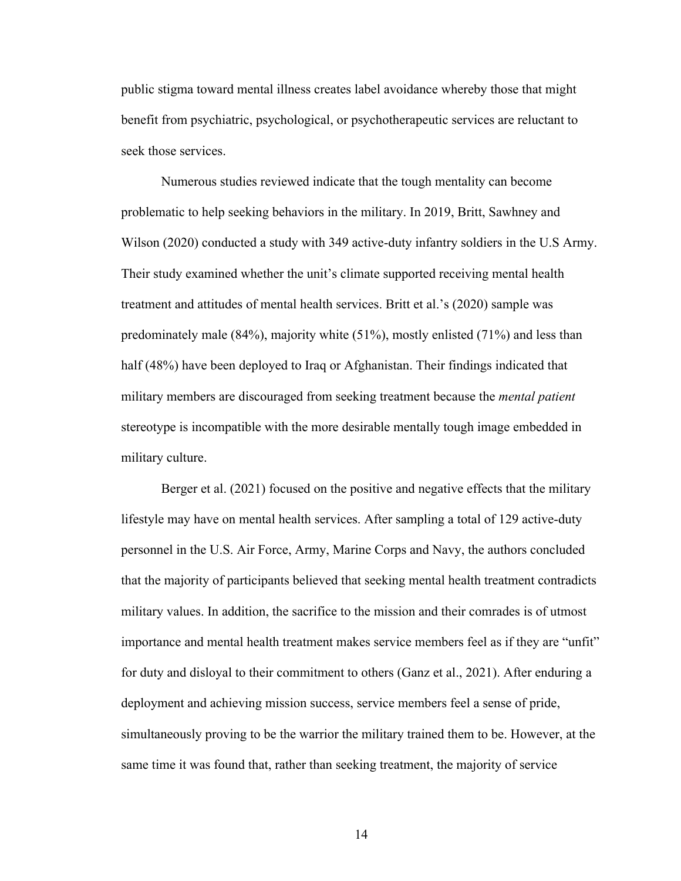public stigma toward mental illness creates label avoidance whereby those that might benefit from psychiatric, psychological, or psychotherapeutic services are reluctant to seek those services.

Numerous studies reviewed indicate that the tough mentality can become problematic to help seeking behaviors in the military. In 2019, Britt, Sawhney and Wilson (2020) conducted a study with 349 active-duty infantry soldiers in the U.S Army. Their study examined whether the unit's climate supported receiving mental health treatment and attitudes of mental health services. Britt et al.'s (2020) sample was predominately male (84%), majority white (51%), mostly enlisted (71%) and less than half (48%) have been deployed to Iraq or Afghanistan. Their findings indicated that military members are discouraged from seeking treatment because the *mental patient* stereotype is incompatible with the more desirable mentally tough image embedded in military culture.

Berger et al. (2021) focused on the positive and negative effects that the military lifestyle may have on mental health services. After sampling a total of 129 active-duty personnel in the U.S. Air Force, Army, Marine Corps and Navy, the authors concluded that the majority of participants believed that seeking mental health treatment contradicts military values. In addition, the sacrifice to the mission and their comrades is of utmost importance and mental health treatment makes service members feel as if they are "unfit" for duty and disloyal to their commitment to others (Ganz et al., 2021). After enduring a deployment and achieving mission success, service members feel a sense of pride, simultaneously proving to be the warrior the military trained them to be. However, at the same time it was found that, rather than seeking treatment, the majority of service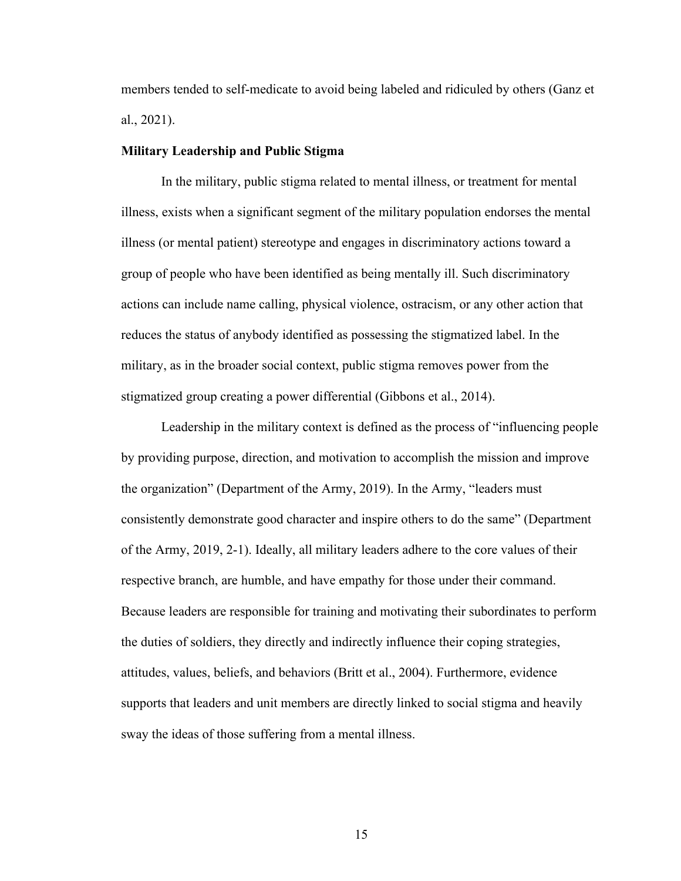members tended to self-medicate to avoid being labeled and ridiculed by others (Ganz et al., 2021).

#### **Military Leadership and Public Stigma**

In the military, public stigma related to mental illness, or treatment for mental illness, exists when a significant segment of the military population endorses the mental illness (or mental patient) stereotype and engages in discriminatory actions toward a group of people who have been identified as being mentally ill. Such discriminatory actions can include name calling, physical violence, ostracism, or any other action that reduces the status of anybody identified as possessing the stigmatized label. In the military, as in the broader social context, public stigma removes power from the stigmatized group creating a power differential (Gibbons et al., 2014).

Leadership in the military context is defined as the process of "influencing people by providing purpose, direction, and motivation to accomplish the mission and improve the organization" (Department of the Army, 2019). In the Army, "leaders must consistently demonstrate good character and inspire others to do the same" (Department of the Army, 2019, 2-1). Ideally, all military leaders adhere to the core values of their respective branch, are humble, and have empathy for those under their command. Because leaders are responsible for training and motivating their subordinates to perform the duties of soldiers, they directly and indirectly influence their coping strategies, attitudes, values, beliefs, and behaviors (Britt et al., 2004). Furthermore, evidence supports that leaders and unit members are directly linked to social stigma and heavily sway the ideas of those suffering from a mental illness.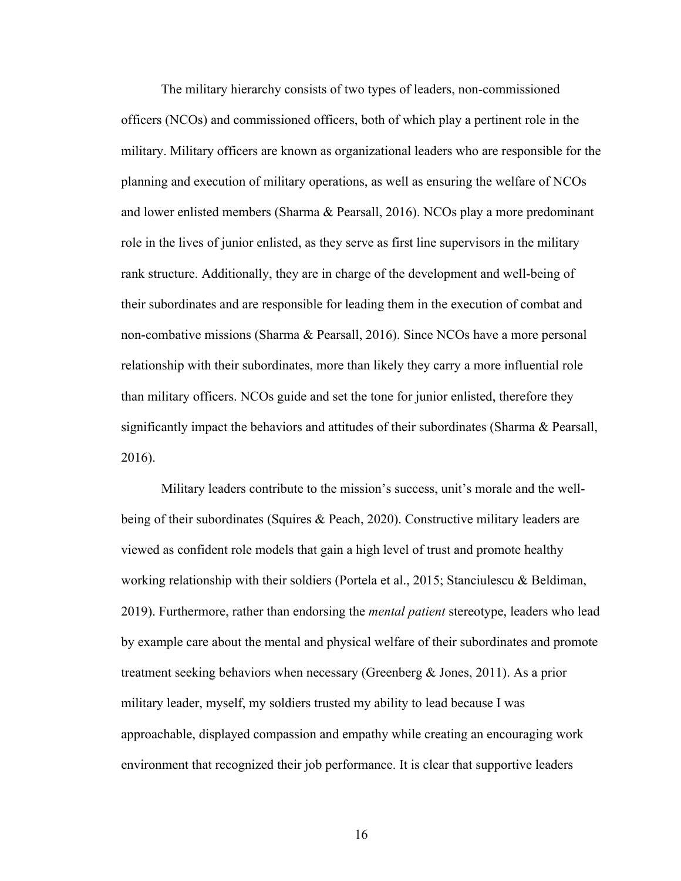The military hierarchy consists of two types of leaders, non-commissioned officers (NCOs) and commissioned officers, both of which play a pertinent role in the military. Military officers are known as organizational leaders who are responsible for the planning and execution of military operations, as well as ensuring the welfare of NCOs and lower enlisted members (Sharma & Pearsall, 2016). NCOs play a more predominant role in the lives of junior enlisted, as they serve as first line supervisors in the military rank structure. Additionally, they are in charge of the development and well-being of their subordinates and are responsible for leading them in the execution of combat and non-combative missions (Sharma & Pearsall, 2016). Since NCOs have a more personal relationship with their subordinates, more than likely they carry a more influential role than military officers. NCOs guide and set the tone for junior enlisted, therefore they significantly impact the behaviors and attitudes of their subordinates (Sharma & Pearsall, 2016).

Military leaders contribute to the mission's success, unit's morale and the wellbeing of their subordinates (Squires & Peach, 2020). Constructive military leaders are viewed as confident role models that gain a high level of trust and promote healthy working relationship with their soldiers (Portela et al., 2015; Stanciulescu & Beldiman, 2019). Furthermore, rather than endorsing the *mental patient* stereotype, leaders who lead by example care about the mental and physical welfare of their subordinates and promote treatment seeking behaviors when necessary (Greenberg & Jones, 2011). As a prior military leader, myself, my soldiers trusted my ability to lead because I was approachable, displayed compassion and empathy while creating an encouraging work environment that recognized their job performance. It is clear that supportive leaders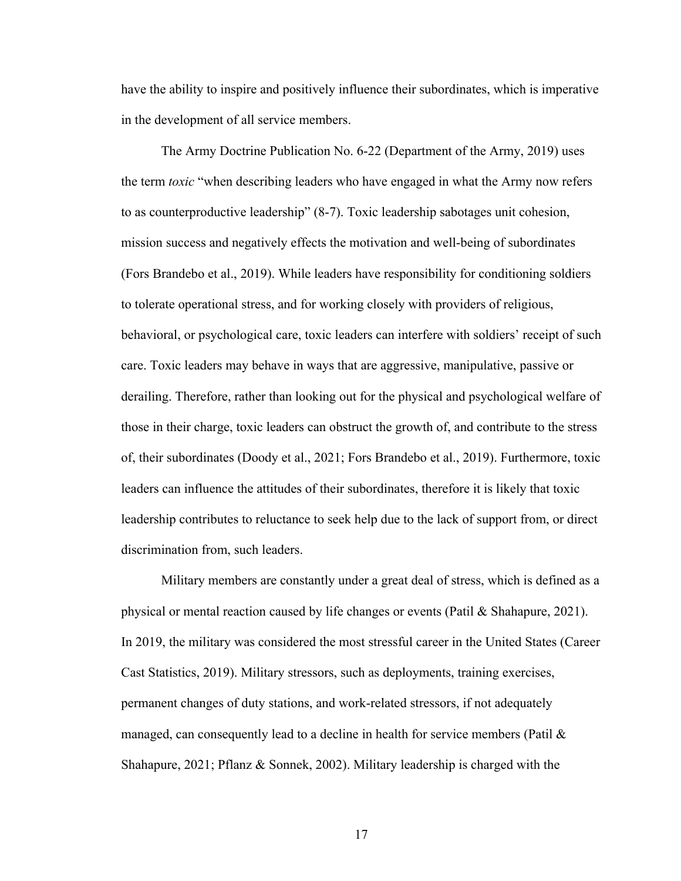have the ability to inspire and positively influence their subordinates, which is imperative in the development of all service members.

The Army Doctrine Publication No. 6-22 (Department of the Army, 2019) uses the term *toxic* "when describing leaders who have engaged in what the Army now refers to as counterproductive leadership" (8-7). Toxic leadership sabotages unit cohesion, mission success and negatively effects the motivation and well-being of subordinates (Fors Brandebo et al., 2019). While leaders have responsibility for conditioning soldiers to tolerate operational stress, and for working closely with providers of religious, behavioral, or psychological care, toxic leaders can interfere with soldiers' receipt of such care. Toxic leaders may behave in ways that are aggressive, manipulative, passive or derailing. Therefore, rather than looking out for the physical and psychological welfare of those in their charge, toxic leaders can obstruct the growth of, and contribute to the stress of, their subordinates (Doody et al., 2021; Fors Brandebo et al., 2019). Furthermore, toxic leaders can influence the attitudes of their subordinates, therefore it is likely that toxic leadership contributes to reluctance to seek help due to the lack of support from, or direct discrimination from, such leaders.

Military members are constantly under a great deal of stress, which is defined as a physical or mental reaction caused by life changes or events (Patil & Shahapure, 2021). In 2019, the military was considered the most stressful career in the United States (Career Cast Statistics, 2019). Military stressors, such as deployments, training exercises, permanent changes of duty stations, and work-related stressors, if not adequately managed, can consequently lead to a decline in health for service members (Patil & Shahapure, 2021; Pflanz & Sonnek, 2002). Military leadership is charged with the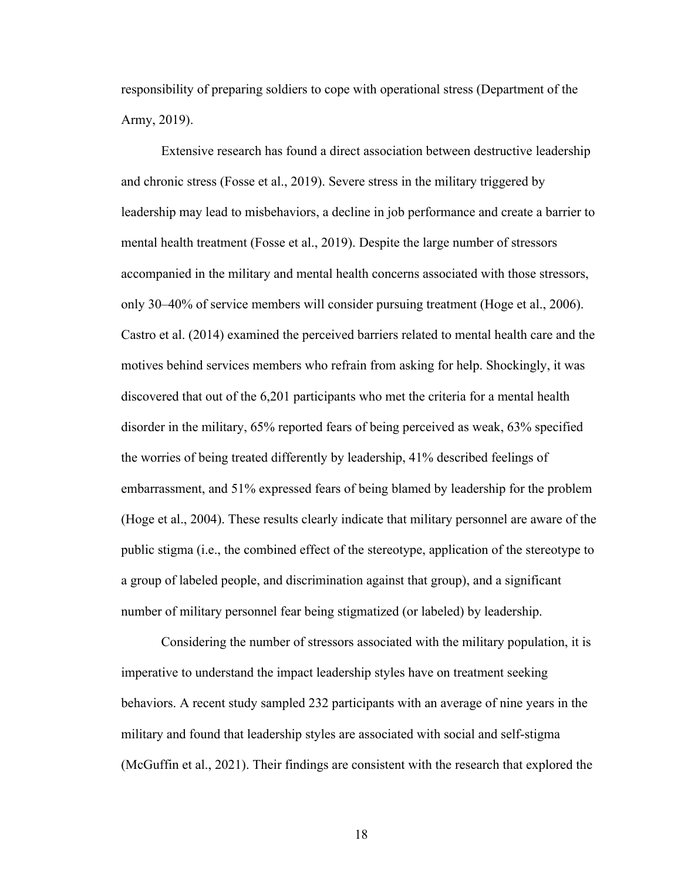responsibility of preparing soldiers to cope with operational stress (Department of the Army, 2019).

Extensive research has found a direct association between destructive leadership and chronic stress (Fosse et al., 2019). Severe stress in the military triggered by leadership may lead to misbehaviors, a decline in job performance and create a barrier to mental health treatment (Fosse et al., 2019). Despite the large number of stressors accompanied in the military and mental health concerns associated with those stressors, only 30–40% of service members will consider pursuing treatment (Hoge et al., 2006). Castro et al. (2014) examined the perceived barriers related to mental health care and the motives behind services members who refrain from asking for help. Shockingly, it was discovered that out of the 6,201 participants who met the criteria for a mental health disorder in the military, 65% reported fears of being perceived as weak, 63% specified the worries of being treated differently by leadership, 41% described feelings of embarrassment, and 51% expressed fears of being blamed by leadership for the problem (Hoge et al., 2004). These results clearly indicate that military personnel are aware of the public stigma (i.e., the combined effect of the stereotype, application of the stereotype to a group of labeled people, and discrimination against that group), and a significant number of military personnel fear being stigmatized (or labeled) by leadership.

Considering the number of stressors associated with the military population, it is imperative to understand the impact leadership styles have on treatment seeking behaviors. A recent study sampled 232 participants with an average of nine years in the military and found that leadership styles are associated with social and self-stigma (McGuffin et al., 2021). Their findings are consistent with the research that explored the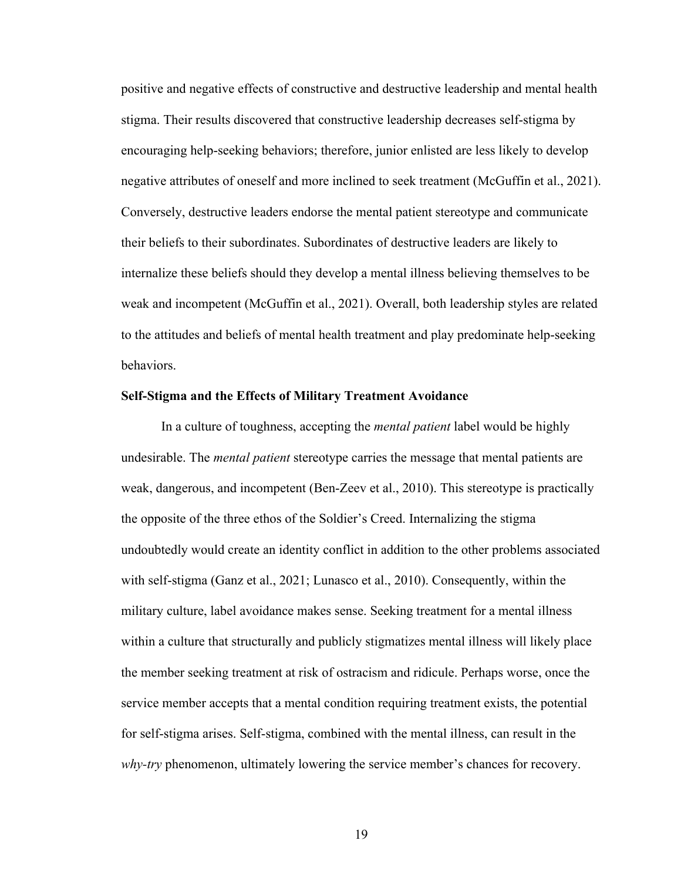positive and negative effects of constructive and destructive leadership and mental health stigma. Their results discovered that constructive leadership decreases self-stigma by encouraging help-seeking behaviors; therefore, junior enlisted are less likely to develop negative attributes of oneself and more inclined to seek treatment (McGuffin et al., 2021). Conversely, destructive leaders endorse the mental patient stereotype and communicate their beliefs to their subordinates. Subordinates of destructive leaders are likely to internalize these beliefs should they develop a mental illness believing themselves to be weak and incompetent (McGuffin et al., 2021). Overall, both leadership styles are related to the attitudes and beliefs of mental health treatment and play predominate help-seeking behaviors.

#### **Self-Stigma and the Effects of Military Treatment Avoidance**

In a culture of toughness, accepting the *mental patient* label would be highly undesirable. The *mental patient* stereotype carries the message that mental patients are weak, dangerous, and incompetent (Ben-Zeev et al., 2010). This stereotype is practically the opposite of the three ethos of the Soldier's Creed. Internalizing the stigma undoubtedly would create an identity conflict in addition to the other problems associated with self-stigma (Ganz et al., 2021; Lunasco et al., 2010). Consequently, within the military culture, label avoidance makes sense. Seeking treatment for a mental illness within a culture that structurally and publicly stigmatizes mental illness will likely place the member seeking treatment at risk of ostracism and ridicule. Perhaps worse, once the service member accepts that a mental condition requiring treatment exists, the potential for self-stigma arises. Self-stigma, combined with the mental illness, can result in the *why-try* phenomenon, ultimately lowering the service member's chances for recovery.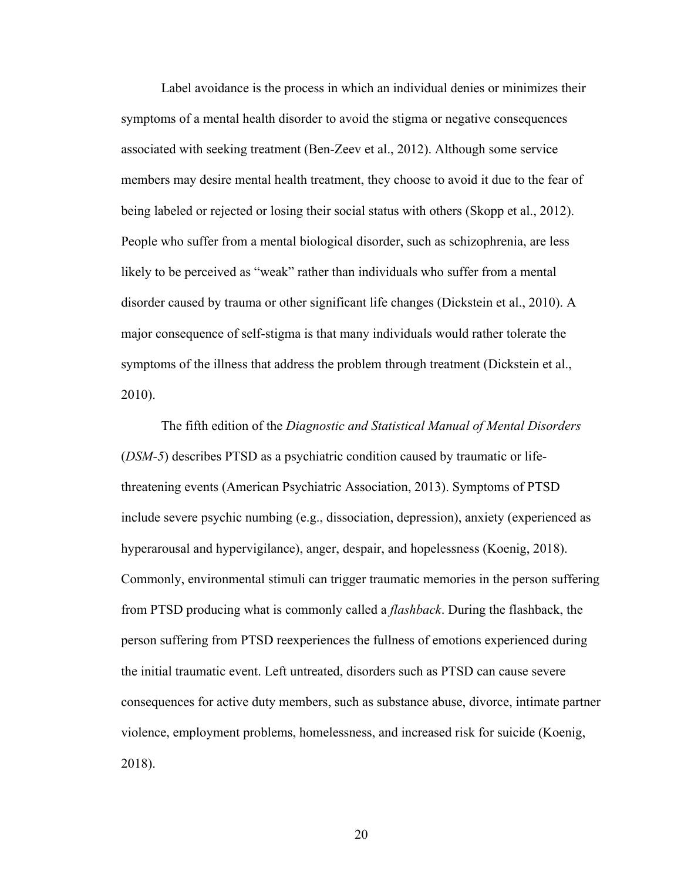Label avoidance is the process in which an individual denies or minimizes their symptoms of a mental health disorder to avoid the stigma or negative consequences associated with seeking treatment (Ben-Zeev et al., 2012). Although some service members may desire mental health treatment, they choose to avoid it due to the fear of being labeled or rejected or losing their social status with others (Skopp et al., 2012). People who suffer from a mental biological disorder, such as schizophrenia, are less likely to be perceived as "weak" rather than individuals who suffer from a mental disorder caused by trauma or other significant life changes (Dickstein et al., 2010). A major consequence of self-stigma is that many individuals would rather tolerate the symptoms of the illness that address the problem through treatment (Dickstein et al., 2010).

The fifth edition of the *Diagnostic and Statistical Manual of Mental Disorders* (*DSM-5*) describes PTSD as a psychiatric condition caused by traumatic or lifethreatening events (American Psychiatric Association, 2013). Symptoms of PTSD include severe psychic numbing (e.g., dissociation, depression), anxiety (experienced as hyperarousal and hypervigilance), anger, despair, and hopelessness (Koenig, 2018). Commonly, environmental stimuli can trigger traumatic memories in the person suffering from PTSD producing what is commonly called a *flashback*. During the flashback, the person suffering from PTSD reexperiences the fullness of emotions experienced during the initial traumatic event. Left untreated, disorders such as PTSD can cause severe consequences for active duty members, such as substance abuse, divorce, intimate partner violence, employment problems, homelessness, and increased risk for suicide (Koenig, 2018).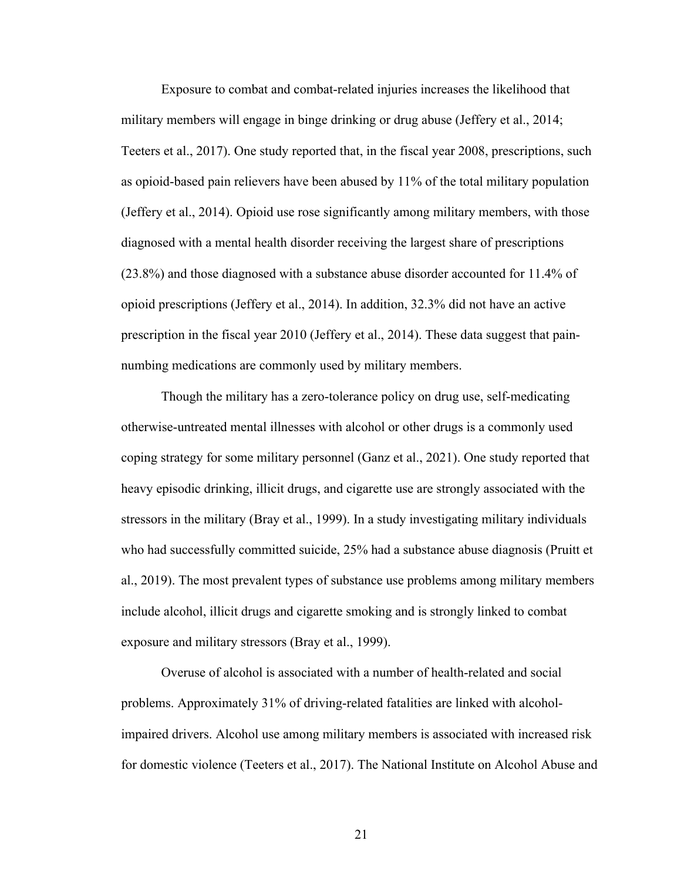Exposure to combat and combat-related injuries increases the likelihood that military members will engage in binge drinking or drug abuse (Jeffery et al., 2014; Teeters et al., 2017). One study reported that, in the fiscal year 2008, prescriptions, such as opioid-based pain relievers have been abused by 11% of the total military population (Jeffery et al., 2014). Opioid use rose significantly among military members, with those diagnosed with a mental health disorder receiving the largest share of prescriptions (23.8%) and those diagnosed with a substance abuse disorder accounted for 11.4% of opioid prescriptions (Jeffery et al., 2014). In addition, 32.3% did not have an active prescription in the fiscal year 2010 (Jeffery et al., 2014). These data suggest that painnumbing medications are commonly used by military members.

Though the military has a zero-tolerance policy on drug use, self-medicating otherwise-untreated mental illnesses with alcohol or other drugs is a commonly used coping strategy for some military personnel (Ganz et al., 2021). One study reported that heavy episodic drinking, illicit drugs, and cigarette use are strongly associated with the stressors in the military (Bray et al., 1999). In a study investigating military individuals who had successfully committed suicide, 25% had a substance abuse diagnosis (Pruitt et al., 2019). The most prevalent types of substance use problems among military members include alcohol, illicit drugs and cigarette smoking and is strongly linked to combat exposure and military stressors (Bray et al., 1999).

Overuse of alcohol is associated with a number of health-related and social problems. Approximately 31% of driving-related fatalities are linked with alcoholimpaired drivers. Alcohol use among military members is associated with increased risk for domestic violence (Teeters et al., 2017). The National Institute on Alcohol Abuse and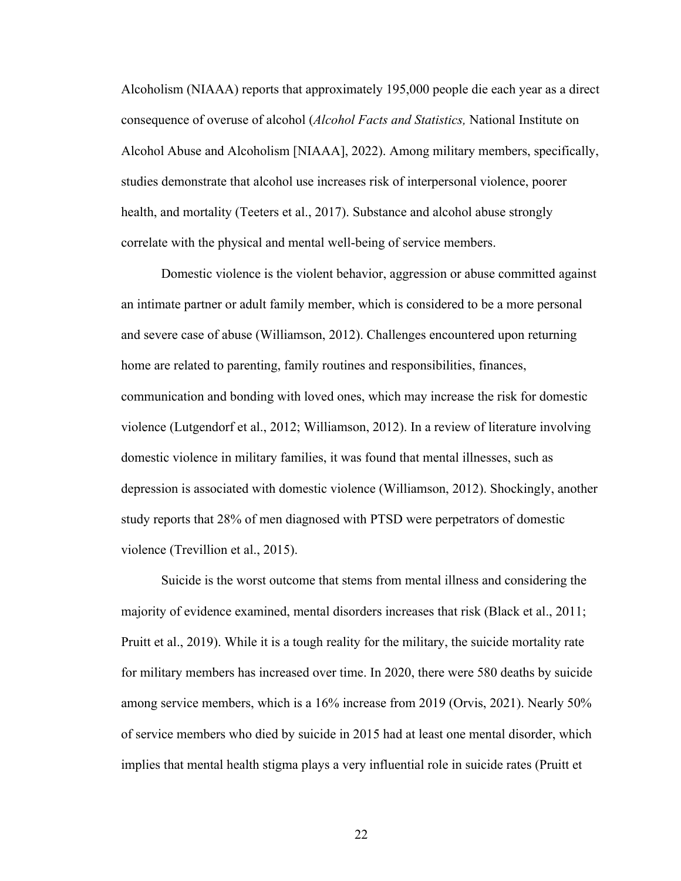Alcoholism (NIAAA) reports that approximately 195,000 people die each year as a direct consequence of overuse of alcohol (*Alcohol Facts and Statistics,* National Institute on Alcohol Abuse and Alcoholism [NIAAA], 2022). Among military members, specifically, studies demonstrate that alcohol use increases risk of interpersonal violence, poorer health, and mortality (Teeters et al., 2017). Substance and alcohol abuse strongly correlate with the physical and mental well-being of service members.

Domestic violence is the violent behavior, aggression or abuse committed against an intimate partner or adult family member, which is considered to be a more personal and severe case of abuse (Williamson, 2012). Challenges encountered upon returning home are related to parenting, family routines and responsibilities, finances, communication and bonding with loved ones, which may increase the risk for domestic violence (Lutgendorf et al., 2012; Williamson, 2012). In a review of literature involving domestic violence in military families, it was found that mental illnesses, such as depression is associated with domestic violence (Williamson, 2012). Shockingly, another study reports that 28% of men diagnosed with PTSD were perpetrators of domestic violence (Trevillion et al., 2015).

Suicide is the worst outcome that stems from mental illness and considering the majority of evidence examined, mental disorders increases that risk (Black et al., 2011; Pruitt et al., 2019). While it is a tough reality for the military, the suicide mortality rate for military members has increased over time. In 2020, there were 580 deaths by suicide among service members, which is a 16% increase from 2019 (Orvis, 2021). Nearly 50% of service members who died by suicide in 2015 had at least one mental disorder, which implies that mental health stigma plays a very influential role in suicide rates (Pruitt et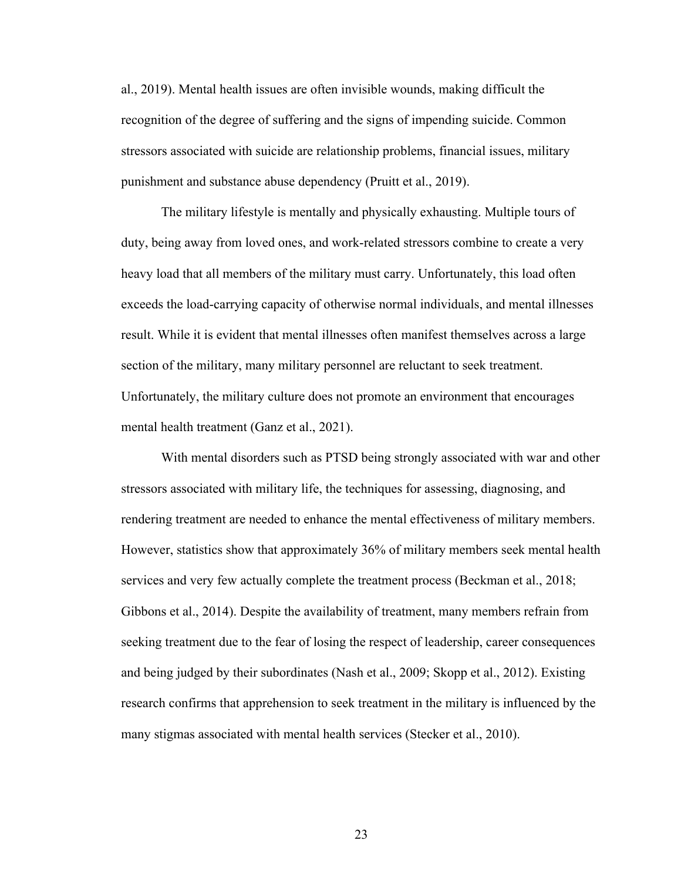al., 2019). Mental health issues are often invisible wounds, making difficult the recognition of the degree of suffering and the signs of impending suicide. Common stressors associated with suicide are relationship problems, financial issues, military punishment and substance abuse dependency (Pruitt et al., 2019).

The military lifestyle is mentally and physically exhausting. Multiple tours of duty, being away from loved ones, and work-related stressors combine to create a very heavy load that all members of the military must carry. Unfortunately, this load often exceeds the load-carrying capacity of otherwise normal individuals, and mental illnesses result. While it is evident that mental illnesses often manifest themselves across a large section of the military, many military personnel are reluctant to seek treatment. Unfortunately, the military culture does not promote an environment that encourages mental health treatment (Ganz et al., 2021).

With mental disorders such as PTSD being strongly associated with war and other stressors associated with military life, the techniques for assessing, diagnosing, and rendering treatment are needed to enhance the mental effectiveness of military members. However, statistics show that approximately 36% of military members seek mental health services and very few actually complete the treatment process (Beckman et al., 2018; Gibbons et al., 2014). Despite the availability of treatment, many members refrain from seeking treatment due to the fear of losing the respect of leadership, career consequences and being judged by their subordinates (Nash et al., 2009; Skopp et al., 2012). Existing research confirms that apprehension to seek treatment in the military is influenced by the many stigmas associated with mental health services (Stecker et al., 2010).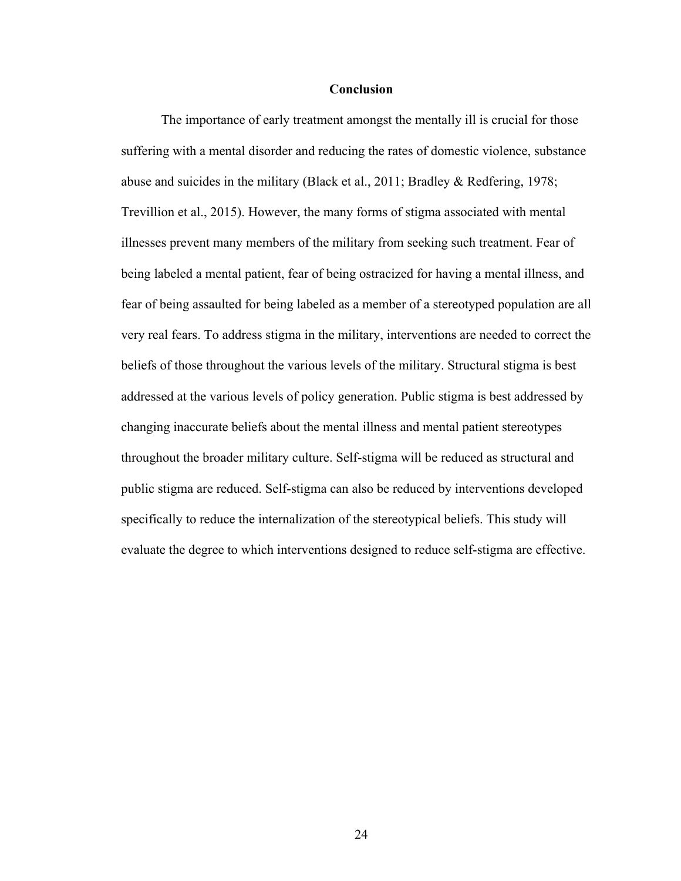#### **Conclusion**

The importance of early treatment amongst the mentally ill is crucial for those suffering with a mental disorder and reducing the rates of domestic violence, substance abuse and suicides in the military (Black et al., 2011; Bradley & Redfering, 1978; Trevillion et al., 2015). However, the many forms of stigma associated with mental illnesses prevent many members of the military from seeking such treatment. Fear of being labeled a mental patient, fear of being ostracized for having a mental illness, and fear of being assaulted for being labeled as a member of a stereotyped population are all very real fears. To address stigma in the military, interventions are needed to correct the beliefs of those throughout the various levels of the military. Structural stigma is best addressed at the various levels of policy generation. Public stigma is best addressed by changing inaccurate beliefs about the mental illness and mental patient stereotypes throughout the broader military culture. Self-stigma will be reduced as structural and public stigma are reduced. Self-stigma can also be reduced by interventions developed specifically to reduce the internalization of the stereotypical beliefs. This study will evaluate the degree to which interventions designed to reduce self-stigma are effective.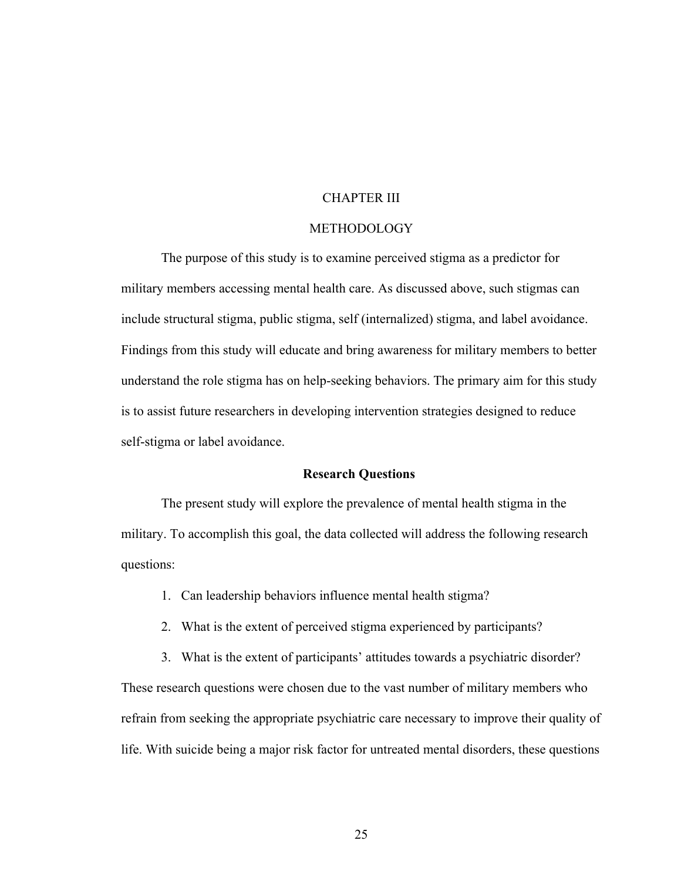### CHAPTER III

### METHODOLOGY

The purpose of this study is to examine perceived stigma as a predictor for military members accessing mental health care. As discussed above, such stigmas can include structural stigma, public stigma, self (internalized) stigma, and label avoidance. Findings from this study will educate and bring awareness for military members to better understand the role stigma has on help-seeking behaviors. The primary aim for this study is to assist future researchers in developing intervention strategies designed to reduce self-stigma or label avoidance.

### **Research Questions**

The present study will explore the prevalence of mental health stigma in the military. To accomplish this goal, the data collected will address the following research questions:

- 1. Can leadership behaviors influence mental health stigma?
- 2. What is the extent of perceived stigma experienced by participants?
- 3. What is the extent of participants' attitudes towards a psychiatric disorder?

These research questions were chosen due to the vast number of military members who refrain from seeking the appropriate psychiatric care necessary to improve their quality of life. With suicide being a major risk factor for untreated mental disorders, these questions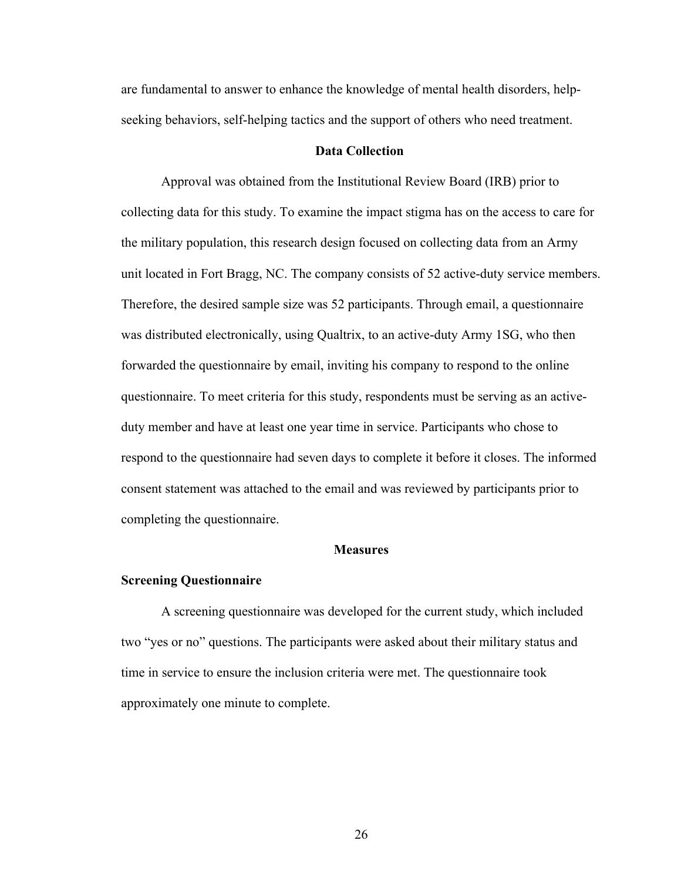are fundamental to answer to enhance the knowledge of mental health disorders, helpseeking behaviors, self-helping tactics and the support of others who need treatment.

#### **Data Collection**

Approval was obtained from the Institutional Review Board (IRB) prior to collecting data for this study. To examine the impact stigma has on the access to care for the military population, this research design focused on collecting data from an Army unit located in Fort Bragg, NC. The company consists of 52 active-duty service members. Therefore, the desired sample size was 52 participants. Through email, a questionnaire was distributed electronically, using Qualtrix, to an active-duty Army 1SG, who then forwarded the questionnaire by email, inviting his company to respond to the online questionnaire. To meet criteria for this study, respondents must be serving as an activeduty member and have at least one year time in service. Participants who chose to respond to the questionnaire had seven days to complete it before it closes. The informed consent statement was attached to the email and was reviewed by participants prior to completing the questionnaire.

### **Measures**

### **Screening Questionnaire**

A screening questionnaire was developed for the current study, which included two "yes or no" questions. The participants were asked about their military status and time in service to ensure the inclusion criteria were met. The questionnaire took approximately one minute to complete.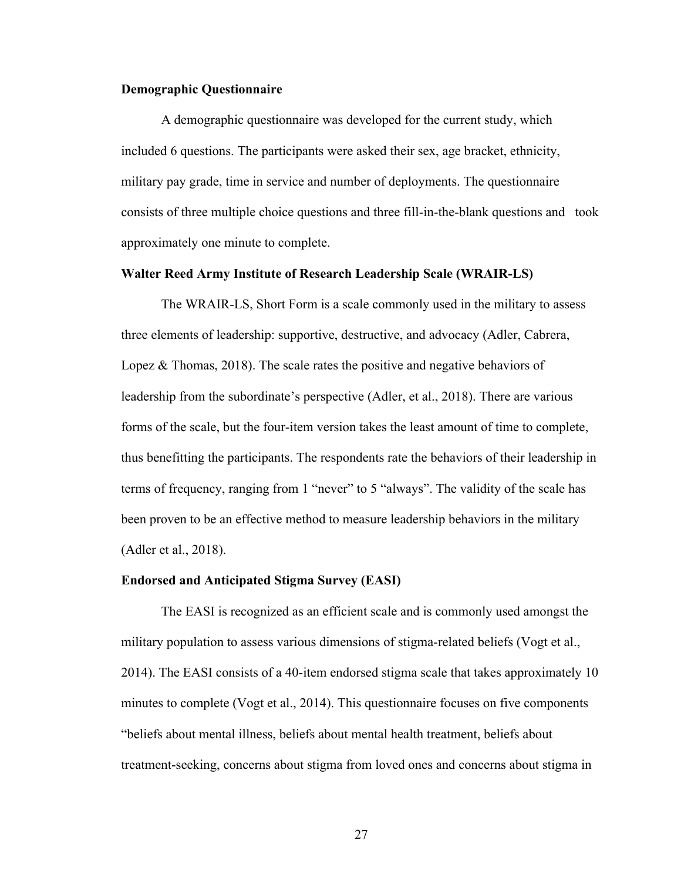### **Demographic Questionnaire**

A demographic questionnaire was developed for the current study, which included 6 questions. The participants were asked their sex, age bracket, ethnicity, military pay grade, time in service and number of deployments. The questionnaire consists of three multiple choice questions and three fill-in-the-blank questions and took approximately one minute to complete.

#### **Walter Reed Army Institute of Research Leadership Scale (WRAIR-LS)**

The WRAIR-LS, Short Form is a scale commonly used in the military to assess three elements of leadership: supportive, destructive, and advocacy (Adler, Cabrera, Lopez  $\&$  Thomas, 2018). The scale rates the positive and negative behaviors of leadership from the subordinate's perspective (Adler, et al., 2018). There are various forms of the scale, but the four-item version takes the least amount of time to complete, thus benefitting the participants. The respondents rate the behaviors of their leadership in terms of frequency, ranging from 1 "never" to 5 "always". The validity of the scale has been proven to be an effective method to measure leadership behaviors in the military (Adler et al., 2018).

#### **Endorsed and Anticipated Stigma Survey (EASI)**

The EASI is recognized as an efficient scale and is commonly used amongst the military population to assess various dimensions of stigma-related beliefs (Vogt et al., 2014). The EASI consists of a 40-item endorsed stigma scale that takes approximately 10 minutes to complete (Vogt et al., 2014). This questionnaire focuses on five components "beliefs about mental illness, beliefs about mental health treatment, beliefs about treatment-seeking, concerns about stigma from loved ones and concerns about stigma in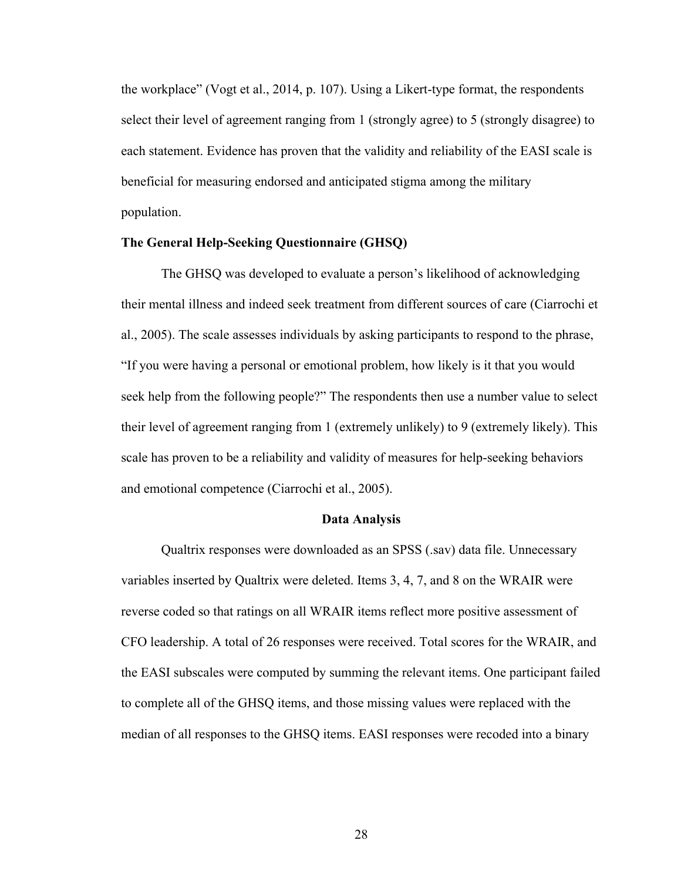the workplace" (Vogt et al., 2014, p. 107). Using a Likert-type format, the respondents select their level of agreement ranging from 1 (strongly agree) to 5 (strongly disagree) to each statement. Evidence has proven that the validity and reliability of the EASI scale is beneficial for measuring endorsed and anticipated stigma among the military population.

### **The General Help-Seeking Questionnaire (GHSQ)**

The GHSQ was developed to evaluate a person's likelihood of acknowledging their mental illness and indeed seek treatment from different sources of care (Ciarrochi et al., 2005). The scale assesses individuals by asking participants to respond to the phrase, "If you were having a personal or emotional problem, how likely is it that you would seek help from the following people?" The respondents then use a number value to select their level of agreement ranging from 1 (extremely unlikely) to 9 (extremely likely). This scale has proven to be a reliability and validity of measures for help-seeking behaviors and emotional competence (Ciarrochi et al., 2005).

### **Data Analysis**

Qualtrix responses were downloaded as an SPSS (.sav) data file. Unnecessary variables inserted by Qualtrix were deleted. Items 3, 4, 7, and 8 on the WRAIR were reverse coded so that ratings on all WRAIR items reflect more positive assessment of CFO leadership. A total of 26 responses were received. Total scores for the WRAIR, and the EASI subscales were computed by summing the relevant items. One participant failed to complete all of the GHSQ items, and those missing values were replaced with the median of all responses to the GHSQ items. EASI responses were recoded into a binary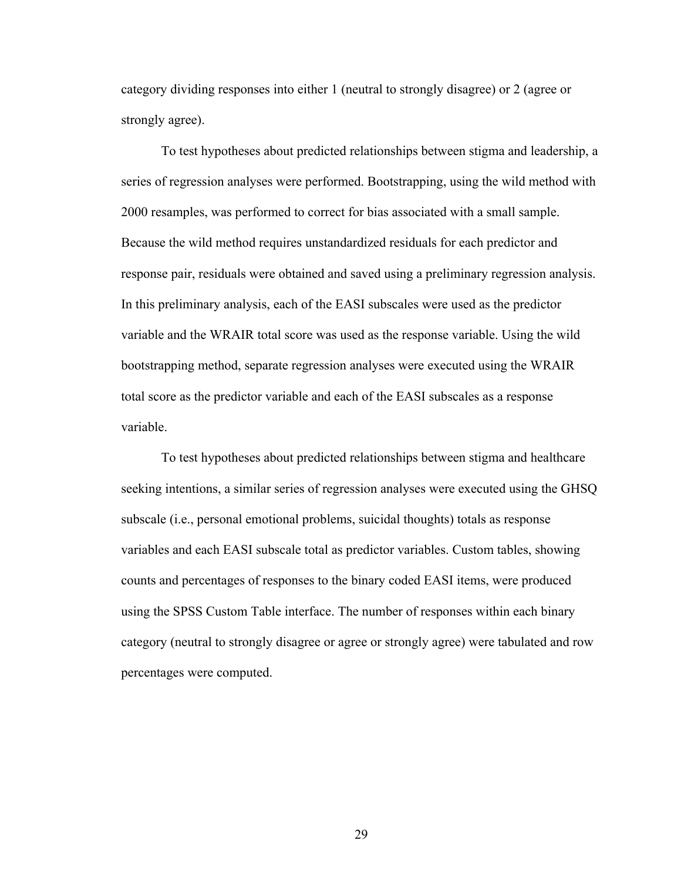category dividing responses into either 1 (neutral to strongly disagree) or 2 (agree or strongly agree).

To test hypotheses about predicted relationships between stigma and leadership, a series of regression analyses were performed. Bootstrapping, using the wild method with 2000 resamples, was performed to correct for bias associated with a small sample. Because the wild method requires unstandardized residuals for each predictor and response pair, residuals were obtained and saved using a preliminary regression analysis. In this preliminary analysis, each of the EASI subscales were used as the predictor variable and the WRAIR total score was used as the response variable. Using the wild bootstrapping method, separate regression analyses were executed using the WRAIR total score as the predictor variable and each of the EASI subscales as a response variable.

To test hypotheses about predicted relationships between stigma and healthcare seeking intentions, a similar series of regression analyses were executed using the GHSQ subscale (i.e., personal emotional problems, suicidal thoughts) totals as response variables and each EASI subscale total as predictor variables. Custom tables, showing counts and percentages of responses to the binary coded EASI items, were produced using the SPSS Custom Table interface. The number of responses within each binary category (neutral to strongly disagree or agree or strongly agree) were tabulated and row percentages were computed.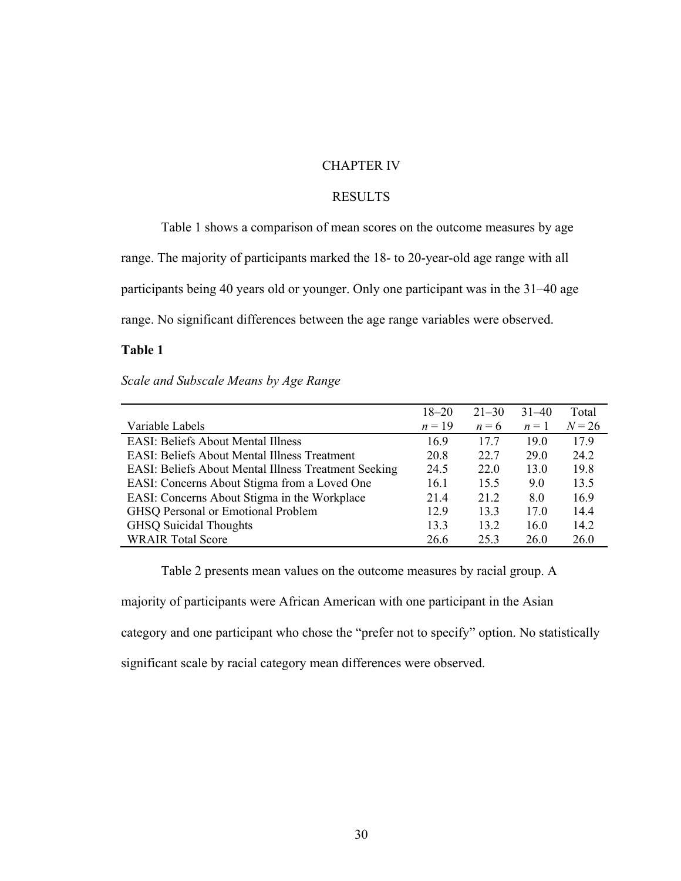### CHAPTER IV

## RESULTS

Table 1 shows a comparison of mean scores on the outcome measures by age range. The majority of participants marked the 18- to 20-year-old age range with all participants being 40 years old or younger. Only one participant was in the 31–40 age range. No significant differences between the age range variables were observed.

### **Table 1**

*Scale and Subscale Means by Age Range* 

|                                                             | $18 - 20$ | $21 - 30$ | $31 - 40$ | Total    |
|-------------------------------------------------------------|-----------|-----------|-----------|----------|
| Variable Labels                                             | $n=19$    | $n = 6$   | $n=1$     | $N = 26$ |
| <b>EASI: Beliefs About Mental Illness</b>                   | 16.9      | 17.7      | 19.0      | 17.9     |
| <b>EASI: Beliefs About Mental Illness Treatment</b>         | 20.8      | 22.7      | 29.0      | 24.2     |
| <b>EASI: Beliefs About Mental Illness Treatment Seeking</b> | 24.5      | 22.0      | 13.0      | 19.8     |
| EASI: Concerns About Stigma from a Loved One                | 16.1      | 15.5      | 9.0       | 13.5     |
| EASI: Concerns About Stigma in the Workplace                | 21.4      | 21.2      | 8.0       | 16.9     |
| <b>GHSQ Personal or Emotional Problem</b>                   | 12.9      | 13.3      | 17.0      | 14.4     |
| <b>GHSQ Suicidal Thoughts</b>                               | 13.3      | 13.2      | 16.0      | 14.2     |
| <b>WRAIR Total Score</b>                                    | 26.6      | 25.3      | 26.0      | 26.0     |

Table 2 presents mean values on the outcome measures by racial group. A

majority of participants were African American with one participant in the Asian

category and one participant who chose the "prefer not to specify" option. No statistically

significant scale by racial category mean differences were observed.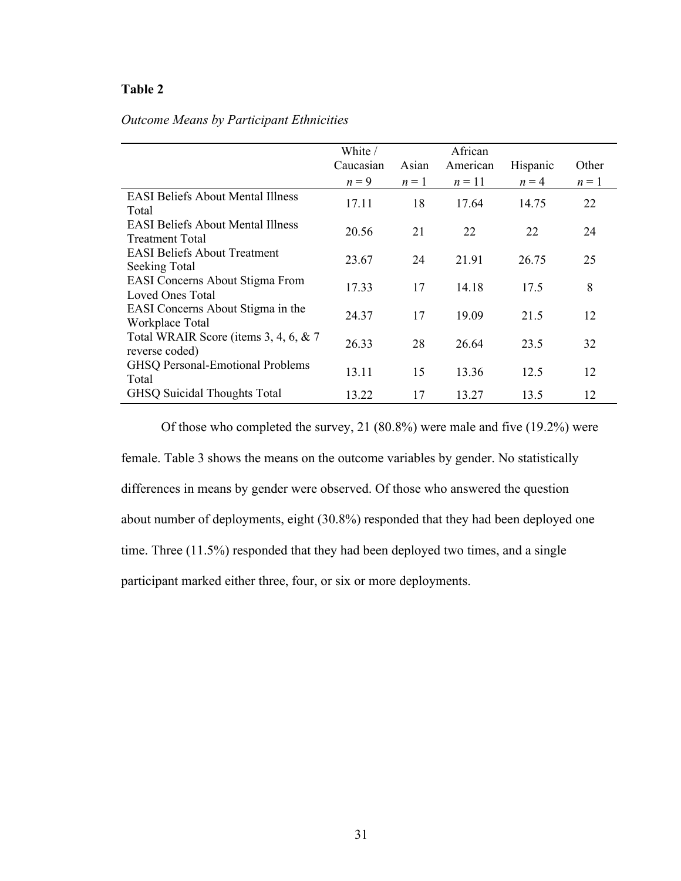|                                          | White /   |       | African  |          |       |
|------------------------------------------|-----------|-------|----------|----------|-------|
|                                          | Caucasian | Asian | American | Hispanic | Other |
|                                          | $n = 9$   | $n=1$ | $n=11$   | $n = 4$  | $n=1$ |
| <b>EASI Beliefs About Mental Illness</b> | 17.11     | 18    | 17.64    | 14.75    | 22    |
| Total                                    |           |       |          |          |       |
| <b>EASI Beliefs About Mental Illness</b> | 20.56     | 21    | 22       | 22       | 24    |
| <b>Treatment Total</b>                   |           |       |          |          |       |
| <b>EASI Beliefs About Treatment</b>      | 23.67     | 24    | 21.91    | 26.75    | 25    |
| Seeking Total                            |           |       |          |          |       |
| EASI Concerns About Stigma From          | 17.33     | 17    | 14.18    | 17.5     | 8     |
| Loved Ones Total                         |           |       |          |          |       |
| EASI Concerns About Stigma in the        | 24.37     | 17    | 19.09    | 21.5     | 12    |
| Workplace Total                          |           |       |          |          |       |
| Total WRAIR Score (items 3, 4, 6, & 7    | 26.33     | 28    | 26.64    | 23.5     | 32    |
| reverse coded)                           |           |       |          |          |       |
| <b>GHSQ Personal-Emotional Problems</b>  | 13.11     | 15    | 13.36    | 12.5     | 12    |
| Total                                    |           |       |          |          |       |
| <b>GHSQ Suicidal Thoughts Total</b>      | 13.22     | 17    | 13.27    | 13.5     | 12    |

# *Outcome Means by Participant Ethnicities*

Of those who completed the survey, 21 (80.8%) were male and five (19.2%) were female. Table 3 shows the means on the outcome variables by gender. No statistically differences in means by gender were observed. Of those who answered the question about number of deployments, eight (30.8%) responded that they had been deployed one time. Three (11.5%) responded that they had been deployed two times, and a single participant marked either three, four, or six or more deployments.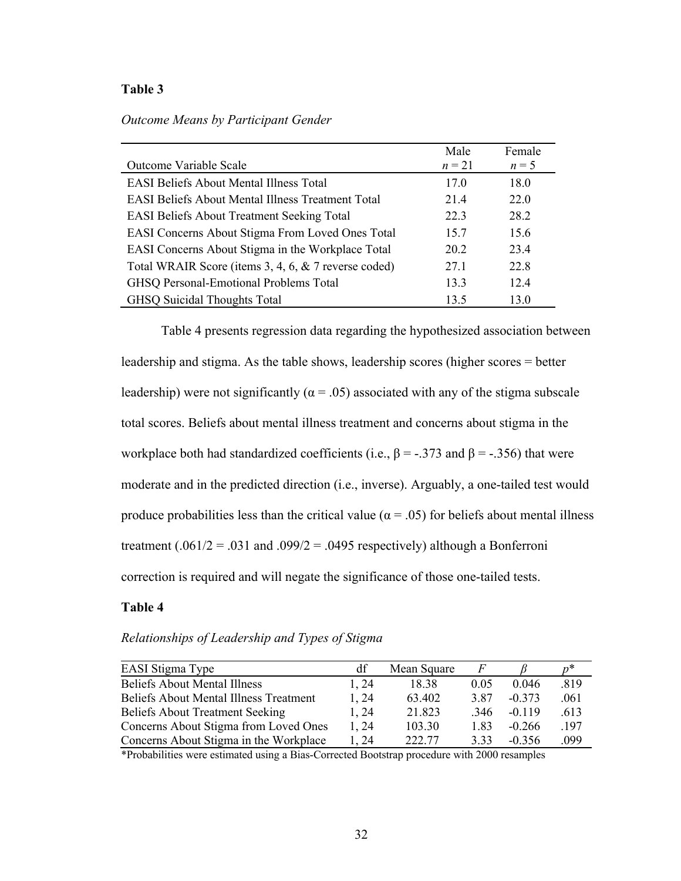|  | Outcome Means by Participant Gender |  |  |  |  |  |
|--|-------------------------------------|--|--|--|--|--|
|--|-------------------------------------|--|--|--|--|--|

|                                                          | Male     | Female  |
|----------------------------------------------------------|----------|---------|
| Outcome Variable Scale                                   | $n = 21$ | $n = 5$ |
| <b>EASI Beliefs About Mental Illness Total</b>           | 17.0     | 18.0    |
| <b>EASI Beliefs About Mental Illness Treatment Total</b> | 21.4     | 22.0    |
| <b>EASI Beliefs About Treatment Seeking Total</b>        | 22.3     | 28.2    |
| EASI Concerns About Stigma From Loved Ones Total         | 15.7     | 15.6    |
| EASI Concerns About Stigma in the Workplace Total        | 20.2     | 23.4    |
| Total WRAIR Score (items 3, 4, 6, & 7 reverse coded)     | 27.1     | 22.8    |
| GHSQ Personal-Emotional Problems Total                   | 13.3     | 12.4    |
| <b>GHSQ Suicidal Thoughts Total</b>                      | 13.5     | 13.0    |

Table 4 presents regression data regarding the hypothesized association between leadership and stigma. As the table shows, leadership scores (higher scores = better leadership) were not significantly ( $\alpha$  = .05) associated with any of the stigma subscale total scores. Beliefs about mental illness treatment and concerns about stigma in the workplace both had standardized coefficients (i.e.,  $\beta$  = -.373 and  $\beta$  = -.356) that were moderate and in the predicted direction (i.e., inverse). Arguably, a one-tailed test would produce probabilities less than the critical value ( $\alpha = .05$ ) for beliefs about mental illness treatment (.061/2 = .031 and .099/2 = .0495 respectively) although a Bonferroni correction is required and will negate the significance of those one-tailed tests.

### **Table 4**

*Relationships of Leadership and Types of Stigma* 

| EASI Stigma Type                              | df    | Mean Square | F    |          |      |
|-----------------------------------------------|-------|-------------|------|----------|------|
| <b>Beliefs About Mental Illness</b>           | 1.24  | 18.38       | 0.05 | 0.046    | .819 |
| <b>Beliefs About Mental Illness Treatment</b> | 1.24  | 63.402      | 3.87 | $-0.373$ | .061 |
| <b>Beliefs About Treatment Seeking</b>        | 1.24  | 21.823      | .346 | $-0.119$ | .613 |
| Concerns About Stigma from Loved Ones         | 1, 24 | 103.30      | 1.83 | $-0.266$ | .197 |
| Concerns About Stigma in the Workplace        | 1.24  | 222.77      | 3.33 | $-0.356$ | .099 |

\*Probabilities were estimated using a Bias-Corrected Bootstrap procedure with 2000 resamples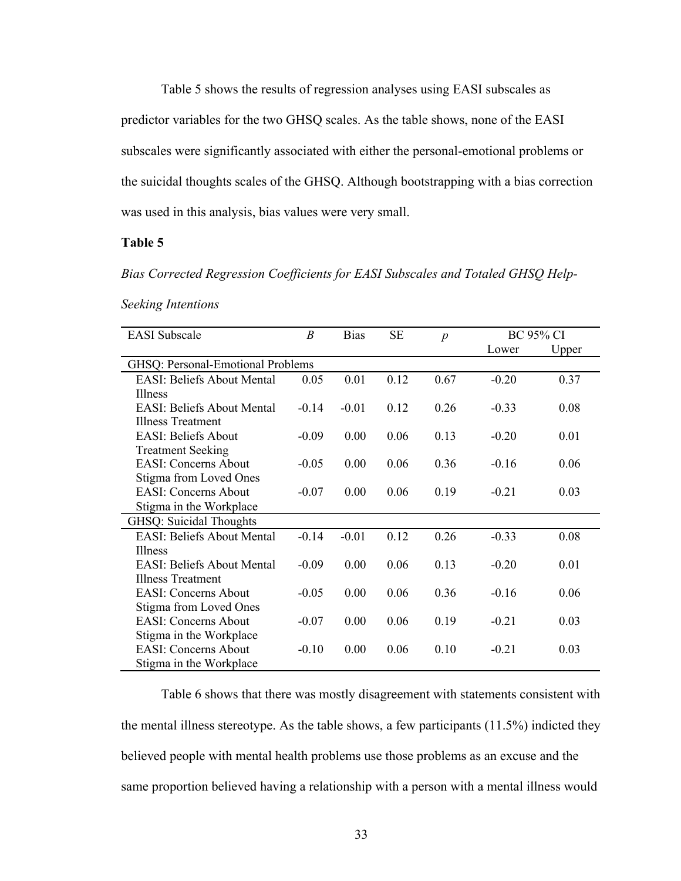Table 5 shows the results of regression analyses using EASI subscales as predictor variables for the two GHSQ scales. As the table shows, none of the EASI subscales were significantly associated with either the personal-emotional problems or the suicidal thoughts scales of the GHSQ. Although bootstrapping with a bias correction was used in this analysis, bias values were very small.

#### **Table 5**

*Bias Corrected Regression Coefficients for EASI Subscales and Totaled GHSQ Help-*

| <b>EASI</b> Subscale              | B       | <b>Bias</b> | <b>SE</b> | $\boldsymbol{p}$ |         | <b>BC 95% CI</b> |
|-----------------------------------|---------|-------------|-----------|------------------|---------|------------------|
|                                   |         |             |           |                  | Lower   | Upper            |
| GHSQ: Personal-Emotional Problems |         |             |           |                  |         |                  |
| <b>EASI: Beliefs About Mental</b> | 0.05    | 0.01        | 0.12      | 0.67             | $-0.20$ | 0.37             |
| <b>Illness</b>                    |         |             |           |                  |         |                  |
| <b>EASI: Beliefs About Mental</b> | $-0.14$ | $-0.01$     | 0.12      | 0.26             | $-0.33$ | 0.08             |
| <b>Illness Treatment</b>          |         |             |           |                  |         |                  |
| <b>EASI: Beliefs About</b>        | $-0.09$ | 0.00        | 0.06      | 0.13             | $-0.20$ | 0.01             |
| <b>Treatment Seeking</b>          |         |             |           |                  |         |                  |
| <b>EASI: Concerns About</b>       | $-0.05$ | 0.00        | 0.06      | 0.36             | $-0.16$ | 0.06             |
| Stigma from Loved Ones            |         |             |           |                  |         |                  |
| <b>EASI: Concerns About</b>       | $-0.07$ | 0.00        | 0.06      | 0.19             | $-0.21$ | 0.03             |
| Stigma in the Workplace           |         |             |           |                  |         |                  |
| GHSQ: Suicidal Thoughts           |         |             |           |                  |         |                  |
| <b>EASI: Beliefs About Mental</b> | $-0.14$ | $-0.01$     | 0.12      | 0.26             | $-0.33$ | 0.08             |
| Illness                           |         |             |           |                  |         |                  |
| <b>EASI: Beliefs About Mental</b> | $-0.09$ | 0.00        | 0.06      | 0.13             | $-0.20$ | 0.01             |
| <b>Illness Treatment</b>          |         |             |           |                  |         |                  |
| <b>EASI: Concerns About</b>       | $-0.05$ | 0.00        | 0.06      | 0.36             | $-0.16$ | 0.06             |
| Stigma from Loved Ones            |         |             |           |                  |         |                  |
| <b>EASI: Concerns About</b>       | $-0.07$ | 0.00        | 0.06      | 0.19             | $-0.21$ | 0.03             |
| Stigma in the Workplace           |         |             |           |                  |         |                  |
| <b>EASI:</b> Concerns About       | $-0.10$ | 0.00        | 0.06      | 0.10             | $-0.21$ | 0.03             |
| Stigma in the Workplace           |         |             |           |                  |         |                  |

*Seeking Intentions* 

Table 6 shows that there was mostly disagreement with statements consistent with the mental illness stereotype. As the table shows, a few participants (11.5%) indicted they believed people with mental health problems use those problems as an excuse and the same proportion believed having a relationship with a person with a mental illness would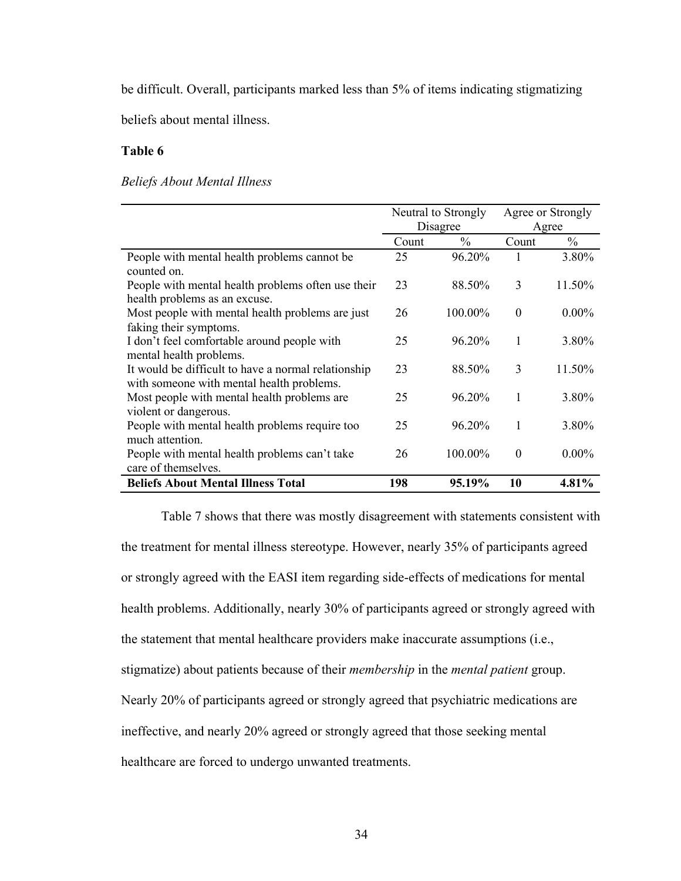be difficult. Overall, participants marked less than 5% of items indicating stigmatizing

beliefs about mental illness.

### **Table 6**

### *Beliefs About Mental Illness*

|                                                     | Neutral to Strongly |         |          | Agree or Strongly |
|-----------------------------------------------------|---------------------|---------|----------|-------------------|
|                                                     | Disagree            |         |          | Agree             |
|                                                     | Count               | $\%$    | Count    | $\%$              |
| People with mental health problems cannot be        | 25                  | 96.20%  | 1        | 3.80%             |
| counted on.                                         |                     |         |          |                   |
| People with mental health problems often use their  | 23                  | 88.50%  | 3        | 11.50%            |
| health problems as an excuse.                       |                     |         |          |                   |
| Most people with mental health problems are just    | 26                  | 100.00% | $\theta$ | $0.00\%$          |
| faking their symptoms.                              |                     |         |          |                   |
| I don't feel comfortable around people with         | 25                  | 96.20%  | 1        | 3.80%             |
| mental health problems.                             |                     |         |          |                   |
| It would be difficult to have a normal relationship | 23                  | 88.50%  | 3        | 11.50%            |
| with someone with mental health problems.           |                     |         |          |                   |
| Most people with mental health problems are         | 25                  | 96.20%  | 1        | 3.80%             |
| violent or dangerous.                               |                     |         |          |                   |
| People with mental health problems require too      | 25                  | 96.20%  | 1        | 3.80%             |
| much attention.                                     |                     |         |          |                   |
| People with mental health problems can't take       | 26                  | 100.00% | $\Omega$ | $0.00\%$          |
| care of themselves.                                 |                     |         |          |                   |
| <b>Beliefs About Mental Illness Total</b>           | 198                 | 95.19%  | 10       | $4.81\%$          |

Table 7 shows that there was mostly disagreement with statements consistent with the treatment for mental illness stereotype. However, nearly 35% of participants agreed or strongly agreed with the EASI item regarding side-effects of medications for mental health problems. Additionally, nearly 30% of participants agreed or strongly agreed with the statement that mental healthcare providers make inaccurate assumptions (i.e., stigmatize) about patients because of their *membership* in the *mental patient* group. Nearly 20% of participants agreed or strongly agreed that psychiatric medications are ineffective, and nearly 20% agreed or strongly agreed that those seeking mental healthcare are forced to undergo unwanted treatments.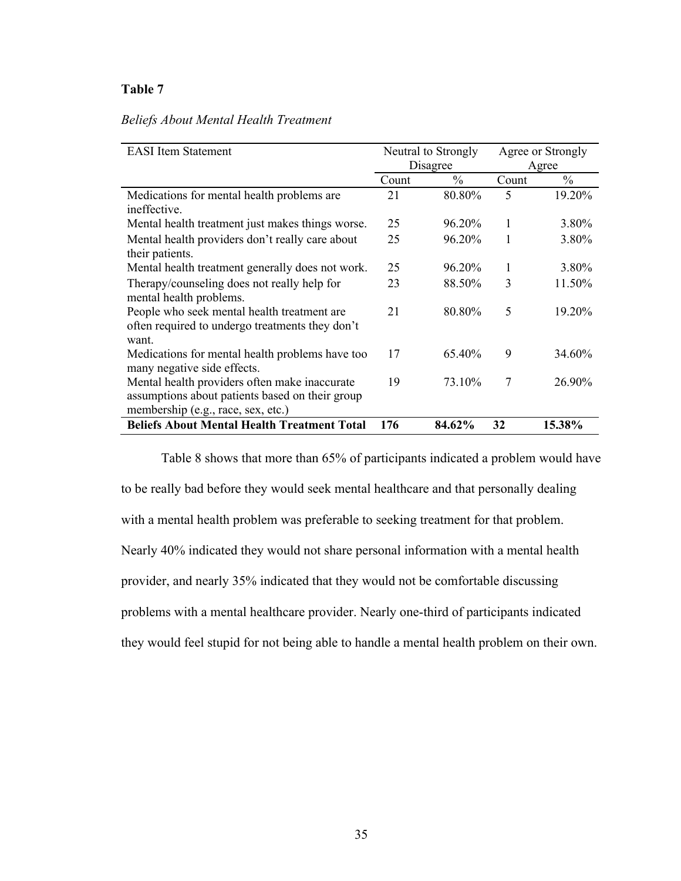## *Beliefs About Mental Health Treatment*

| <b>EASI</b> Item Statement                         | Neutral to Strongly |        | Agree or Strongly |        |
|----------------------------------------------------|---------------------|--------|-------------------|--------|
|                                                    | Disagree            |        |                   | Agree  |
|                                                    | Count               | $\%$   | Count             | $\%$   |
| Medications for mental health problems are         | 21                  | 80.80% | 5                 | 19.20% |
| ineffective.                                       |                     |        |                   |        |
| Mental health treatment just makes things worse.   | 25                  | 96.20% | 1                 | 3.80%  |
| Mental health providers don't really care about    | 25                  | 96.20% | 1                 | 3.80%  |
| their patients.                                    |                     |        |                   |        |
| Mental health treatment generally does not work.   | 25                  | 96.20% | 1                 | 3.80%  |
| Therapy/counseling does not really help for        | 23                  | 88.50% | 3                 | 11.50% |
| mental health problems.                            |                     |        |                   |        |
| People who seek mental health treatment are        | 21                  | 80.80% | 5                 | 19.20% |
| often required to undergo treatments they don't    |                     |        |                   |        |
| want.                                              |                     |        |                   |        |
| Medications for mental health problems have too    | 17                  | 65.40% | 9                 | 34.60% |
| many negative side effects.                        |                     |        |                   |        |
| Mental health providers often make inaccurate      | 19                  | 73.10% | 7                 | 26.90% |
| assumptions about patients based on their group    |                     |        |                   |        |
| membership (e.g., race, sex, etc.)                 |                     |        |                   |        |
| <b>Beliefs About Mental Health Treatment Total</b> | 176                 | 84.62% | 32                | 15.38% |

Table 8 shows that more than 65% of participants indicated a problem would have to be really bad before they would seek mental healthcare and that personally dealing with a mental health problem was preferable to seeking treatment for that problem. Nearly 40% indicated they would not share personal information with a mental health provider, and nearly 35% indicated that they would not be comfortable discussing problems with a mental healthcare provider. Nearly one-third of participants indicated they would feel stupid for not being able to handle a mental health problem on their own.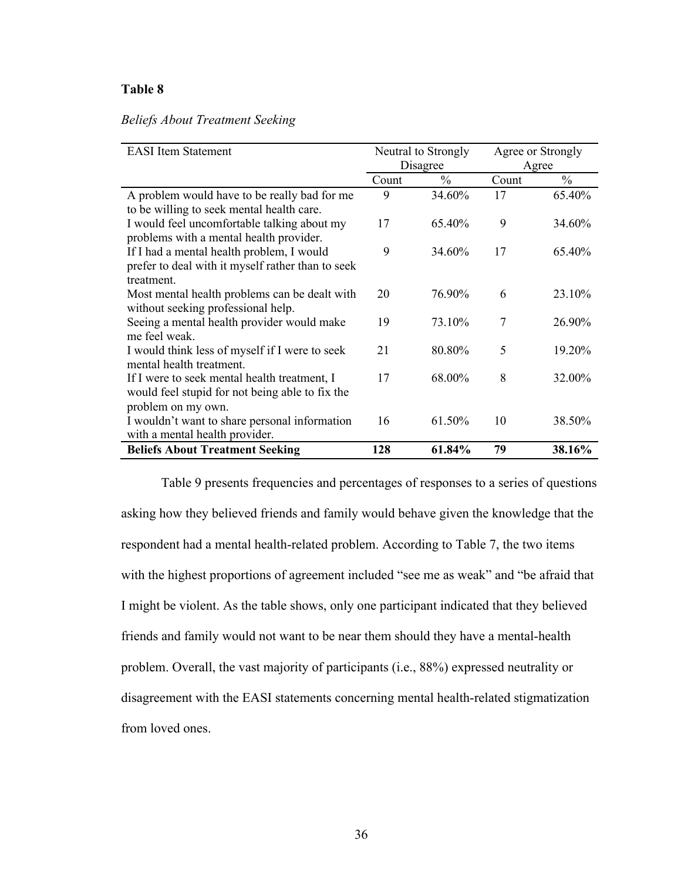### *Beliefs About Treatment Seeking*

| <b>EASI</b> Item Statement                        |          | Neutral to Strongly |       | Agree or Strongly |  |
|---------------------------------------------------|----------|---------------------|-------|-------------------|--|
|                                                   | Disagree |                     |       | Agree             |  |
|                                                   | Count    | $\frac{0}{0}$       | Count | $\frac{0}{0}$     |  |
| A problem would have to be really bad for me      | 9        | 34.60%              | 17    | 65.40%            |  |
| to be willing to seek mental health care.         |          |                     |       |                   |  |
| I would feel uncomfortable talking about my       | 17       | 65.40%              | 9     | 34.60%            |  |
| problems with a mental health provider.           |          |                     |       |                   |  |
| If I had a mental health problem, I would         | 9        | 34.60%              | 17    | 65.40%            |  |
| prefer to deal with it myself rather than to seek |          |                     |       |                   |  |
| treatment.                                        |          |                     |       |                   |  |
| Most mental health problems can be dealt with     | 20       | 76.90%              | 6     | 23.10%            |  |
| without seeking professional help.                |          |                     |       |                   |  |
| Seeing a mental health provider would make        | 19       | 73.10%              | 7     | 26.90%            |  |
| me feel weak.                                     |          |                     |       |                   |  |
| I would think less of myself if I were to seek    | 21       | 80.80%              | 5     | 19.20%            |  |
| mental health treatment.                          |          |                     |       |                   |  |
| If I were to seek mental health treatment, I      | 17       | 68.00%              | 8     | 32.00%            |  |
| would feel stupid for not being able to fix the   |          |                     |       |                   |  |
| problem on my own.                                |          |                     |       |                   |  |
| I wouldn't want to share personal information     | 16       | 61.50%              | 10    | 38.50%            |  |
| with a mental health provider.                    |          |                     |       |                   |  |
| <b>Beliefs About Treatment Seeking</b>            | 128      | 61.84%              | 79    | 38.16%            |  |

Table 9 presents frequencies and percentages of responses to a series of questions asking how they believed friends and family would behave given the knowledge that the respondent had a mental health-related problem. According to Table 7, the two items with the highest proportions of agreement included "see me as weak" and "be afraid that I might be violent. As the table shows, only one participant indicated that they believed friends and family would not want to be near them should they have a mental-health problem. Overall, the vast majority of participants (i.e., 88%) expressed neutrality or disagreement with the EASI statements concerning mental health-related stigmatization from loved ones.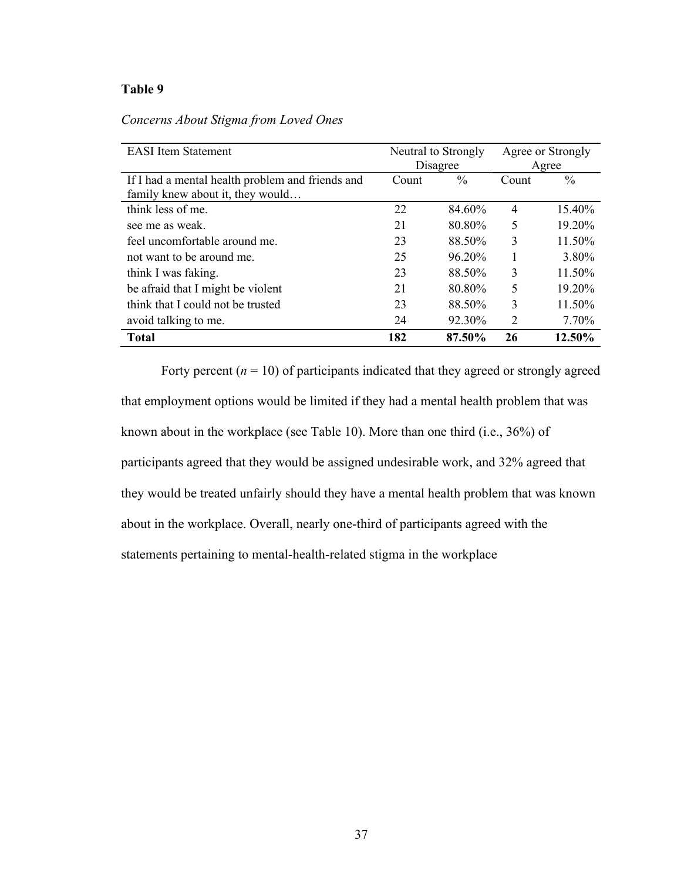| <b>EASI</b> Item Statement                       | Neutral to Strongly |               | Agree or Strongly |        |
|--------------------------------------------------|---------------------|---------------|-------------------|--------|
|                                                  | Disagree            |               | Agree             |        |
| If I had a mental health problem and friends and | Count               | $\frac{0}{0}$ | Count             | $\%$   |
| family knew about it, they would                 |                     |               |                   |        |
| think less of me.                                | 22                  | 84.60%        | $\overline{4}$    | 15.40% |
| see me as weak.                                  | 21                  | 80.80%        | 5                 | 19.20% |
| feel uncomfortable around me.                    | 23                  | 88.50%        | 3                 | 11.50% |
| not want to be around me.                        | 25                  | $96.20\%$     |                   | 3.80%  |
| think I was faking.                              | 23                  | 88.50%        | 3                 | 11.50% |
| be afraid that I might be violent                | 21                  | 80.80%        | 5                 | 19.20% |
| think that I could not be trusted                | 23                  | 88.50%        | 3                 | 11.50% |
| avoid talking to me.                             | 24                  | 92.30%        | 2                 | 7.70%  |
| <b>Total</b>                                     | 182                 | 87.50%        | 26                | 12.50% |

*Concerns About Stigma from Loved Ones* 

Forty percent  $(n = 10)$  of participants indicated that they agreed or strongly agreed that employment options would be limited if they had a mental health problem that was known about in the workplace (see Table 10). More than one third (i.e., 36%) of participants agreed that they would be assigned undesirable work, and 32% agreed that they would be treated unfairly should they have a mental health problem that was known about in the workplace. Overall, nearly one-third of participants agreed with the statements pertaining to mental-health-related stigma in the workplace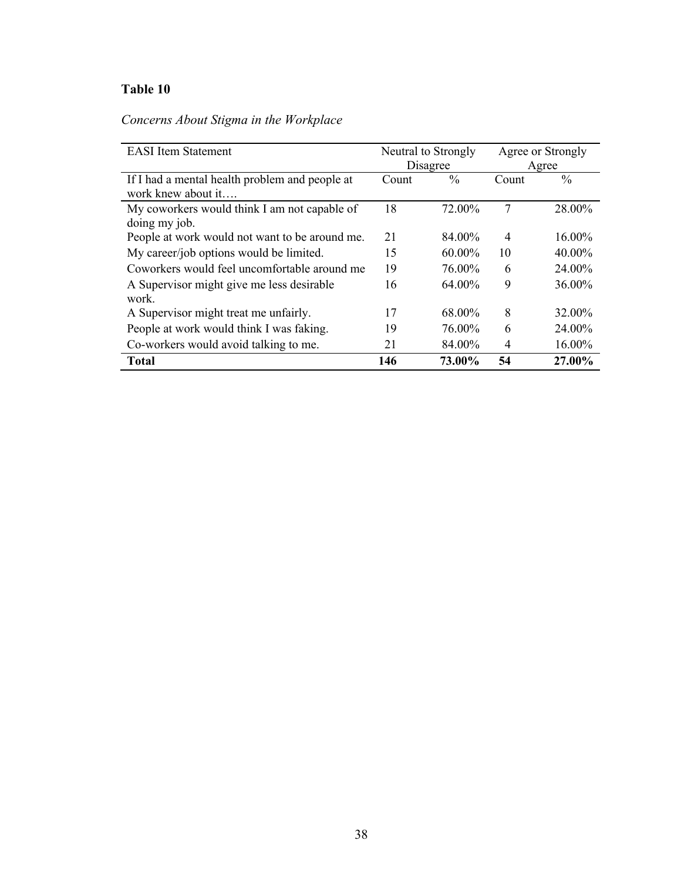*Concerns About Stigma in the Workplace* 

| <b>EASI</b> Item Statement                     | Neutral to Strongly |        | Agree or Strongly |               |
|------------------------------------------------|---------------------|--------|-------------------|---------------|
|                                                | Disagree            |        | Agree             |               |
| If I had a mental health problem and people at | Count               | $\%$   | Count             | $\frac{0}{0}$ |
| work knew about it                             |                     |        |                   |               |
| My coworkers would think I am not capable of   | 18                  | 72.00% | 7                 | 28.00%        |
| doing my job.                                  |                     |        |                   |               |
| People at work would not want to be around me. | 21                  | 84.00% | $\overline{4}$    | 16.00%        |
| My career/job options would be limited.        | 15                  | 60.00% | 10                | 40.00%        |
| Coworkers would feel uncomfortable around me   | 19                  | 76.00% | 6                 | 24.00%        |
| A Supervisor might give me less desirable      | 16                  | 64.00% | 9                 | 36.00%        |
| work.                                          |                     |        |                   |               |
| A Supervisor might treat me unfairly.          | 17                  | 68.00% | 8                 | 32.00%        |
| People at work would think I was faking.       | 19                  | 76.00% | 6                 | 24.00%        |
| Co-workers would avoid talking to me.          | 21                  | 84.00% | $\overline{4}$    | 16.00%        |
| <b>Total</b>                                   | 146                 | 73.00% | 54                | 27.00%        |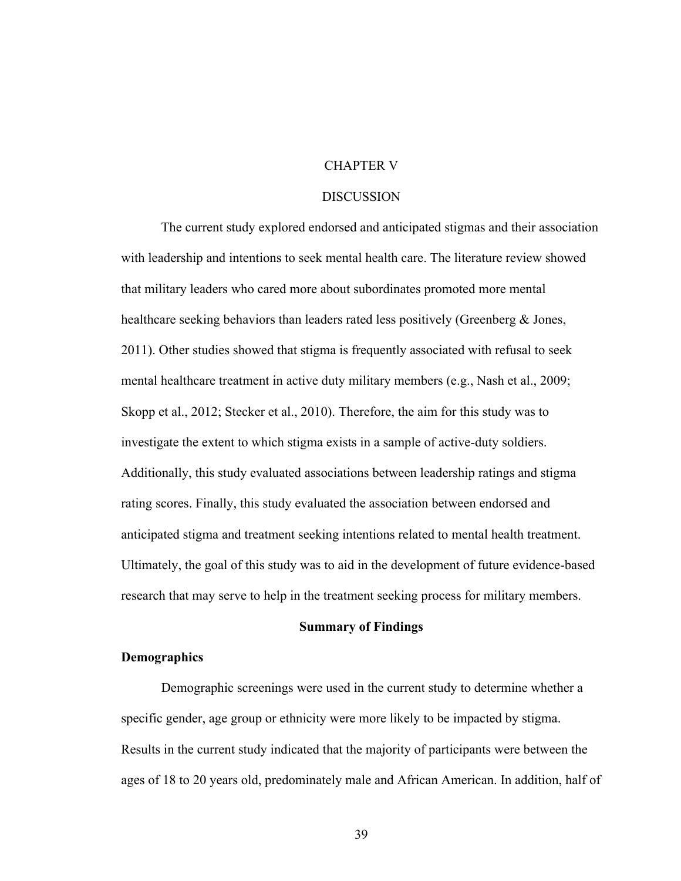### CHAPTER V

#### DISCUSSION

The current study explored endorsed and anticipated stigmas and their association with leadership and intentions to seek mental health care. The literature review showed that military leaders who cared more about subordinates promoted more mental healthcare seeking behaviors than leaders rated less positively (Greenberg & Jones, 2011). Other studies showed that stigma is frequently associated with refusal to seek mental healthcare treatment in active duty military members (e.g., Nash et al., 2009; Skopp et al., 2012; Stecker et al., 2010). Therefore, the aim for this study was to investigate the extent to which stigma exists in a sample of active-duty soldiers. Additionally, this study evaluated associations between leadership ratings and stigma rating scores. Finally, this study evaluated the association between endorsed and anticipated stigma and treatment seeking intentions related to mental health treatment. Ultimately, the goal of this study was to aid in the development of future evidence-based research that may serve to help in the treatment seeking process for military members.

### **Summary of Findings**

### **Demographics**

Demographic screenings were used in the current study to determine whether a specific gender, age group or ethnicity were more likely to be impacted by stigma. Results in the current study indicated that the majority of participants were between the ages of 18 to 20 years old, predominately male and African American. In addition, half of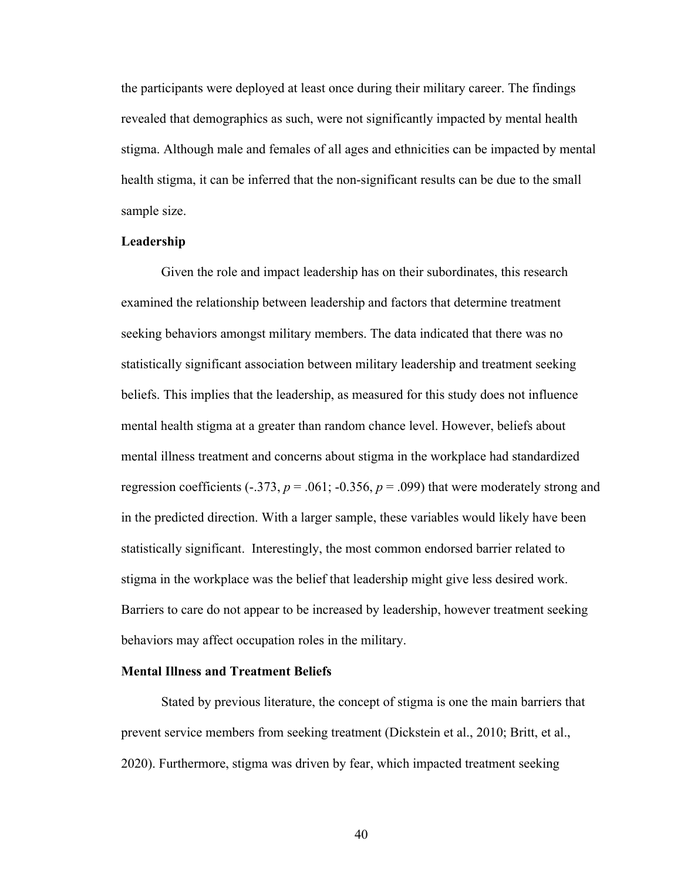the participants were deployed at least once during their military career. The findings revealed that demographics as such, were not significantly impacted by mental health stigma. Although male and females of all ages and ethnicities can be impacted by mental health stigma, it can be inferred that the non-significant results can be due to the small sample size.

### **Leadership**

Given the role and impact leadership has on their subordinates, this research examined the relationship between leadership and factors that determine treatment seeking behaviors amongst military members. The data indicated that there was no statistically significant association between military leadership and treatment seeking beliefs. This implies that the leadership, as measured for this study does not influence mental health stigma at a greater than random chance level. However, beliefs about mental illness treatment and concerns about stigma in the workplace had standardized regression coefficients  $(-.373, p = .061; -0.356, p = .099)$  that were moderately strong and in the predicted direction. With a larger sample, these variables would likely have been statistically significant. Interestingly, the most common endorsed barrier related to stigma in the workplace was the belief that leadership might give less desired work. Barriers to care do not appear to be increased by leadership, however treatment seeking behaviors may affect occupation roles in the military.

#### **Mental Illness and Treatment Beliefs**

Stated by previous literature, the concept of stigma is one the main barriers that prevent service members from seeking treatment (Dickstein et al., 2010; Britt, et al., 2020). Furthermore, stigma was driven by fear, which impacted treatment seeking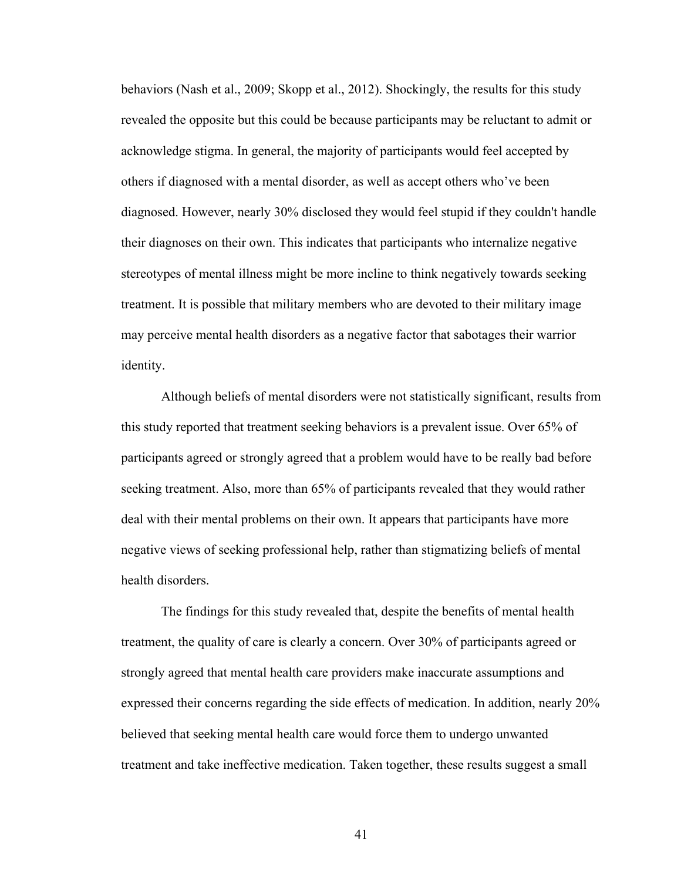behaviors (Nash et al., 2009; Skopp et al., 2012). Shockingly, the results for this study revealed the opposite but this could be because participants may be reluctant to admit or acknowledge stigma. In general, the majority of participants would feel accepted by others if diagnosed with a mental disorder, as well as accept others who've been diagnosed. However, nearly 30% disclosed they would feel stupid if they couldn't handle their diagnoses on their own. This indicates that participants who internalize negative stereotypes of mental illness might be more incline to think negatively towards seeking treatment. It is possible that military members who are devoted to their military image may perceive mental health disorders as a negative factor that sabotages their warrior identity.

Although beliefs of mental disorders were not statistically significant, results from this study reported that treatment seeking behaviors is a prevalent issue. Over 65% of participants agreed or strongly agreed that a problem would have to be really bad before seeking treatment. Also, more than 65% of participants revealed that they would rather deal with their mental problems on their own. It appears that participants have more negative views of seeking professional help, rather than stigmatizing beliefs of mental health disorders.

The findings for this study revealed that, despite the benefits of mental health treatment, the quality of care is clearly a concern. Over 30% of participants agreed or strongly agreed that mental health care providers make inaccurate assumptions and expressed their concerns regarding the side effects of medication. In addition, nearly 20% believed that seeking mental health care would force them to undergo unwanted treatment and take ineffective medication. Taken together, these results suggest a small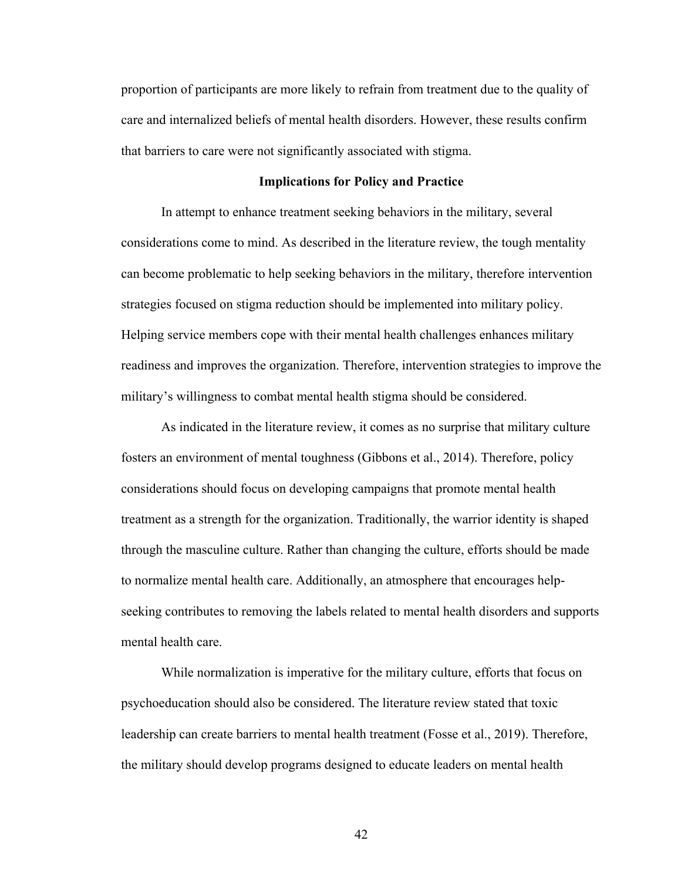proportion of participants are more likely to refrain from treatment due to the quality of care and internalized beliefs of mental health disorders. However, these results confirm that barriers to care were not significantly associated with stigma.

#### **Implications for Policy and Practice**

In attempt to enhance treatment seeking behaviors in the military, several considerations come to mind. As described in the literature review, the tough mentality can become problematic to help seeking behaviors in the military, therefore intervention strategies focused on stigma reduction should be implemented into military policy. Helping service members cope with their mental health challenges enhances military readiness and improves the organization. Therefore, intervention strategies to improve the military's willingness to combat mental health stigma should be considered.

As indicated in the literature review, it comes as no surprise that military culture fosters an environment of mental toughness (Gibbons et al., 2014). Therefore, policy considerations should focus on developing campaigns that promote mental health treatment as a strength for the organization. Traditionally, the warrior identity is shaped through the masculine culture. Rather than changing the culture, efforts should be made to normalize mental health care. Additionally, an atmosphere that encourages helpseeking contributes to removing the labels related to mental health disorders and supports mental health care.

While normalization is imperative for the military culture, efforts that focus on psychoeducation should also be considered. The literature review stated that toxic leadership can create barriers to mental health treatment (Fosse et al., 2019). Therefore, the military should develop programs designed to educate leaders on mental health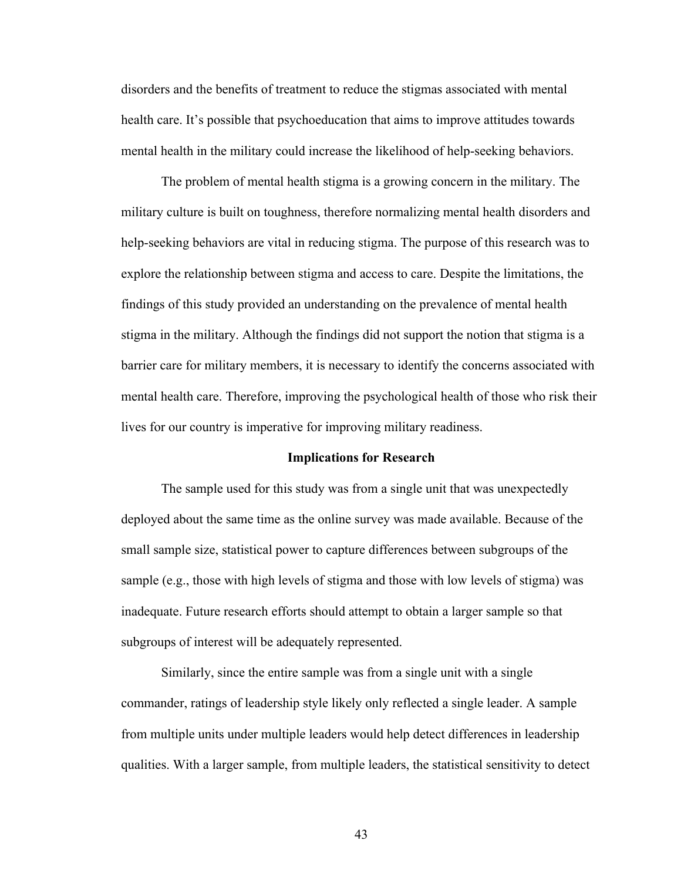disorders and the benefits of treatment to reduce the stigmas associated with mental health care. It's possible that psychoeducation that aims to improve attitudes towards mental health in the military could increase the likelihood of help-seeking behaviors.

The problem of mental health stigma is a growing concern in the military. The military culture is built on toughness, therefore normalizing mental health disorders and help-seeking behaviors are vital in reducing stigma. The purpose of this research was to explore the relationship between stigma and access to care. Despite the limitations, the findings of this study provided an understanding on the prevalence of mental health stigma in the military. Although the findings did not support the notion that stigma is a barrier care for military members, it is necessary to identify the concerns associated with mental health care. Therefore, improving the psychological health of those who risk their lives for our country is imperative for improving military readiness.

#### **Implications for Research**

The sample used for this study was from a single unit that was unexpectedly deployed about the same time as the online survey was made available. Because of the small sample size, statistical power to capture differences between subgroups of the sample (e.g., those with high levels of stigma and those with low levels of stigma) was inadequate. Future research efforts should attempt to obtain a larger sample so that subgroups of interest will be adequately represented.

Similarly, since the entire sample was from a single unit with a single commander, ratings of leadership style likely only reflected a single leader. A sample from multiple units under multiple leaders would help detect differences in leadership qualities. With a larger sample, from multiple leaders, the statistical sensitivity to detect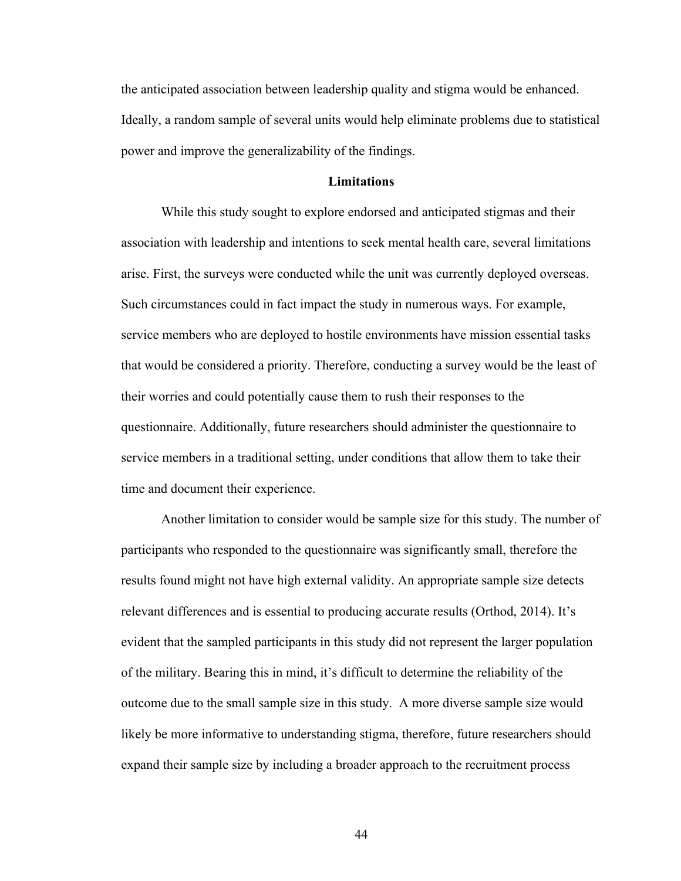the anticipated association between leadership quality and stigma would be enhanced. Ideally, a random sample of several units would help eliminate problems due to statistical power and improve the generalizability of the findings.

#### **Limitations**

While this study sought to explore endorsed and anticipated stigmas and their association with leadership and intentions to seek mental health care, several limitations arise. First, the surveys were conducted while the unit was currently deployed overseas. Such circumstances could in fact impact the study in numerous ways. For example, service members who are deployed to hostile environments have mission essential tasks that would be considered a priority. Therefore, conducting a survey would be the least of their worries and could potentially cause them to rush their responses to the questionnaire. Additionally, future researchers should administer the questionnaire to service members in a traditional setting, under conditions that allow them to take their time and document their experience.

Another limitation to consider would be sample size for this study. The number of participants who responded to the questionnaire was significantly small, therefore the results found might not have high external validity. An appropriate sample size detects relevant differences and is essential to producing accurate results (Orthod, 2014). It's evident that the sampled participants in this study did not represent the larger population of the military. Bearing this in mind, it's difficult to determine the reliability of the outcome due to the small sample size in this study. A more diverse sample size would likely be more informative to understanding stigma, therefore, future researchers should expand their sample size by including a broader approach to the recruitment process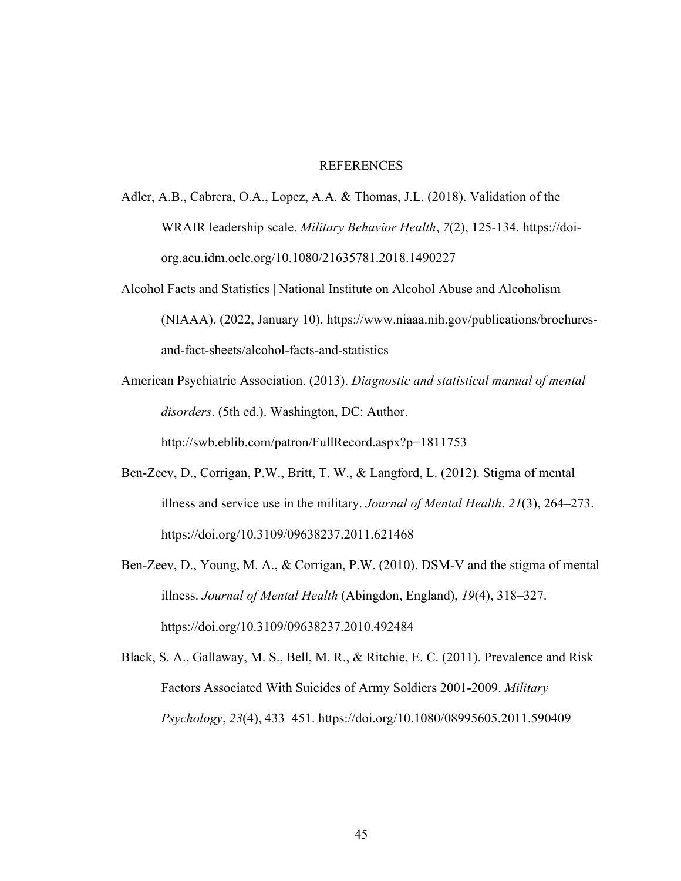### **REFERENCES**

- Adler, A.B., Cabrera, O.A., Lopez, A.A. & Thomas, J.L. (2018). Validation of the WRAIR leadership scale. *Military Behavior Health*, *7*(2), 125-134. https://doiorg.acu.idm.oclc.org/10.1080/21635781.2018.1490227
- Alcohol Facts and Statistics | National Institute on Alcohol Abuse and Alcoholism (NIAAA). (2022, January 10). https://www.niaaa.nih.gov/publications/brochuresand-fact-sheets/alcohol-facts-and-statistics
- American Psychiatric Association. (2013). *Diagnostic and statistical manual of mental disorders*. (5th ed.). Washington, DC: Author. http://swb.eblib.com/patron/FullRecord.aspx?p=1811753
- Ben-Zeev, D., Corrigan, P.W., Britt, T. W., & Langford, L. (2012). Stigma of mental illness and service use in the military. *Journal of Mental Health*, *21*(3), 264–273. https://doi.org/10.3109/09638237.2011.621468
- Ben-Zeev, D., Young, M. A., & Corrigan, P.W. (2010). DSM-V and the stigma of mental illness. *Journal of Mental Health* (Abingdon, England), *19*(4), 318–327. https://doi.org/10.3109/09638237.2010.492484
- Black, S. A., Gallaway, M. S., Bell, M. R., & Ritchie, E. C. (2011). Prevalence and Risk Factors Associated With Suicides of Army Soldiers 2001-2009. *Military Psychology*, *23*(4), 433–451. https://doi.org/10.1080/08995605.2011.590409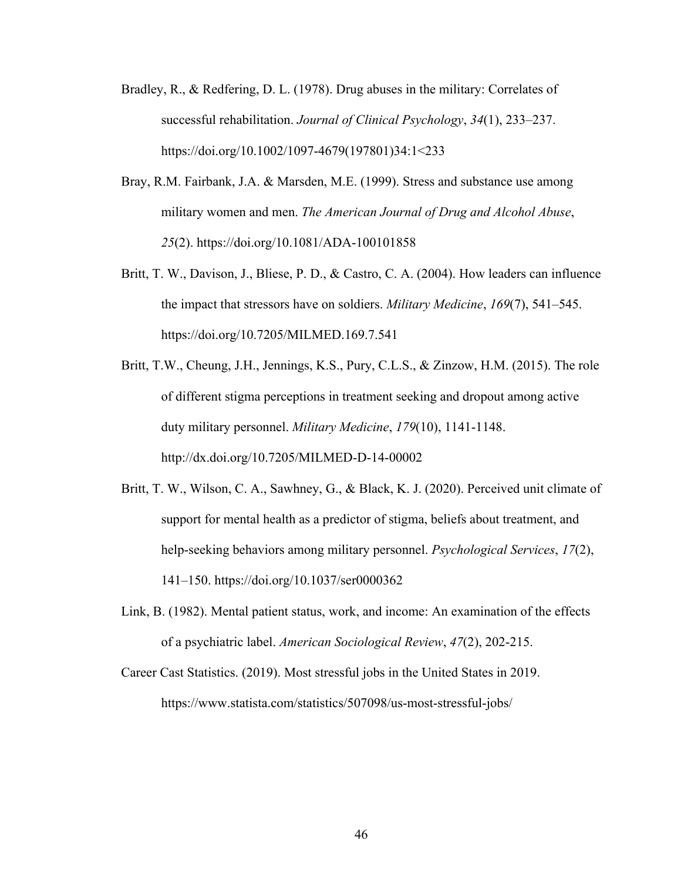- Bradley, R., & Redfering, D. L. (1978). Drug abuses in the military: Correlates of successful rehabilitation. *Journal of Clinical Psychology*, *34*(1), 233–237. https://doi.org/10.1002/1097-4679(197801)34:1<233
- Bray, R.M. Fairbank, J.A. & Marsden, M.E. (1999). Stress and substance use among military women and men. *The American Journal of Drug and Alcohol Abuse*, *25*(2). https://doi.org/10.1081/ADA-100101858
- Britt, T. W., Davison, J., Bliese, P. D., & Castro, C. A. (2004). How leaders can influence the impact that stressors have on soldiers. *Military Medicine*, *169*(7), 541–545. https://doi.org/10.7205/MILMED.169.7.541
- Britt, T.W., Cheung, J.H., Jennings, K.S., Pury, C.L.S., & Zinzow, H.M. (2015). The role of different stigma perceptions in treatment seeking and dropout among active duty military personnel. *Military Medicine*, *179*(10), 1141-1148. http://dx.doi.org/10.7205/MILMED-D-14-00002
- Britt, T. W., Wilson, C. A., Sawhney, G., & Black, K. J. (2020). Perceived unit climate of support for mental health as a predictor of stigma, beliefs about treatment, and help-seeking behaviors among military personnel. *Psychological Services*, *17*(2), 141–150. https://doi.org/10.1037/ser0000362
- Link, B. (1982). Mental patient status, work, and income: An examination of the effects of a psychiatric label. *American Sociological Review*, *47*(2), 202-215.
- Career Cast Statistics. (2019). Most stressful jobs in the United States in 2019. https://www.statista.com/statistics/507098/us-most-stressful-jobs/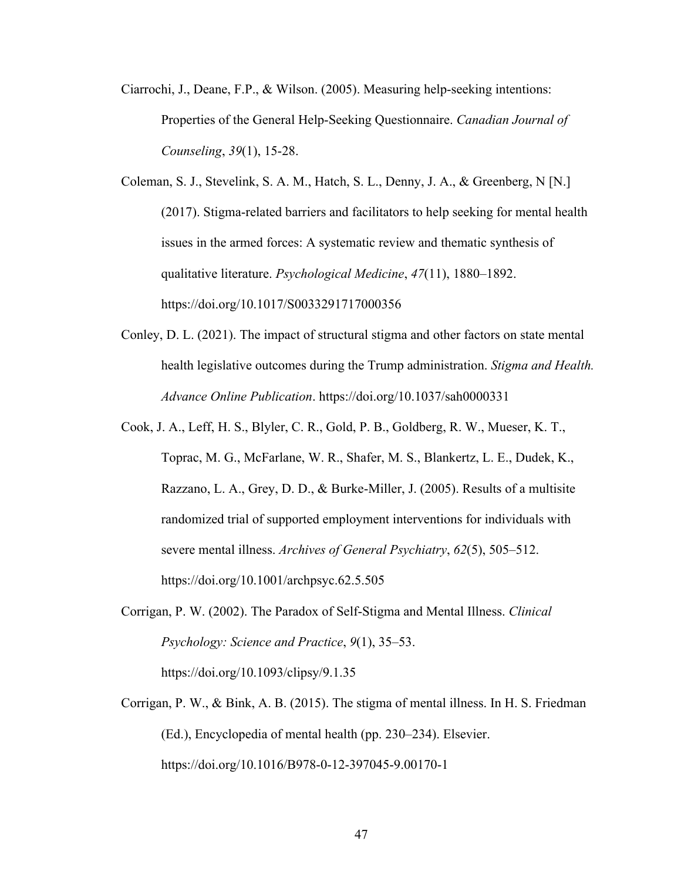- Ciarrochi, J., Deane, F.P., & Wilson. (2005). Measuring help-seeking intentions: Properties of the General Help-Seeking Questionnaire. *Canadian Journal of Counseling*, *39*(1), 15-28.
- Coleman, S. J., Stevelink, S. A. M., Hatch, S. L., Denny, J. A., & Greenberg, N [N.] (2017). Stigma-related barriers and facilitators to help seeking for mental health issues in the armed forces: A systematic review and thematic synthesis of qualitative literature. *Psychological Medicine*, *47*(11), 1880–1892. https://doi.org/10.1017/S0033291717000356
- Conley, D. L. (2021). The impact of structural stigma and other factors on state mental health legislative outcomes during the Trump administration. *Stigma and Health. Advance Online Publication*. https://doi.org/10.1037/sah0000331
- Cook, J. A., Leff, H. S., Blyler, C. R., Gold, P. B., Goldberg, R. W., Mueser, K. T., Toprac, M. G., McFarlane, W. R., Shafer, M. S., Blankertz, L. E., Dudek, K., Razzano, L. A., Grey, D. D., & Burke-Miller, J. (2005). Results of a multisite randomized trial of supported employment interventions for individuals with severe mental illness. *Archives of General Psychiatry*, *62*(5), 505–512. https://doi.org/10.1001/archpsyc.62.5.505
- Corrigan, P. W. (2002). The Paradox of Self-Stigma and Mental Illness. *Clinical Psychology: Science and Practice*, *9*(1), 35–53. https://doi.org/10.1093/clipsy/9.1.35
- Corrigan, P. W., & Bink, A. B. (2015). The stigma of mental illness. In H. S. Friedman (Ed.), Encyclopedia of mental health (pp. 230–234). Elsevier. https://doi.org/10.1016/B978-0-12-397045-9.00170-1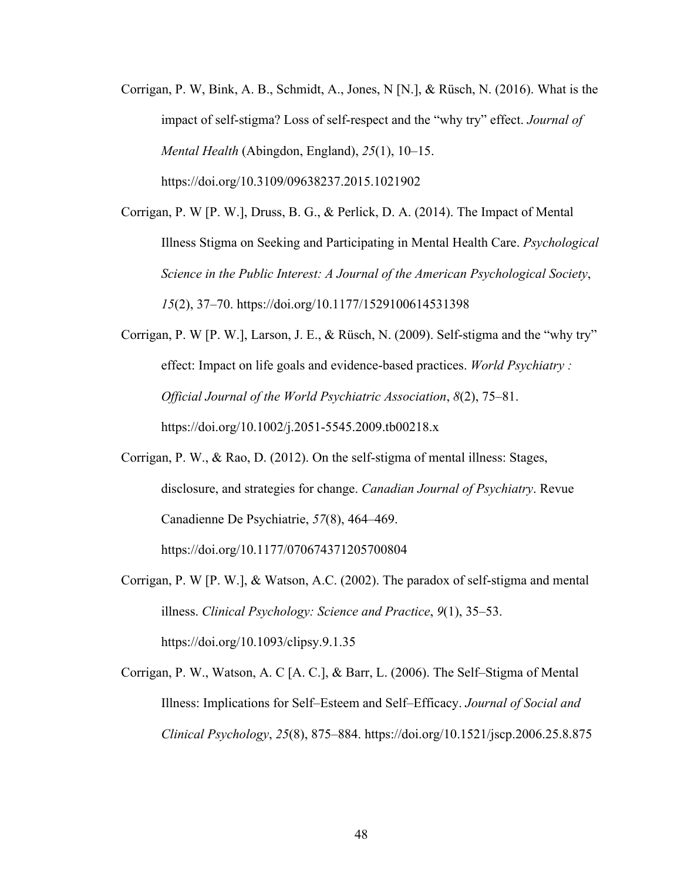- Corrigan, P. W, Bink, A. B., Schmidt, A., Jones, N [N.], & Rüsch, N. (2016). What is the impact of self-stigma? Loss of self-respect and the "why try" effect. *Journal of Mental Health* (Abingdon, England), *25*(1), 10–15. https://doi.org/10.3109/09638237.2015.1021902
- Corrigan, P. W [P. W.], Druss, B. G., & Perlick, D. A. (2014). The Impact of Mental Illness Stigma on Seeking and Participating in Mental Health Care. *Psychological Science in the Public Interest: A Journal of the American Psychological Society*, *15*(2), 37–70. https://doi.org/10.1177/1529100614531398
- Corrigan, P. W [P. W.], Larson, J. E., & Rüsch, N. (2009). Self-stigma and the "why try" effect: Impact on life goals and evidence-based practices. *World Psychiatry : Official Journal of the World Psychiatric Association*, *8*(2), 75–81. https://doi.org/10.1002/j.2051-5545.2009.tb00218.x
- Corrigan, P. W., & Rao, D. (2012). On the self-stigma of mental illness: Stages, disclosure, and strategies for change. *Canadian Journal of Psychiatry*. Revue Canadienne De Psychiatrie, *57*(8), 464–469. https://doi.org/10.1177/070674371205700804
- Corrigan, P. W [P. W.], & Watson, A.C. (2002). The paradox of self-stigma and mental illness. *Clinical Psychology: Science and Practice*, *9*(1), 35–53. https://doi.org/10.1093/clipsy.9.1.35
- Corrigan, P. W., Watson, A. C [A. C.], & Barr, L. (2006). The Self–Stigma of Mental Illness: Implications for Self–Esteem and Self–Efficacy. *Journal of Social and Clinical Psychology*, *25*(8), 875–884. https://doi.org/10.1521/jscp.2006.25.8.875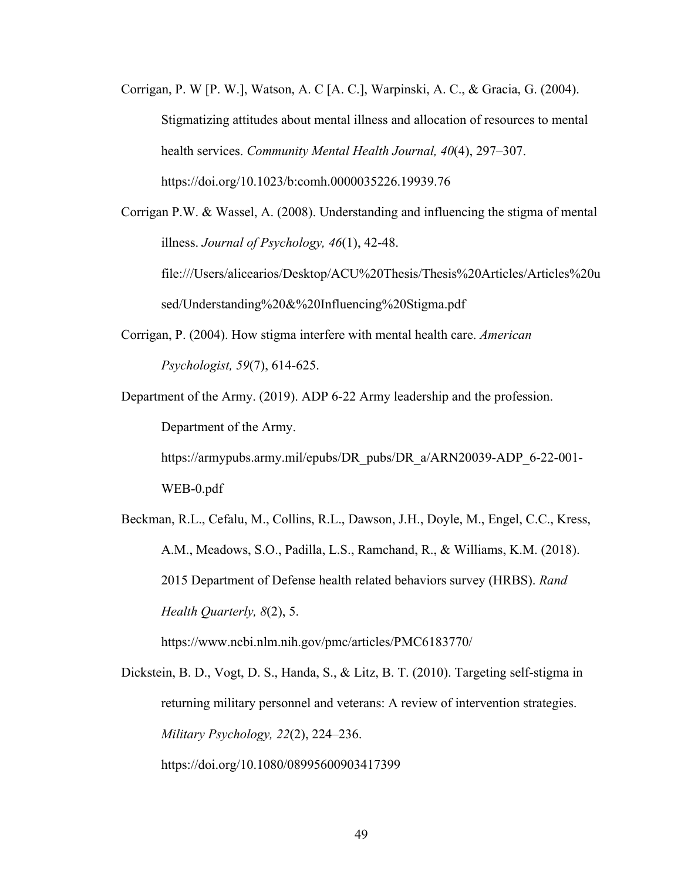- Corrigan, P. W [P. W.], Watson, A. C [A. C.], Warpinski, A. C., & Gracia, G. (2004). Stigmatizing attitudes about mental illness and allocation of resources to mental health services. *Community Mental Health Journal, 40*(4), 297–307. https://doi.org/10.1023/b:comh.0000035226.19939.76
- Corrigan P.W. & Wassel, A. (2008). Understanding and influencing the stigma of mental illness. *Journal of Psychology, 46*(1), 42-48. file:///Users/alicearios/Desktop/ACU%20Thesis/Thesis%20Articles/Articles%20u sed/Understanding%20&%20Influencing%20Stigma.pdf
- Corrigan, P. (2004). How stigma interfere with mental health care. *American Psychologist, 59*(7), 614-625.
- Department of the Army. (2019). ADP 6-22 Army leadership and the profession. Department of the Army. https://armypubs.army.mil/epubs/DR\_pubs/DR\_a/ARN20039-ADP\_6-22-001- WEB-0.pdf
- Beckman, R.L., Cefalu, M., Collins, R.L., Dawson, J.H., Doyle, M., Engel, C.C., Kress, A.M., Meadows, S.O., Padilla, L.S., Ramchand, R., & Williams, K.M. (2018). 2015 Department of Defense health related behaviors survey (HRBS). *Rand Health Quarterly, 8*(2), 5. https://www.ncbi.nlm.nih.gov/pmc/articles/PMC6183770/

Dickstein, B. D., Vogt, D. S., Handa, S., & Litz, B. T. (2010). Targeting self-stigma in returning military personnel and veterans: A review of intervention strategies. *Military Psychology, 22*(2), 224–236. https://doi.org/10.1080/08995600903417399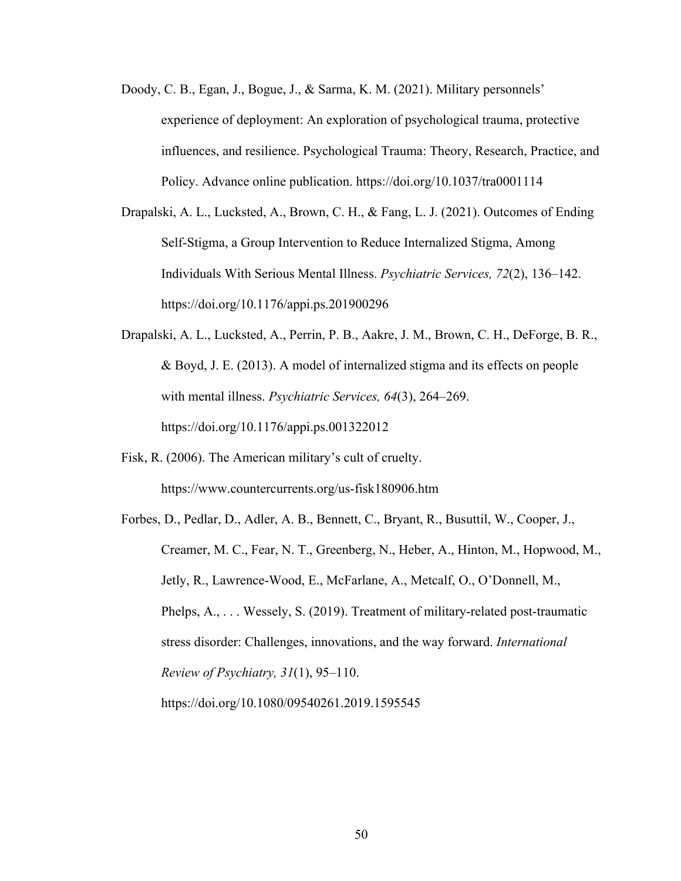- Doody, C. B., Egan, J., Bogue, J., & Sarma, K. M. (2021). Military personnels' experience of deployment: An exploration of psychological trauma, protective influences, and resilience. Psychological Trauma: Theory, Research, Practice, and Policy. Advance online publication. https://doi.org/10.1037/tra0001114
- Drapalski, A. L., Lucksted, A., Brown, C. H., & Fang, L. J. (2021). Outcomes of Ending Self-Stigma, a Group Intervention to Reduce Internalized Stigma, Among Individuals With Serious Mental Illness. *Psychiatric Services, 72*(2), 136–142. https://doi.org/10.1176/appi.ps.201900296
- Drapalski, A. L., Lucksted, A., Perrin, P. B., Aakre, J. M., Brown, C. H., DeForge, B. R., & Boyd, J. E. (2013). A model of internalized stigma and its effects on people with mental illness. *Psychiatric Services, 64*(3), 264–269. https://doi.org/10.1176/appi.ps.001322012
- Fisk, R. (2006). The American military's cult of cruelty. https://www.countercurrents.org/us-fisk180906.htm
- Forbes, D., Pedlar, D., Adler, A. B., Bennett, C., Bryant, R., Busuttil, W., Cooper, J., Creamer, M. C., Fear, N. T., Greenberg, N., Heber, A., Hinton, M., Hopwood, M., Jetly, R., Lawrence-Wood, E., McFarlane, A., Metcalf, O., O'Donnell, M., Phelps, A., ... Wessely, S. (2019). Treatment of military-related post-traumatic stress disorder: Challenges, innovations, and the way forward. *International Review of Psychiatry, 31*(1), 95–110.

https://doi.org/10.1080/09540261.2019.1595545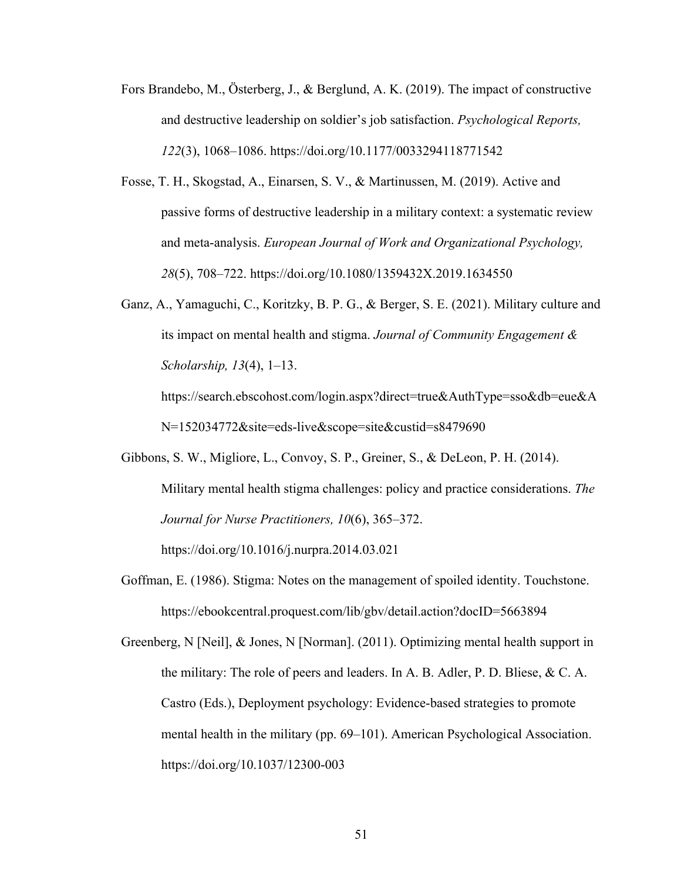- Fors Brandebo, M., Österberg, J., & Berglund, A. K. (2019). The impact of constructive and destructive leadership on soldier's job satisfaction. *Psychological Reports, 122*(3), 1068–1086. https://doi.org/10.1177/0033294118771542
- Fosse, T. H., Skogstad, A., Einarsen, S. V., & Martinussen, M. (2019). Active and passive forms of destructive leadership in a military context: a systematic review and meta-analysis. *European Journal of Work and Organizational Psychology, 28*(5), 708–722. https://doi.org/10.1080/1359432X.2019.1634550
- Ganz, A., Yamaguchi, C., Koritzky, B. P. G., & Berger, S. E. (2021). Military culture and its impact on mental health and stigma. *Journal of Community Engagement & Scholarship, 13*(4), 1–13. https://search.ebscohost.com/login.aspx?direct=true&AuthType=sso&db=eue&A

N=152034772&site=eds-live&scope=site&custid=s8479690

Gibbons, S. W., Migliore, L., Convoy, S. P., Greiner, S., & DeLeon, P. H. (2014). Military mental health stigma challenges: policy and practice considerations. *The Journal for Nurse Practitioners, 10*(6), 365–372.

https://doi.org/10.1016/j.nurpra.2014.03.021

Goffman, E. (1986). Stigma: Notes on the management of spoiled identity. Touchstone. https://ebookcentral.proquest.com/lib/gbv/detail.action?docID=5663894

Greenberg, N [Neil], & Jones, N [Norman]. (2011). Optimizing mental health support in the military: The role of peers and leaders. In A. B. Adler, P. D. Bliese, & C. A. Castro (Eds.), Deployment psychology: Evidence-based strategies to promote mental health in the military (pp. 69–101). American Psychological Association. https://doi.org/10.1037/12300-003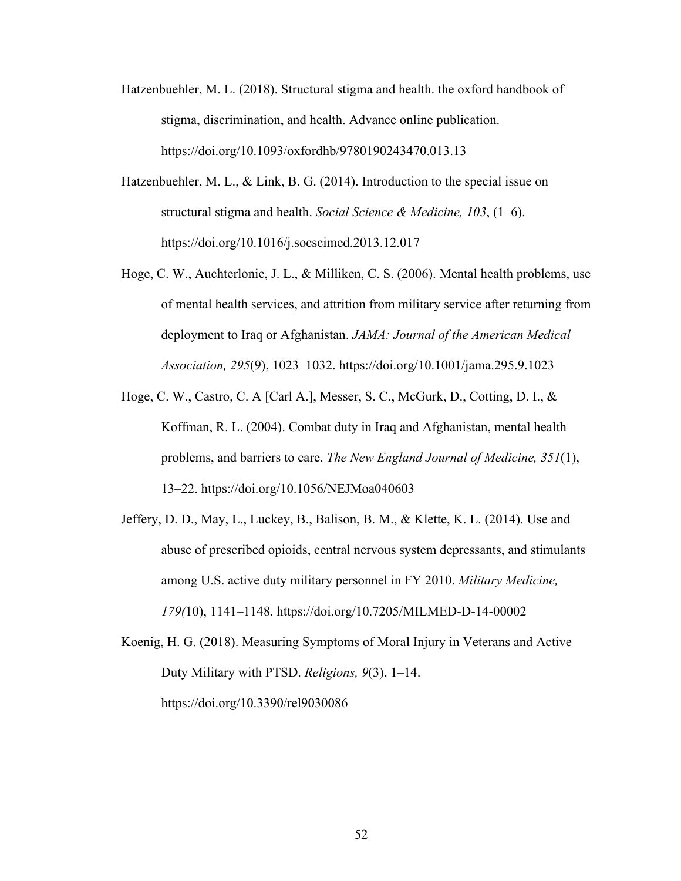- Hatzenbuehler, M. L. (2018). Structural stigma and health. the oxford handbook of stigma, discrimination, and health. Advance online publication. https://doi.org/10.1093/oxfordhb/9780190243470.013.13
- Hatzenbuehler, M. L., & Link, B. G. (2014). Introduction to the special issue on structural stigma and health. *Social Science & Medicine, 103*, (1–6). https://doi.org/10.1016/j.socscimed.2013.12.017
- Hoge, C. W., Auchterlonie, J. L., & Milliken, C. S. (2006). Mental health problems, use of mental health services, and attrition from military service after returning from deployment to Iraq or Afghanistan. *JAMA: Journal of the American Medical Association, 295*(9), 1023–1032. https://doi.org/10.1001/jama.295.9.1023
- Hoge, C. W., Castro, C. A [Carl A.], Messer, S. C., McGurk, D., Cotting, D. I., & Koffman, R. L. (2004). Combat duty in Iraq and Afghanistan, mental health problems, and barriers to care. *The New England Journal of Medicine, 351*(1), 13–22. https://doi.org/10.1056/NEJMoa040603
- Jeffery, D. D., May, L., Luckey, B., Balison, B. M., & Klette, K. L. (2014). Use and abuse of prescribed opioids, central nervous system depressants, and stimulants among U.S. active duty military personnel in FY 2010. *Military Medicine, 179(*10), 1141–1148. https://doi.org/10.7205/MILMED-D-14-00002
- Koenig, H. G. (2018). Measuring Symptoms of Moral Injury in Veterans and Active Duty Military with PTSD. *Religions, 9*(3), 1–14. https://doi.org/10.3390/rel9030086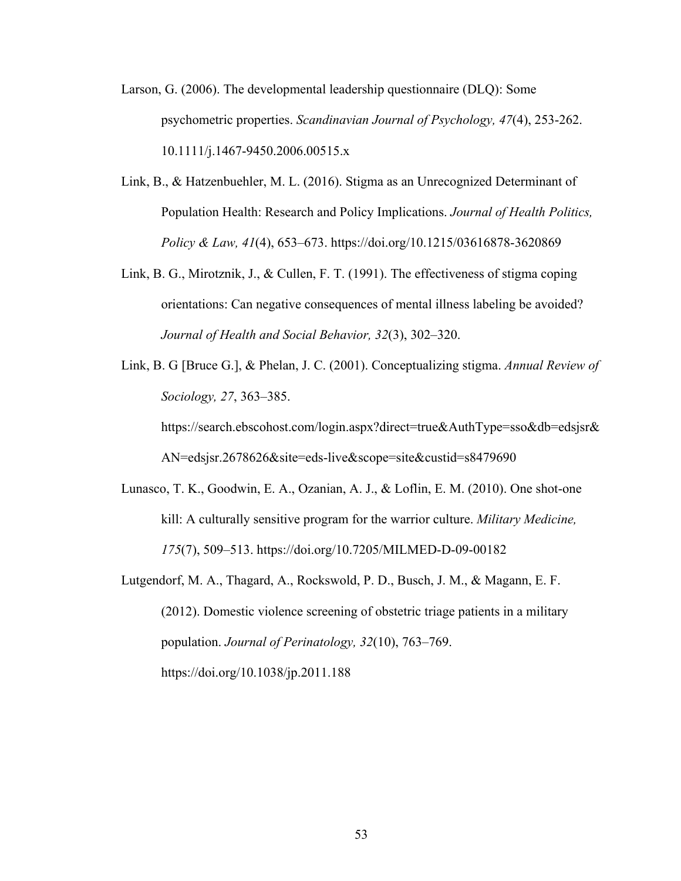- Larson, G. (2006). The developmental leadership questionnaire (DLQ): Some psychometric properties. *Scandinavian Journal of Psychology, 47*(4), 253-262. 10.1111/j.1467-9450.2006.00515.x
- Link, B., & Hatzenbuehler, M. L. (2016). Stigma as an Unrecognized Determinant of Population Health: Research and Policy Implications. *Journal of Health Politics, Policy & Law, 41*(4), 653–673. https://doi.org/10.1215/03616878-3620869
- Link, B. G., Mirotznik, J., & Cullen, F. T. (1991). The effectiveness of stigma coping orientations: Can negative consequences of mental illness labeling be avoided? *Journal of Health and Social Behavior, 32*(3), 302–320.
- Link, B. G [Bruce G.], & Phelan, J. C. (2001). Conceptualizing stigma. *Annual Review of Sociology, 27*, 363–385. https://search.ebscohost.com/login.aspx?direct=true&AuthType=sso&db=edsjsr& AN=edsjsr.2678626&site=eds-live&scope=site&custid=s8479690
- Lunasco, T. K., Goodwin, E. A., Ozanian, A. J., & Loflin, E. M. (2010). One shot-one kill: A culturally sensitive program for the warrior culture. *Military Medicine, 175*(7), 509–513. https://doi.org/10.7205/MILMED-D-09-00182
- Lutgendorf, M. A., Thagard, A., Rockswold, P. D., Busch, J. M., & Magann, E. F. (2012). Domestic violence screening of obstetric triage patients in a military population. *Journal of Perinatology, 32*(10), 763–769. https://doi.org/10.1038/jp.2011.188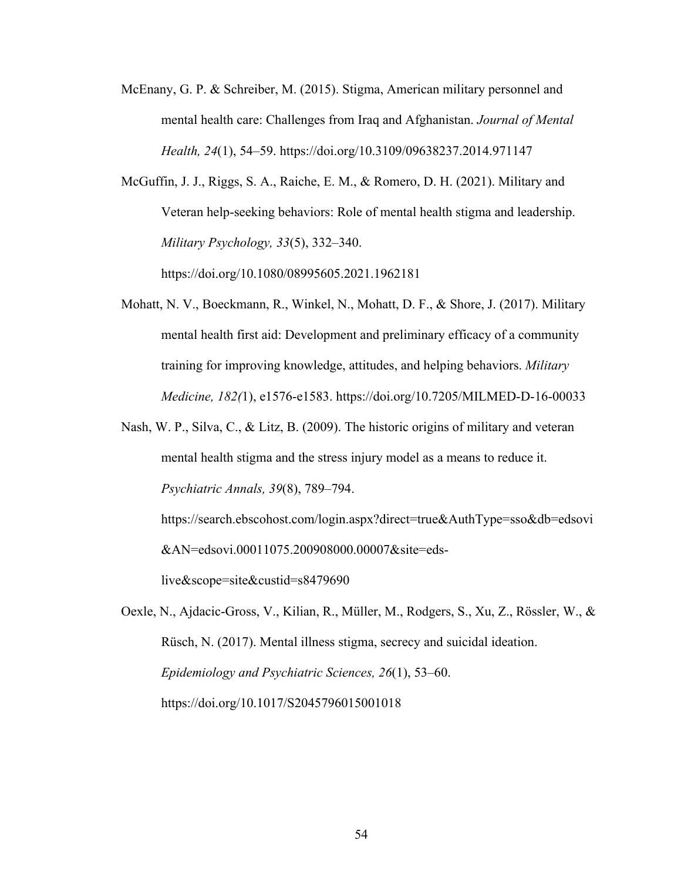- McEnany, G. P. & Schreiber, M. (2015). Stigma, American military personnel and mental health care: Challenges from Iraq and Afghanistan. *Journal of Mental Health, 24*(1), 54–59. https://doi.org/10.3109/09638237.2014.971147
- McGuffin, J. J., Riggs, S. A., Raiche, E. M., & Romero, D. H. (2021). Military and Veteran help-seeking behaviors: Role of mental health stigma and leadership. *Military Psychology, 33*(5), 332–340.

https://doi.org/10.1080/08995605.2021.1962181

- Mohatt, N. V., Boeckmann, R., Winkel, N., Mohatt, D. F., & Shore, J. (2017). Military mental health first aid: Development and preliminary efficacy of a community training for improving knowledge, attitudes, and helping behaviors. *Military Medicine, 182(*1), e1576-e1583. https://doi.org/10.7205/MILMED-D-16-00033
- Nash, W. P., Silva, C., & Litz, B. (2009). The historic origins of military and veteran mental health stigma and the stress injury model as a means to reduce it. *Psychiatric Annals, 39*(8), 789–794.

https://search.ebscohost.com/login.aspx?direct=true&AuthType=sso&db=edsovi &AN=edsovi.00011075.200908000.00007&site=eds-

live&scope=site&custid=s8479690

Oexle, N., Ajdacic-Gross, V., Kilian, R., Müller, M., Rodgers, S., Xu, Z., Rössler, W., & Rüsch, N. (2017). Mental illness stigma, secrecy and suicidal ideation. *Epidemiology and Psychiatric Sciences, 26*(1), 53–60. https://doi.org/10.1017/S2045796015001018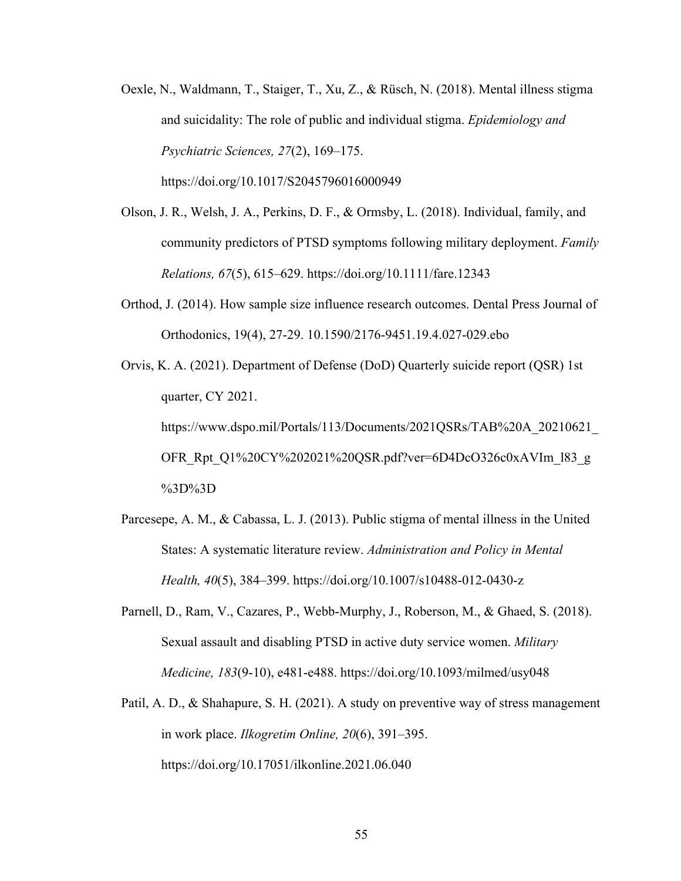Oexle, N., Waldmann, T., Staiger, T., Xu, Z., & Rüsch, N. (2018). Mental illness stigma and suicidality: The role of public and individual stigma. *Epidemiology and Psychiatric Sciences, 27*(2), 169–175.

https://doi.org/10.1017/S2045796016000949

- Olson, J. R., Welsh, J. A., Perkins, D. F., & Ormsby, L. (2018). Individual, family, and community predictors of PTSD symptoms following military deployment. *Family Relations, 67*(5), 615–629. https://doi.org/10.1111/fare.12343
- Orthod, J. (2014). How sample size influence research outcomes. Dental Press Journal of Orthodonics, 19(4), 27-29. 10.1590/2176-9451.19.4.027-029.ebo
- Orvis, K. A. (2021). Department of Defense (DoD) Quarterly suicide report (QSR) 1st quarter, CY 2021. https://www.dspo.mil/Portals/113/Documents/2021QSRs/TAB%20A\_20210621\_ OFR\_Rpt\_Q1%20CY%202021%20QSR.pdf?ver=6D4DcO326c0xAVIm\_l83\_g %3D%3D
- Parcesepe, A. M., & Cabassa, L. J. (2013). Public stigma of mental illness in the United States: A systematic literature review. *Administration and Policy in Mental Health, 40*(5), 384–399. https://doi.org/10.1007/s10488-012-0430-z
- Parnell, D., Ram, V., Cazares, P., Webb-Murphy, J., Roberson, M., & Ghaed, S. (2018). Sexual assault and disabling PTSD in active duty service women. *Military Medicine, 183*(9-10), e481-e488. https://doi.org/10.1093/milmed/usy048
- Patil, A. D., & Shahapure, S. H. (2021). A study on preventive way of stress management in work place. *Ilkogretim Online, 20*(6), 391–395. https://doi.org/10.17051/ilkonline.2021.06.040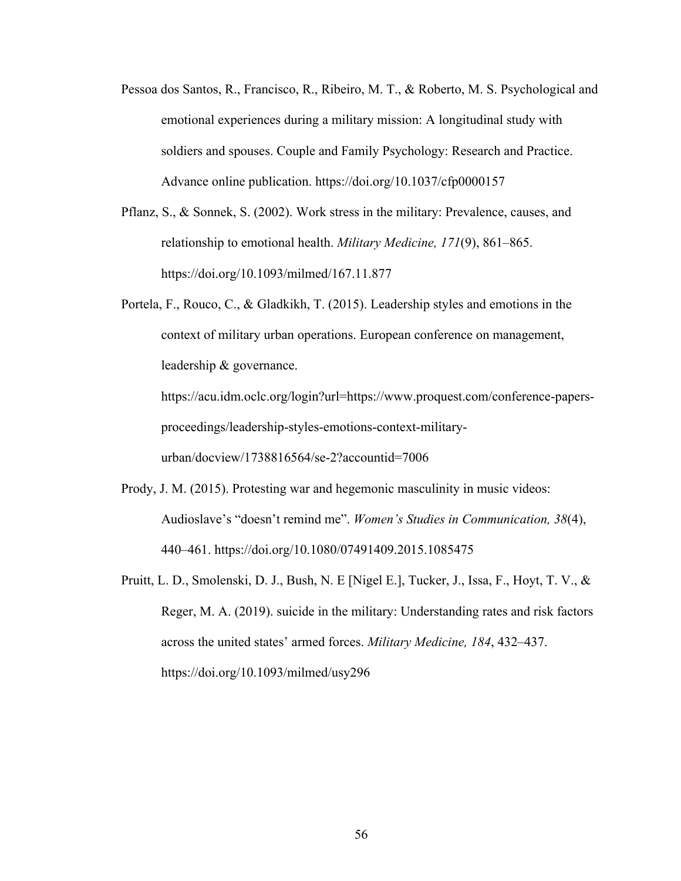- Pessoa dos Santos, R., Francisco, R., Ribeiro, M. T., & Roberto, M. S. Psychological and emotional experiences during a military mission: A longitudinal study with soldiers and spouses. Couple and Family Psychology: Research and Practice. Advance online publication. https://doi.org/10.1037/cfp0000157
- Pflanz, S., & Sonnek, S. (2002). Work stress in the military: Prevalence, causes, and relationship to emotional health. *Military Medicine, 171*(9), 861–865. https://doi.org/10.1093/milmed/167.11.877
- Portela, F., Rouco, C., & Gladkikh, T. (2015). Leadership styles and emotions in the context of military urban operations. European conference on management, leadership & governance. https://acu.idm.oclc.org/login?url=https://www.proquest.com/conference-papers-

proceedings/leadership-styles-emotions-context-military-

urban/docview/1738816564/se-2?accountid=7006

- Prody, J. M. (2015). Protesting war and hegemonic masculinity in music videos: Audioslave's "doesn't remind me". *Women's Studies in Communication, 38*(4), 440–461. https://doi.org/10.1080/07491409.2015.1085475
- Pruitt, L. D., Smolenski, D. J., Bush, N. E [Nigel E.], Tucker, J., Issa, F., Hoyt, T. V., & Reger, M. A. (2019). suicide in the military: Understanding rates and risk factors across the united states' armed forces. *Military Medicine, 184*, 432–437. https://doi.org/10.1093/milmed/usy296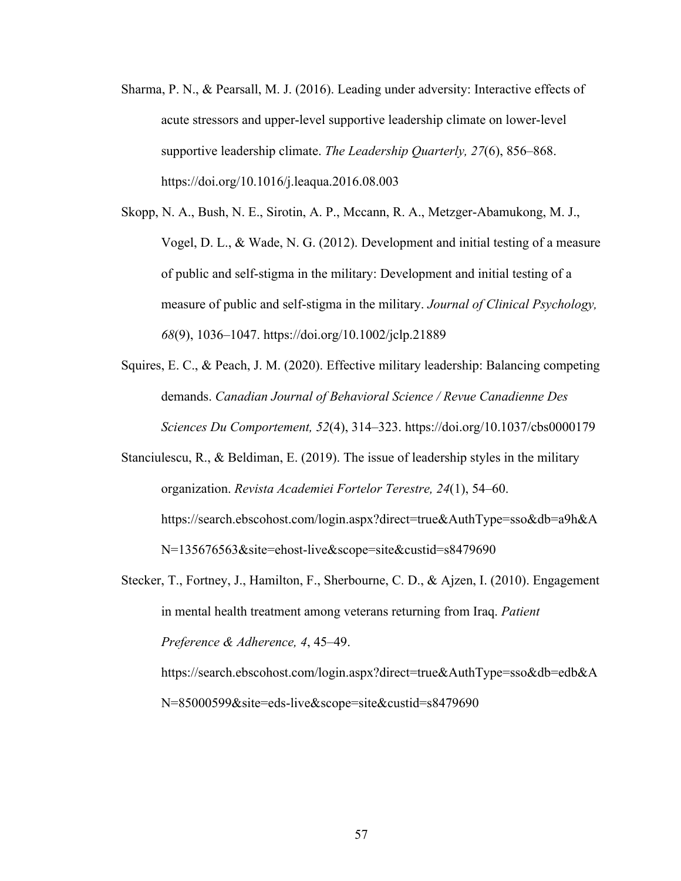- Sharma, P. N., & Pearsall, M. J. (2016). Leading under adversity: Interactive effects of acute stressors and upper-level supportive leadership climate on lower-level supportive leadership climate. *The Leadership Quarterly, 27*(6), 856–868. https://doi.org/10.1016/j.leaqua.2016.08.003
- Skopp, N. A., Bush, N. E., Sirotin, A. P., Mccann, R. A., Metzger-Abamukong, M. J., Vogel, D. L., & Wade, N. G. (2012). Development and initial testing of a measure of public and self-stigma in the military: Development and initial testing of a measure of public and self-stigma in the military. *Journal of Clinical Psychology, 68*(9), 1036–1047. https://doi.org/10.1002/jclp.21889
- Squires, E. C., & Peach, J. M. (2020). Effective military leadership: Balancing competing demands. *Canadian Journal of Behavioral Science / Revue Canadienne Des Sciences Du Comportement, 52*(4), 314–323. https://doi.org/10.1037/cbs0000179
- Stanciulescu, R., & Beldiman, E. (2019). The issue of leadership styles in the military organization. *Revista Academiei Fortelor Terestre, 24*(1), 54–60. https://search.ebscohost.com/login.aspx?direct=true&AuthType=sso&db=a9h&A N=135676563&site=ehost-live&scope=site&custid=s8479690
- Stecker, T., Fortney, J., Hamilton, F., Sherbourne, C. D., & Ajzen, I. (2010). Engagement in mental health treatment among veterans returning from Iraq. *Patient Preference & Adherence, 4*, 45–49. https://search.ebscohost.com/login.aspx?direct=true&AuthType=sso&db=edb&A

N=85000599&site=eds-live&scope=site&custid=s8479690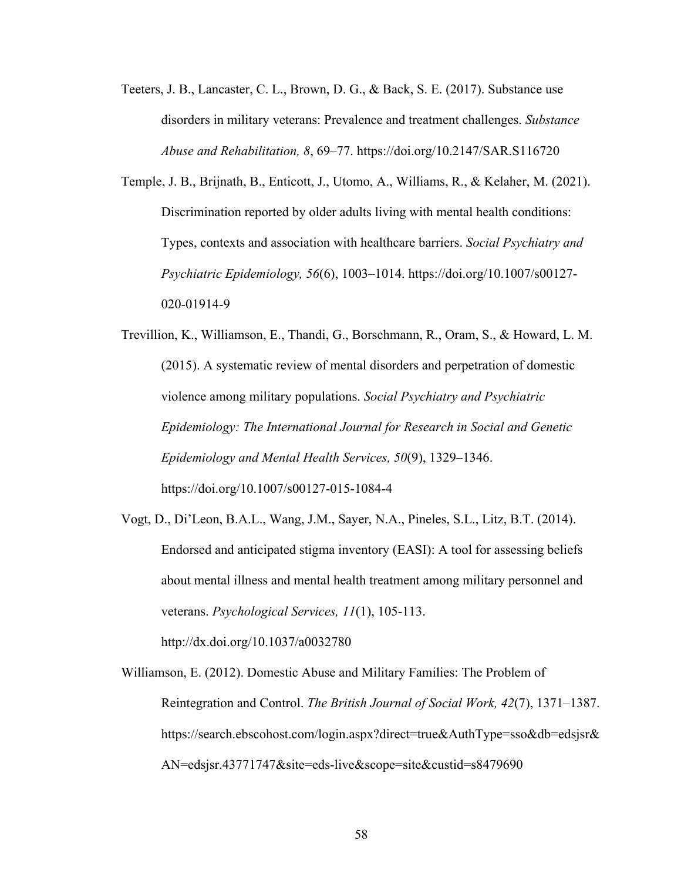- Teeters, J. B., Lancaster, C. L., Brown, D. G., & Back, S. E. (2017). Substance use disorders in military veterans: Prevalence and treatment challenges. *Substance Abuse and Rehabilitation, 8*, 69–77. https://doi.org/10.2147/SAR.S116720
- Temple, J. B., Brijnath, B., Enticott, J., Utomo, A., Williams, R., & Kelaher, M. (2021). Discrimination reported by older adults living with mental health conditions: Types, contexts and association with healthcare barriers. *Social Psychiatry and Psychiatric Epidemiology, 56*(6), 1003–1014. https://doi.org/10.1007/s00127- 020-01914-9
- Trevillion, K., Williamson, E., Thandi, G., Borschmann, R., Oram, S., & Howard, L. M. (2015). A systematic review of mental disorders and perpetration of domestic violence among military populations. *Social Psychiatry and Psychiatric Epidemiology: The International Journal for Research in Social and Genetic Epidemiology and Mental Health Services, 50*(9), 1329–1346. https://doi.org/10.1007/s00127-015-1084-4
- Vogt, D., Di'Leon, B.A.L., Wang, J.M., Sayer, N.A., Pineles, S.L., Litz, B.T. (2014). Endorsed and anticipated stigma inventory (EASI): A tool for assessing beliefs about mental illness and mental health treatment among military personnel and veterans. *Psychological Services, 11*(1), 105-113.

http://dx.doi.org/10.1037/a0032780 

Williamson, E. (2012). Domestic Abuse and Military Families: The Problem of Reintegration and Control. *The British Journal of Social Work, 42*(7), 1371–1387. https://search.ebscohost.com/login.aspx?direct=true&AuthType=sso&db=edsjsr& AN=edsjsr.43771747&site=eds-live&scope=site&custid=s8479690